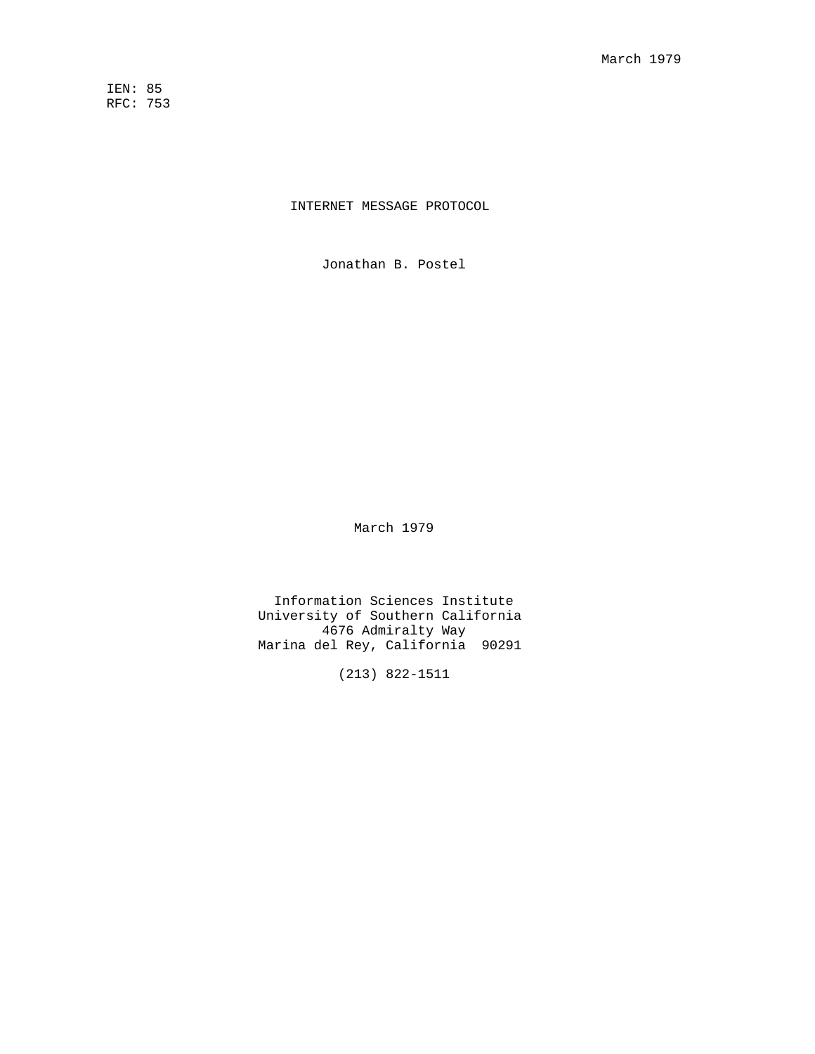IEN: 85 RFC: 753

INTERNET MESSAGE PROTOCOL

Jonathan B. Postel

March 1979

 Information Sciences Institute University of Southern California 4676 Admiralty Way Marina del Rey, California 90291

(213) 822-1511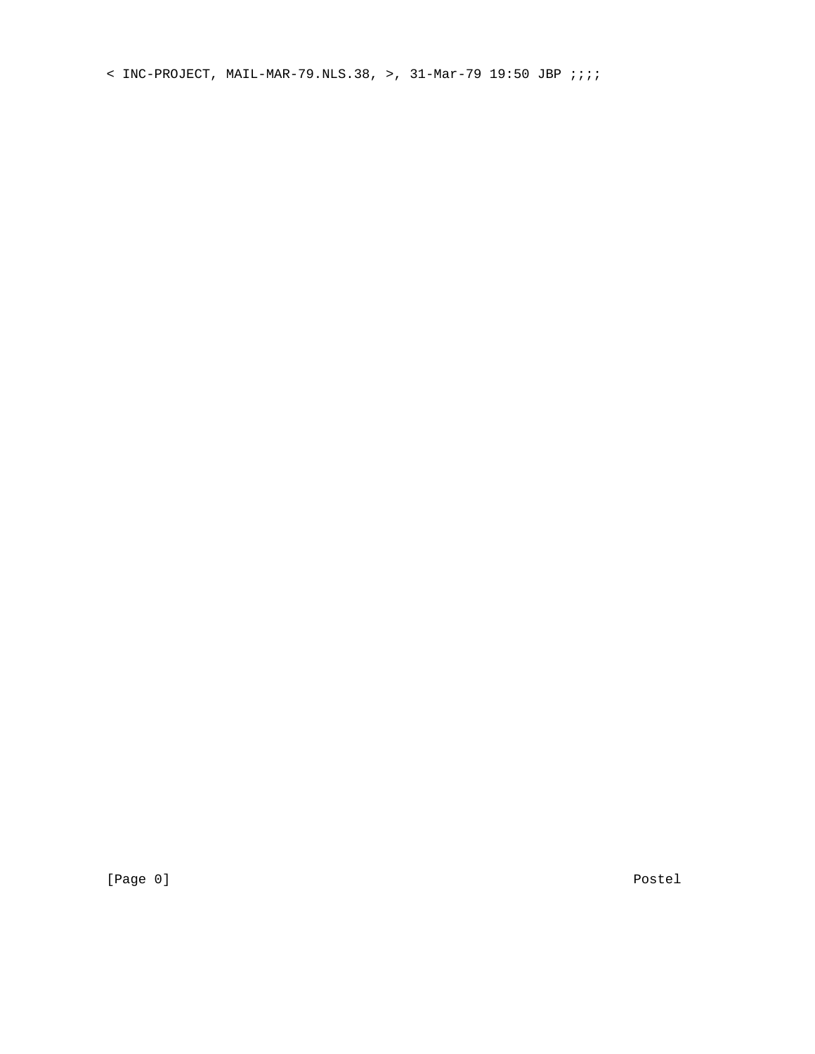$\langle$  INC-PROJECT, MAIL-MAR-79.NLS.38,  $>$ , 31-Mar-79 19:50 JBP ;;;;

[Page 0] Postel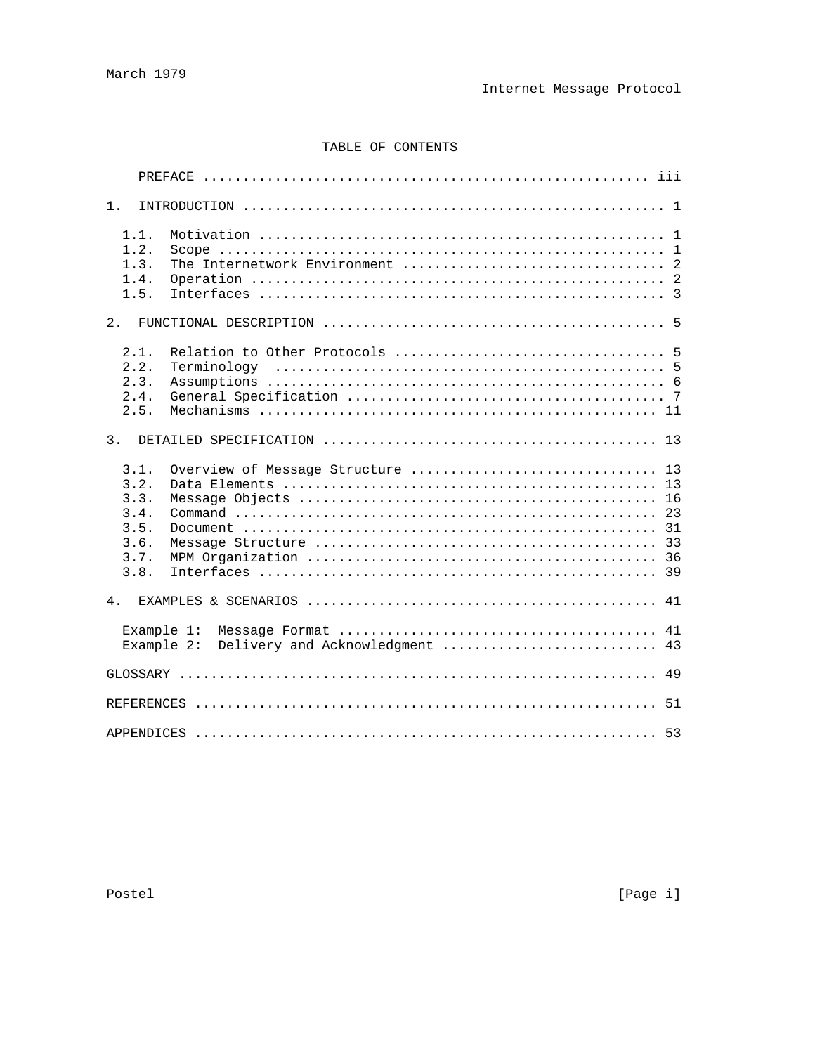# TABLE OF CONTENTS

| $1$ . |                                                              |                                                             |  |  |  |  |  |  |
|-------|--------------------------------------------------------------|-------------------------------------------------------------|--|--|--|--|--|--|
|       | 1.1.<br>1.2.<br>1.3.<br>1.4.<br>1.5.                         |                                                             |  |  |  |  |  |  |
| 2.    |                                                              |                                                             |  |  |  |  |  |  |
|       | 2.1.<br>2.2.<br>2.3.<br>2.4.<br>2.5.                         |                                                             |  |  |  |  |  |  |
| 3.    |                                                              |                                                             |  |  |  |  |  |  |
|       | 3.1.<br>3.2.<br>3.3.<br>3.4.<br>3.5.<br>3.6.<br>3.7.<br>3.8. | 16<br>31<br>33<br>39                                        |  |  |  |  |  |  |
| 4.    |                                                              |                                                             |  |  |  |  |  |  |
|       |                                                              | Example 1:<br>Example 2:<br>Delivery and Acknowledgment  43 |  |  |  |  |  |  |
|       |                                                              |                                                             |  |  |  |  |  |  |
|       |                                                              |                                                             |  |  |  |  |  |  |
|       |                                                              |                                                             |  |  |  |  |  |  |

[Page i]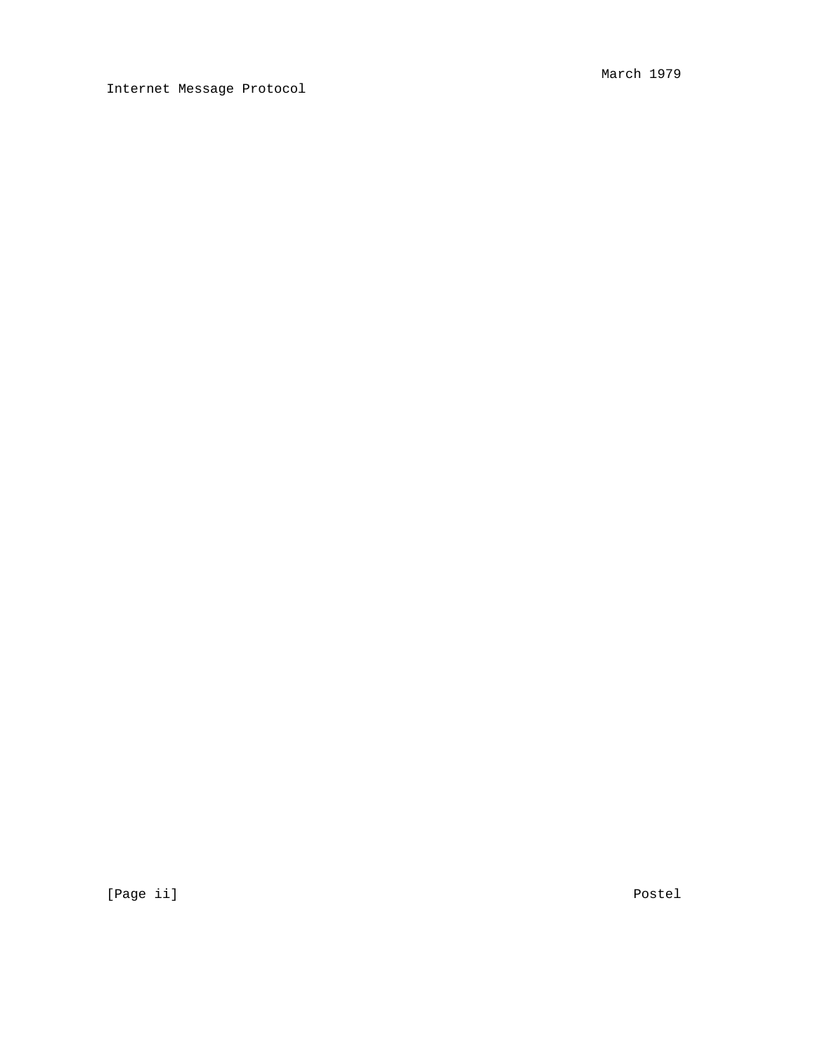March 1979

[Page ii] Postel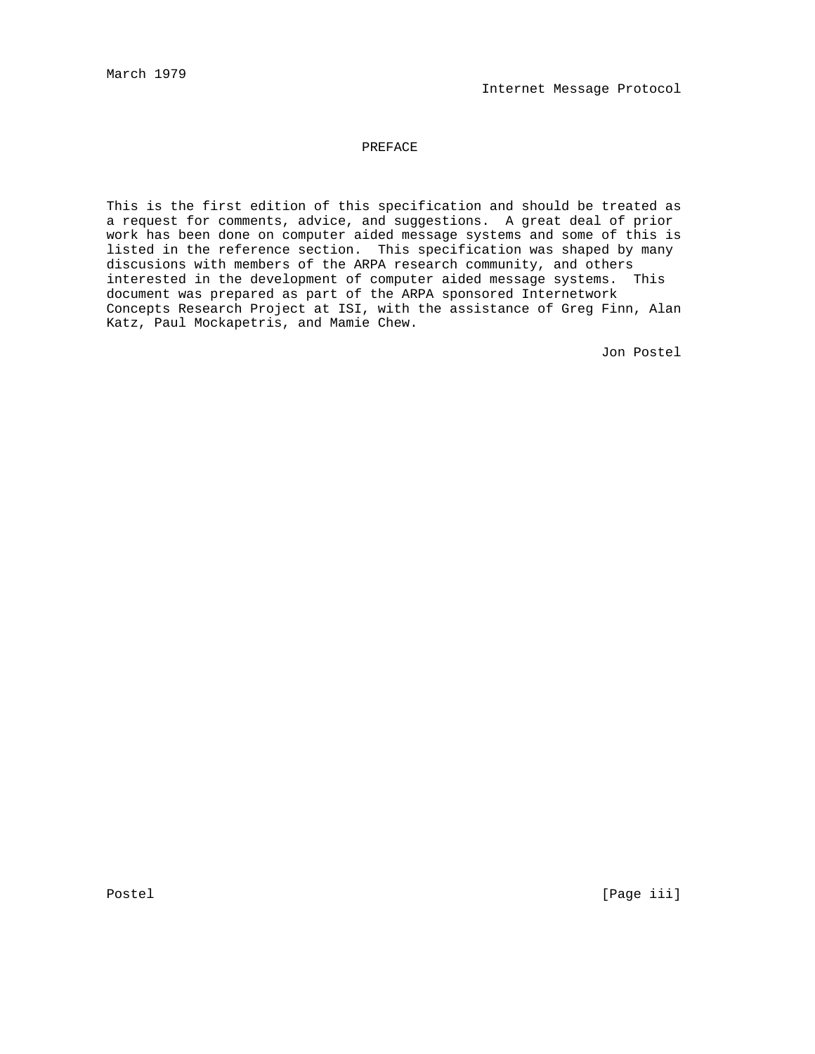#### PREFACE

This is the first edition of this specification and should be treated as a request for comments, advice, and suggestions. A great deal of prior work has been done on computer aided message systems and some of this is listed in the reference section. This specification was shaped by many discusions with members of the ARPA research community, and others interested in the development of computer aided message systems. This document was prepared as part of the ARPA sponsored Internetwork Concepts Research Project at ISI, with the assistance of Greg Finn, Alan Katz, Paul Mockapetris, and Mamie Chew.

Jon Postel

Postel [Page iii]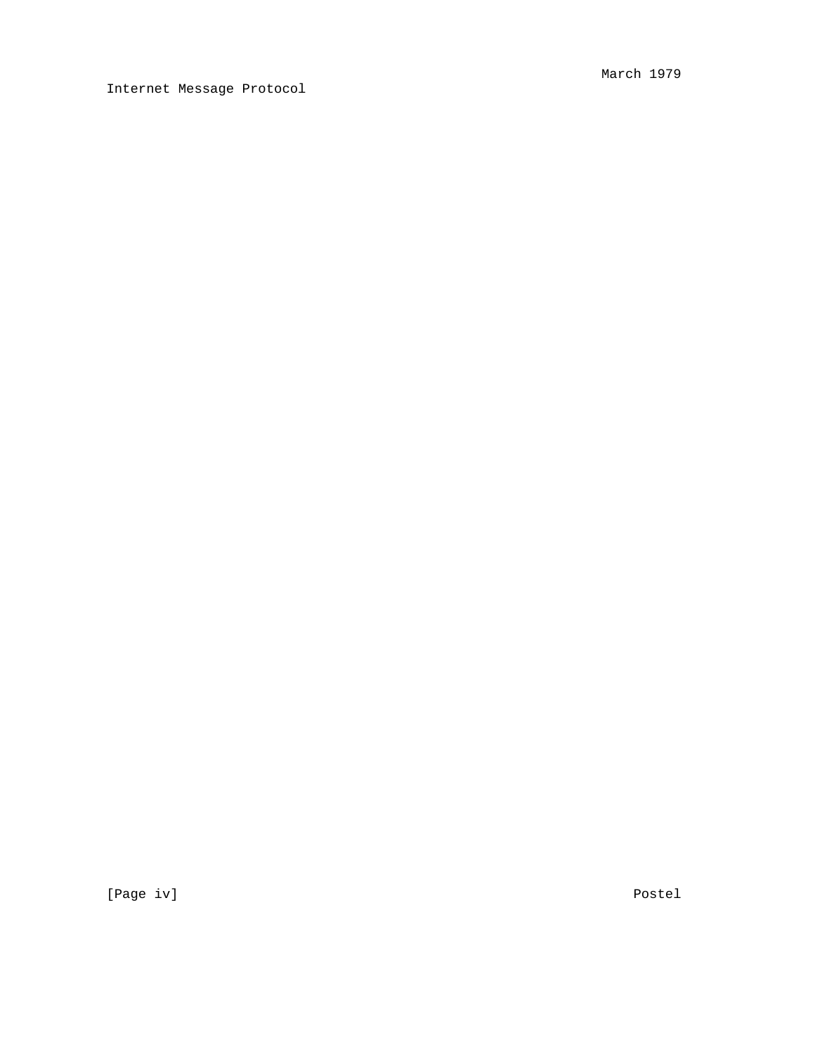March 1979

[Page iv] Postel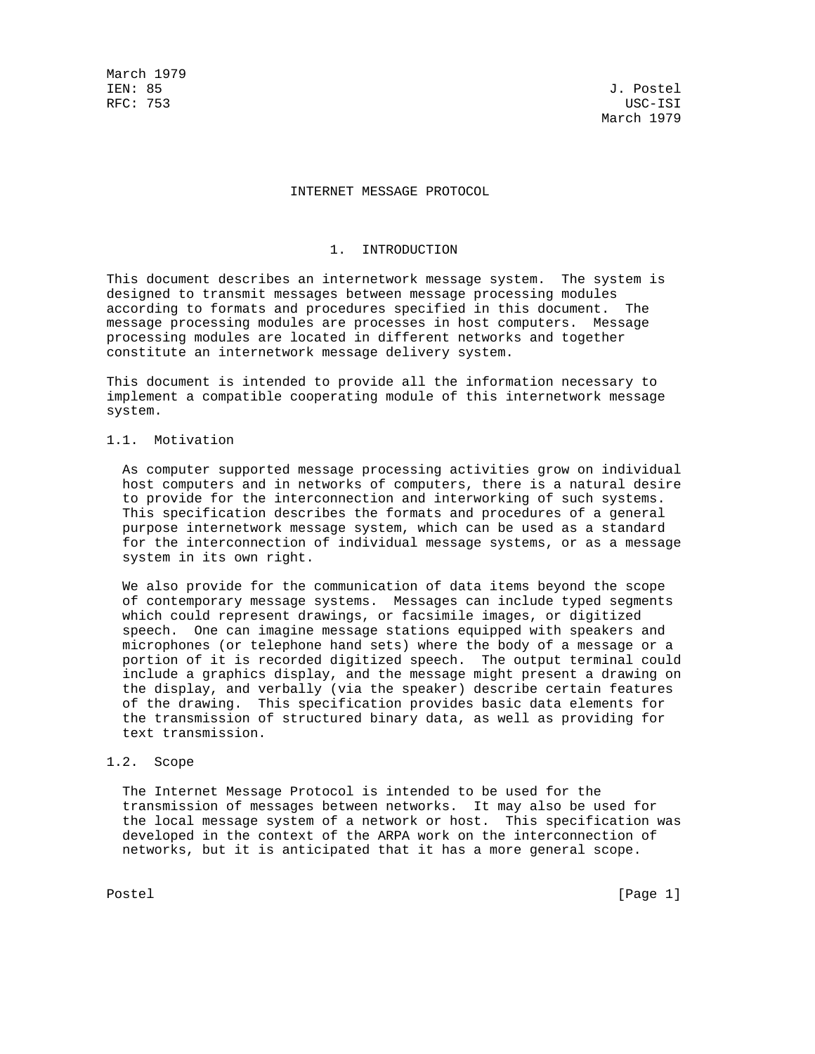March 1979<br>IEN: 85 IEN: 85 J. Postel

## INTERNET MESSAGE PROTOCOL

## 1. INTRODUCTION

This document describes an internetwork message system. The system is designed to transmit messages between message processing modules according to formats and procedures specified in this document. The message processing modules are processes in host computers. Message processing modules are located in different networks and together constitute an internetwork message delivery system.

This document is intended to provide all the information necessary to implement a compatible cooperating module of this internetwork message system.

## 1.1. Motivation

 As computer supported message processing activities grow on individual host computers and in networks of computers, there is a natural desire to provide for the interconnection and interworking of such systems. This specification describes the formats and procedures of a general purpose internetwork message system, which can be used as a standard for the interconnection of individual message systems, or as a message system in its own right.

 We also provide for the communication of data items beyond the scope of contemporary message systems. Messages can include typed segments which could represent drawings, or facsimile images, or digitized speech. One can imagine message stations equipped with speakers and microphones (or telephone hand sets) where the body of a message or a portion of it is recorded digitized speech. The output terminal could include a graphics display, and the message might present a drawing on the display, and verbally (via the speaker) describe certain features of the drawing. This specification provides basic data elements for the transmission of structured binary data, as well as providing for text transmission.

## 1.2. Scope

 The Internet Message Protocol is intended to be used for the transmission of messages between networks. It may also be used for the local message system of a network or host. This specification was developed in the context of the ARPA work on the interconnection of networks, but it is anticipated that it has a more general scope.

Postel [Page 1] [Page 1]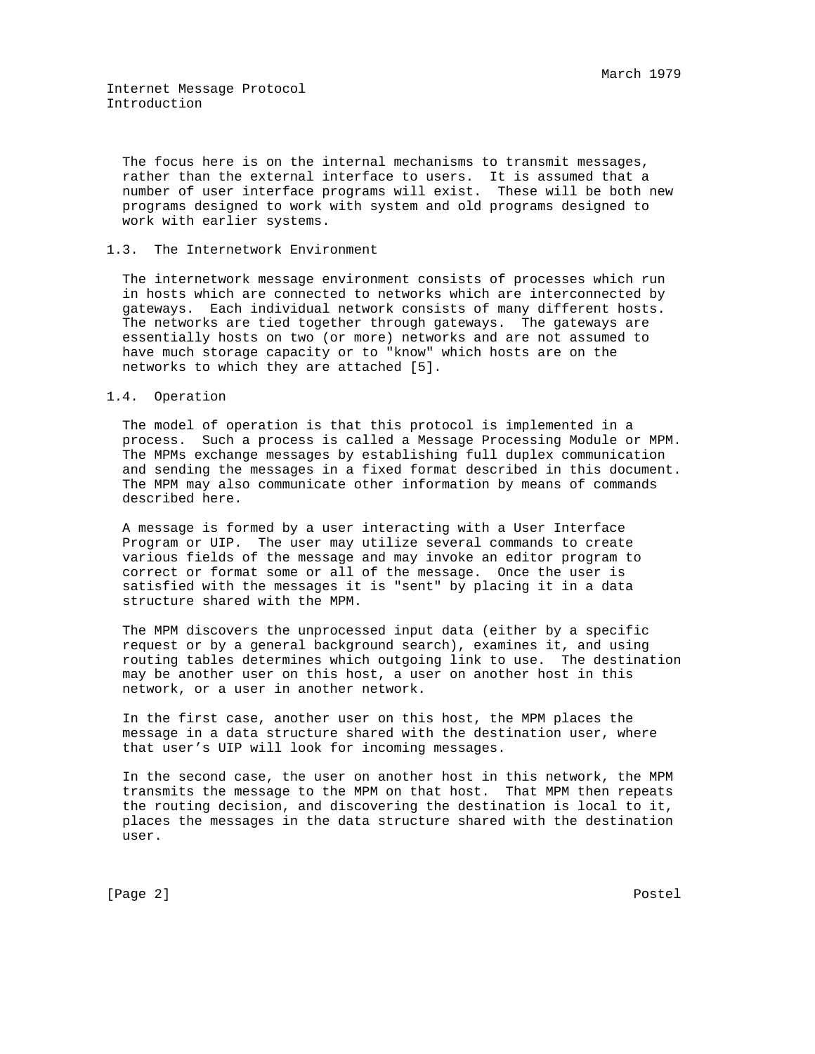The focus here is on the internal mechanisms to transmit messages, rather than the external interface to users. It is assumed that a number of user interface programs will exist. These will be both new programs designed to work with system and old programs designed to work with earlier systems.

## 1.3. The Internetwork Environment

 The internetwork message environment consists of processes which run in hosts which are connected to networks which are interconnected by gateways. Each individual network consists of many different hosts. The networks are tied together through gateways. The gateways are essentially hosts on two (or more) networks and are not assumed to have much storage capacity or to "know" which hosts are on the networks to which they are attached [5].

#### 1.4. Operation

 The model of operation is that this protocol is implemented in a process. Such a process is called a Message Processing Module or MPM. The MPMs exchange messages by establishing full duplex communication and sending the messages in a fixed format described in this document. The MPM may also communicate other information by means of commands described here.

 A message is formed by a user interacting with a User Interface Program or UIP. The user may utilize several commands to create various fields of the message and may invoke an editor program to correct or format some or all of the message. Once the user is satisfied with the messages it is "sent" by placing it in a data structure shared with the MPM.

 The MPM discovers the unprocessed input data (either by a specific request or by a general background search), examines it, and using routing tables determines which outgoing link to use. The destination may be another user on this host, a user on another host in this network, or a user in another network.

 In the first case, another user on this host, the MPM places the message in a data structure shared with the destination user, where that user's UIP will look for incoming messages.

 In the second case, the user on another host in this network, the MPM transmits the message to the MPM on that host. That MPM then repeats the routing decision, and discovering the destination is local to it, places the messages in the data structure shared with the destination user.

[Page 2] Postel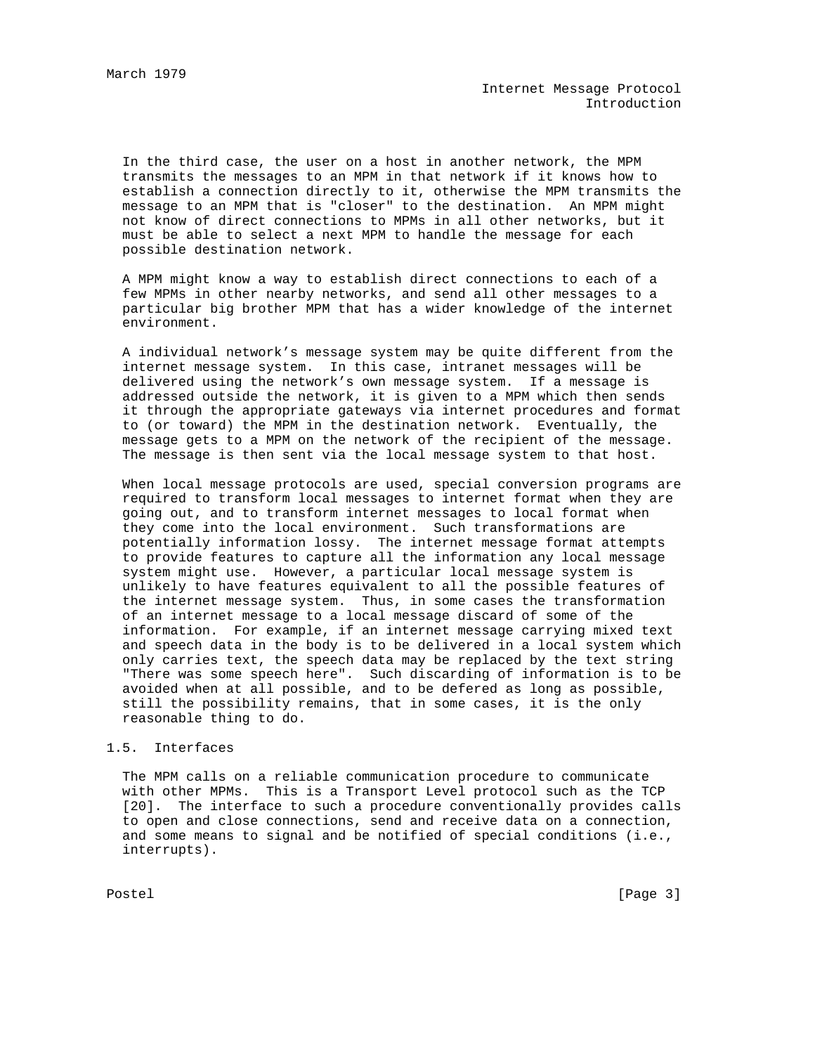In the third case, the user on a host in another network, the MPM transmits the messages to an MPM in that network if it knows how to establish a connection directly to it, otherwise the MPM transmits the message to an MPM that is "closer" to the destination. An MPM might not know of direct connections to MPMs in all other networks, but it must be able to select a next MPM to handle the message for each possible destination network.

 A MPM might know a way to establish direct connections to each of a few MPMs in other nearby networks, and send all other messages to a particular big brother MPM that has a wider knowledge of the internet environment.

 A individual network's message system may be quite different from the internet message system. In this case, intranet messages will be delivered using the network's own message system. If a message is addressed outside the network, it is given to a MPM which then sends it through the appropriate gateways via internet procedures and format to (or toward) the MPM in the destination network. Eventually, the message gets to a MPM on the network of the recipient of the message. The message is then sent via the local message system to that host.

 When local message protocols are used, special conversion programs are required to transform local messages to internet format when they are going out, and to transform internet messages to local format when they come into the local environment. Such transformations are potentially information lossy. The internet message format attempts to provide features to capture all the information any local message system might use. However, a particular local message system is unlikely to have features equivalent to all the possible features of the internet message system. Thus, in some cases the transformation of an internet message to a local message discard of some of the information. For example, if an internet message carrying mixed text and speech data in the body is to be delivered in a local system which only carries text, the speech data may be replaced by the text string "There was some speech here". Such discarding of information is to be avoided when at all possible, and to be defered as long as possible, still the possibility remains, that in some cases, it is the only reasonable thing to do.

## 1.5. Interfaces

 The MPM calls on a reliable communication procedure to communicate with other MPMs. This is a Transport Level protocol such as the TCP [20]. The interface to such a procedure conventionally provides calls to open and close connections, send and receive data on a connection, and some means to signal and be notified of special conditions (i.e., interrupts).

Postel [Page 3]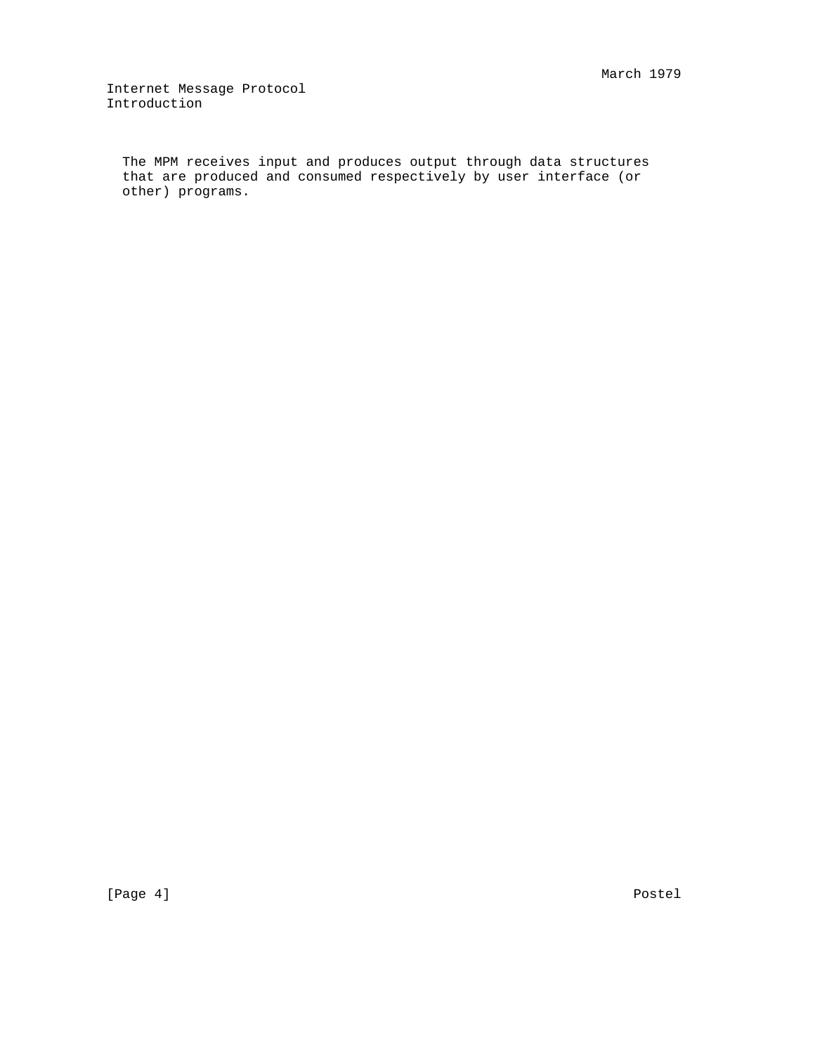Internet Message Protocol Introduction

 The MPM receives input and produces output through data structures that are produced and consumed respectively by user interface (or other) programs.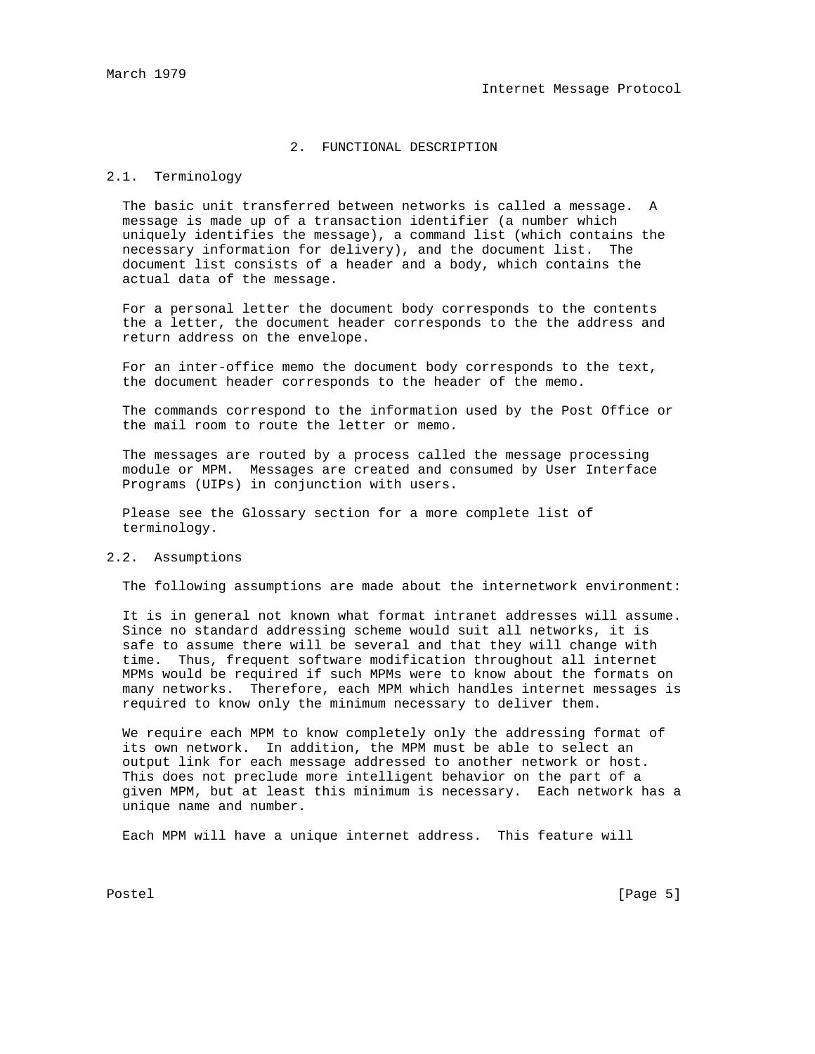## 2. FUNCTIONAL DESCRIPTION

#### 2.1. Terminology

 The basic unit transferred between networks is called a message. A message is made up of a transaction identifier (a number which uniquely identifies the message), a command list (which contains the necessary information for delivery), and the document list. The document list consists of a header and a body, which contains the actual data of the message.

 For a personal letter the document body corresponds to the contents the a letter, the document header corresponds to the the address and return address on the envelope.

 For an inter-office memo the document body corresponds to the text, the document header corresponds to the header of the memo.

 The commands correspond to the information used by the Post Office or the mail room to route the letter or memo.

 The messages are routed by a process called the message processing module or MPM. Messages are created and consumed by User Interface Programs (UIPs) in conjunction with users.

 Please see the Glossary section for a more complete list of terminology.

#### 2.2. Assumptions

The following assumptions are made about the internetwork environment:

 It is in general not known what format intranet addresses will assume. Since no standard addressing scheme would suit all networks, it is safe to assume there will be several and that they will change with time. Thus, frequent software modification throughout all internet MPMs would be required if such MPMs were to know about the formats on many networks. Therefore, each MPM which handles internet messages is required to know only the minimum necessary to deliver them.

 We require each MPM to know completely only the addressing format of its own network. In addition, the MPM must be able to select an output link for each message addressed to another network or host. This does not preclude more intelligent behavior on the part of a given MPM, but at least this minimum is necessary. Each network has a unique name and number.

Each MPM will have a unique internet address. This feature will

Postel [Page 5]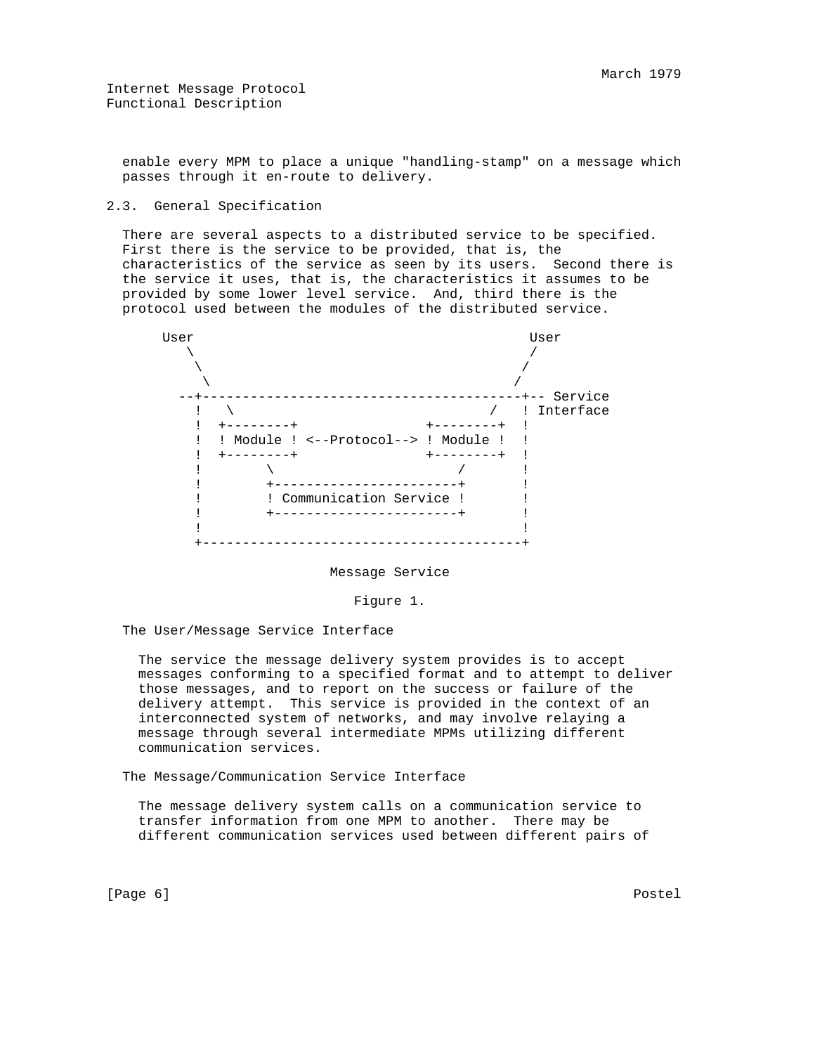Internet Message Protocol Functional Description

 enable every MPM to place a unique "handling-stamp" on a message which passes through it en-route to delivery.

## 2.3. General Specification

 There are several aspects to a distributed service to be specified. First there is the service to be provided, that is, the characteristics of the service as seen by its users. Second there is the service it uses, that is, the characteristics it assumes to be provided by some lower level service. And, third there is the protocol used between the modules of the distributed service.



Message Service

Figure 1.

The User/Message Service Interface

 The service the message delivery system provides is to accept messages conforming to a specified format and to attempt to deliver those messages, and to report on the success or failure of the delivery attempt. This service is provided in the context of an interconnected system of networks, and may involve relaying a message through several intermediate MPMs utilizing different communication services.

The Message/Communication Service Interface

 The message delivery system calls on a communication service to transfer information from one MPM to another. There may be different communication services used between different pairs of

[Page 6] Postel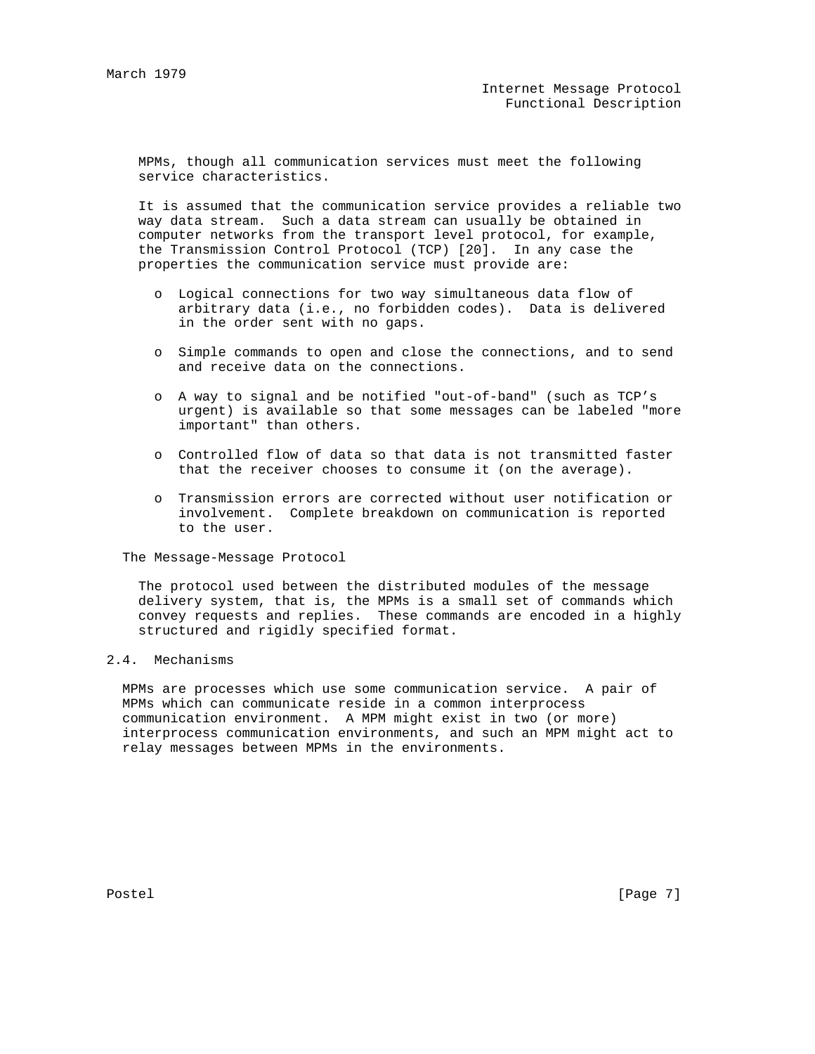MPMs, though all communication services must meet the following service characteristics.

 It is assumed that the communication service provides a reliable two way data stream. Such a data stream can usually be obtained in computer networks from the transport level protocol, for example, the Transmission Control Protocol (TCP) [20]. In any case the properties the communication service must provide are:

- o Logical connections for two way simultaneous data flow of arbitrary data (i.e., no forbidden codes). Data is delivered in the order sent with no gaps.
- o Simple commands to open and close the connections, and to send and receive data on the connections.
- o A way to signal and be notified "out-of-band" (such as TCP's urgent) is available so that some messages can be labeled "more important" than others.
- o Controlled flow of data so that data is not transmitted faster that the receiver chooses to consume it (on the average).
- o Transmission errors are corrected without user notification or involvement. Complete breakdown on communication is reported to the user.

The Message-Message Protocol

 The protocol used between the distributed modules of the message delivery system, that is, the MPMs is a small set of commands which convey requests and replies. These commands are encoded in a highly structured and rigidly specified format.

## 2.4. Mechanisms

 MPMs are processes which use some communication service. A pair of MPMs which can communicate reside in a common interprocess communication environment. A MPM might exist in two (or more) interprocess communication environments, and such an MPM might act to relay messages between MPMs in the environments.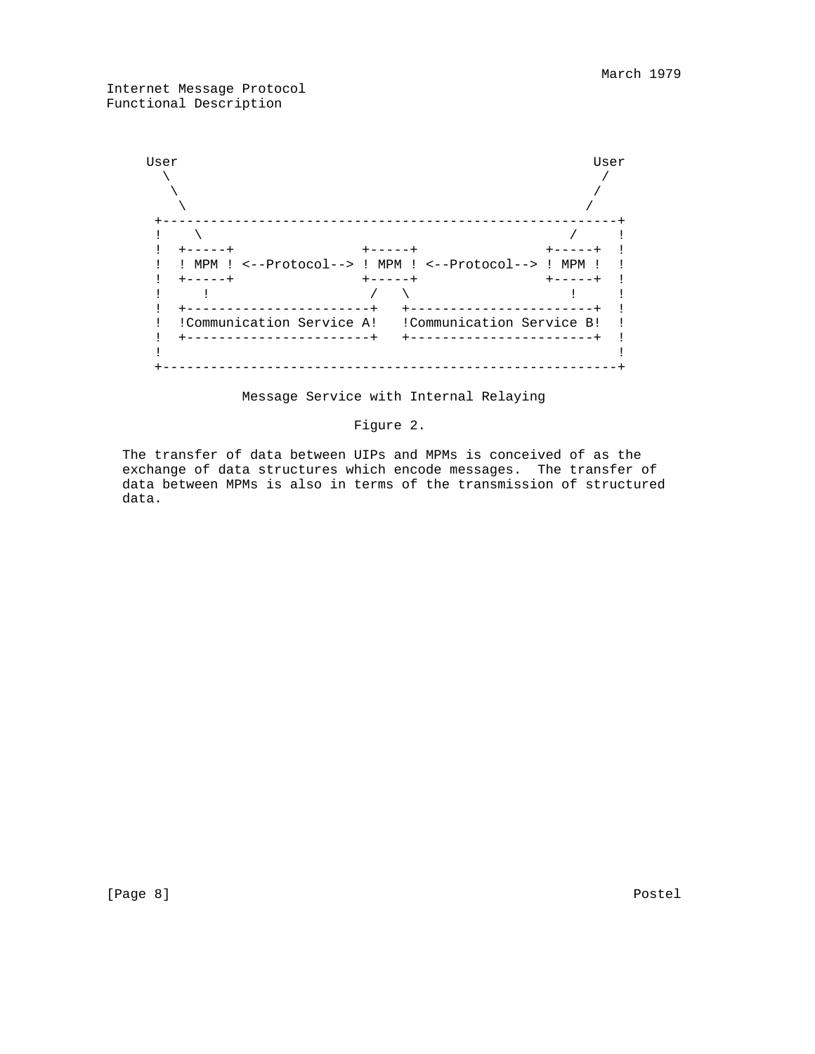User User  $\lambda$  /  $\lambda$  /  $\lambda$  /  $\lambda$  /  $\lambda$  /  $\lambda$  /  $\lambda$  /  $\lambda$  /  $\lambda$  /  $\lambda$  /  $\lambda$  /  $\lambda$  /  $\lambda$  /  $\lambda$  /  $\lambda$  /  $\lambda$  /  $\lambda$  /  $\lambda$  /  $\lambda$  /  $\lambda$  /  $\lambda$  /  $\lambda$  /  $\lambda$  /  $\lambda$  /  $\lambda$  /  $\lambda$  /  $\lambda$  /  $\lambda$  /  $\lambda$  /  $\lambda$  /  $\lambda$  /  $\lambda$  $\lambda$  /  $\lambda$  /  $\lambda$  /  $\lambda$  /  $\lambda$  /  $\lambda$  /  $\lambda$  /  $\lambda$  /  $\lambda$  /  $\lambda$  /  $\lambda$  /  $\lambda$  /  $\lambda$  /  $\lambda$  /  $\lambda$  /  $\lambda$  /  $\lambda$  /  $\lambda$  /  $\lambda$  /  $\lambda$  /  $\lambda$  /  $\lambda$  /  $\lambda$  /  $\lambda$  /  $\lambda$  /  $\lambda$  /  $\lambda$  /  $\lambda$  /  $\lambda$  /  $\lambda$  /  $\lambda$  /  $\lambda$  $\lambda$  /  $\lambda$  /  $\lambda$  /  $\lambda$  /  $\lambda$  /  $\lambda$  /  $\lambda$  /  $\lambda$  /  $\lambda$  /  $\lambda$  /  $\lambda$  /  $\lambda$  /  $\lambda$  /  $\lambda$  /  $\lambda$  /  $\lambda$  /  $\lambda$  /  $\lambda$  /  $\lambda$  /  $\lambda$  /  $\lambda$  /  $\lambda$  /  $\lambda$  /  $\lambda$  /  $\lambda$  /  $\lambda$  /  $\lambda$  /  $\lambda$  /  $\lambda$  /  $\lambda$  /  $\lambda$  /  $\lambda$  +---------------------------------------------------------+ !<br>! +-----+ + +-----+ + + ! +-----+ +-----+ +-----+ ! ! ! MPM ! <--Protocol--> ! MPM ! <--Protocol--> ! MPM ! ! ! +-----+ +-----+ +-----+ !  $\blacksquare$  :  $\blacksquare$  :  $\blacksquare$  :  $\blacksquare$  :  $\blacksquare$  :  $\blacksquare$  :  $\blacksquare$  :  $\blacksquare$  :  $\blacksquare$  :  $\blacksquare$  :  $\blacksquare$  :  $\blacksquare$  :  $\blacksquare$  :  $\blacksquare$  :  $\blacksquare$  :  $\blacksquare$  :  $\blacksquare$  :  $\blacksquare$  :  $\blacksquare$  :  $\blacksquare$  :  $\blacksquare$  :  $\blacksquare$  :  $\blacksquare$  :  $\blacksquare$  :  $\blacksquare$  ! +-----------------------+ +-----------------------+ ! ! !Communication Service A! !Communication Service B! ! ! +-----------------------+ +-----------------------+ ! . The second contract of the second contract of the second contract of the second contract of the second contract of the second contract of the second contract of the second contract of the second contract of the second co +---------------------------------------------------------+

Message Service with Internal Relaying

## Figure 2.

 The transfer of data between UIPs and MPMs is conceived of as the exchange of data structures which encode messages. The transfer of data between MPMs is also in terms of the transmission of structured data.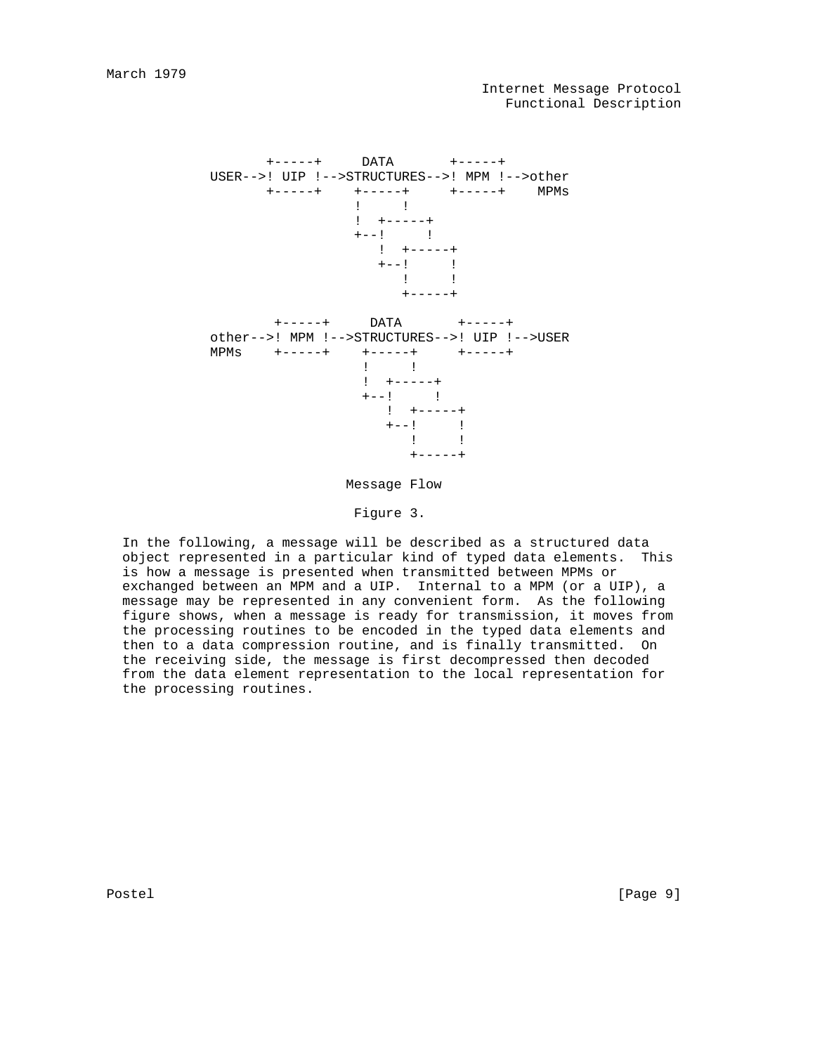

Message Flow

Figure 3.

 In the following, a message will be described as a structured data object represented in a particular kind of typed data elements. This is how a message is presented when transmitted between MPMs or exchanged between an MPM and a UIP. Internal to a MPM (or a UIP), a message may be represented in any convenient form. As the following figure shows, when a message is ready for transmission, it moves from the processing routines to be encoded in the typed data elements and then to a data compression routine, and is finally transmitted. On the receiving side, the message is first decompressed then decoded from the data element representation to the local representation for the processing routines.

Postel [Page 9]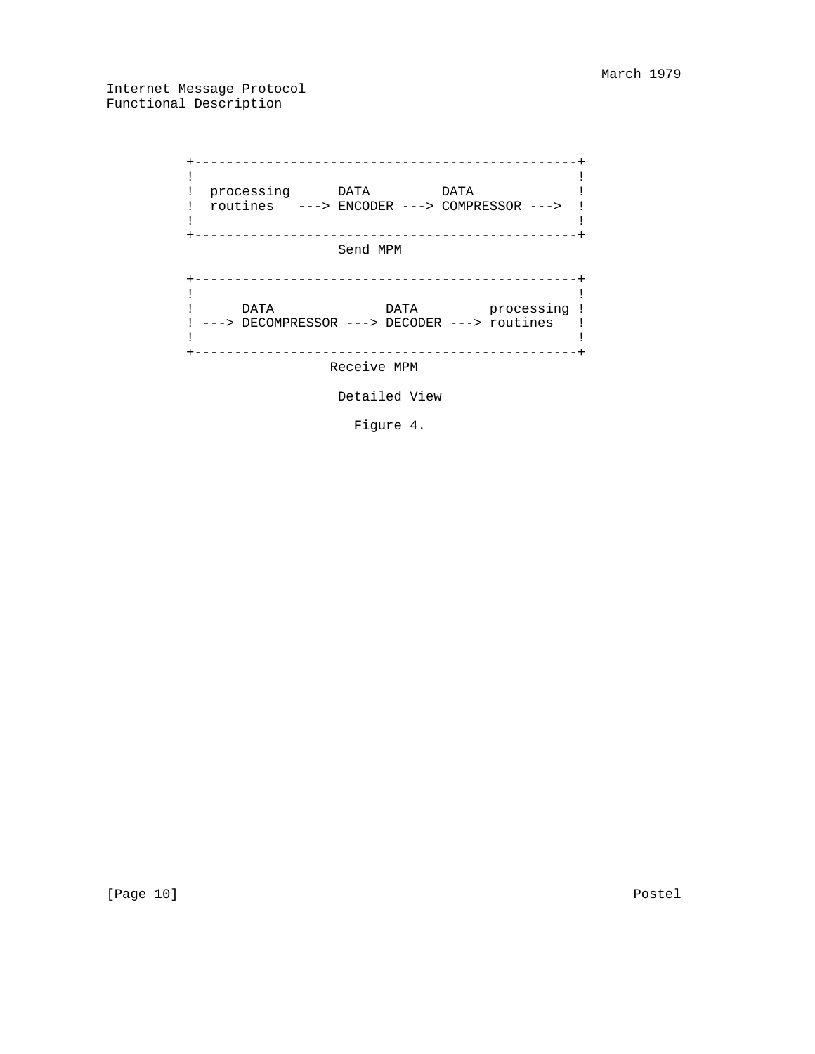# Internet Message Protocol Functional Description

 +------------------------------------------------+ If you have a set of the set of the set of the set of the set of the set of the set of the set of the set of t ! processing DATA DATA ! ! routines ---> ENCODER ---> COMPRESSOR ---> ! If you have a set of the set of the set of the set of the set of the set of the set of the set of the set of t +------------------------------------------------+ Send MPM +------------------------------------------------+ If you have a set of the set of the set of the set of the set of the set of the set of the set of the set of t .<br>! DATA DATA processing ! ! ---> DECOMPRESSOR ---> DECODER ---> routines ! If you have a set of the set of the set of the set of the set of the set of the set of the set of the set of t +------------------------------------------------+ Receive MPM

Detailed View

Figure 4.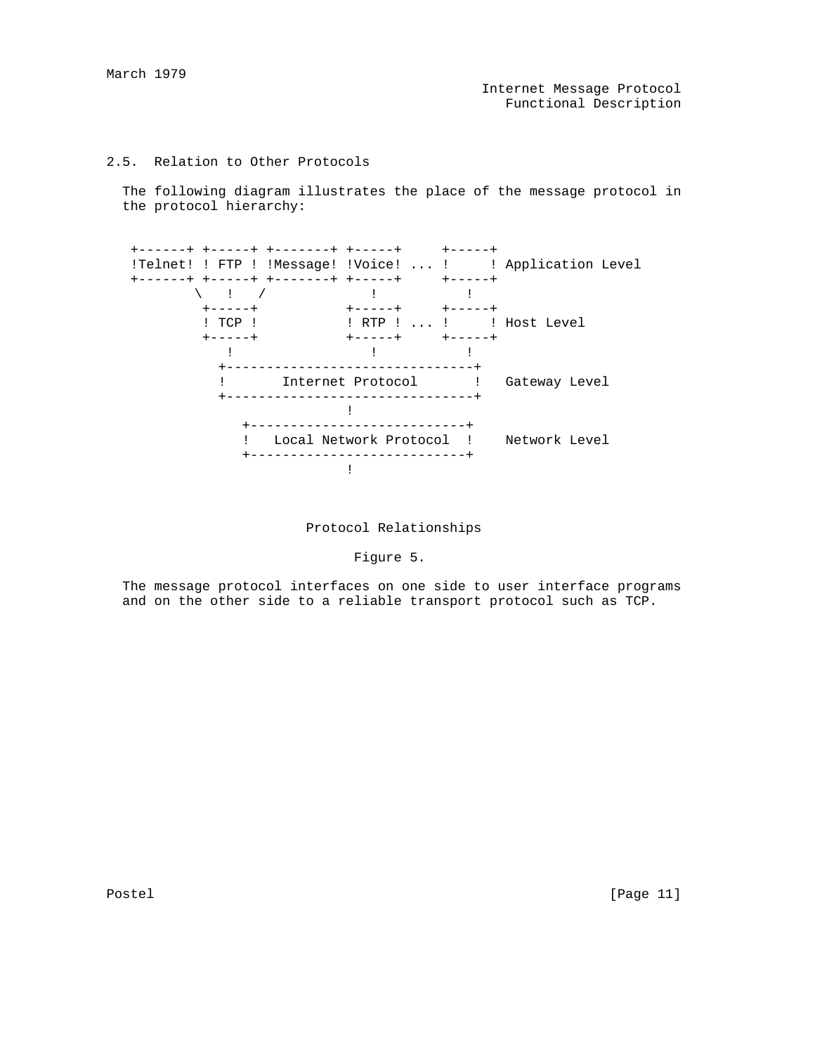## 2.5. Relation to Other Protocols

 The following diagram illustrates the place of the message protocol in the protocol hierarchy:

| +------+ +-----+ +-------+ +------+   +-----+<br>------+ +-----+ +-------+ +------+   +------+ |                                  |                 |  | !Telnet! ! FTP ! !Message! !Voice!  ! ! Application Level |
|------------------------------------------------------------------------------------------------|----------------------------------|-----------------|--|-----------------------------------------------------------|
|                                                                                                |                                  |                 |  |                                                           |
| $+ - - - - +$                                                                                  |                                  | +-----+ +-----+ |  |                                                           |
| $!$ TCP $!$                                                                                    |                                  |                 |  | ! RTP !  ! ! Host Level                                   |
| $+ - - - - +$                                                                                  |                                  | +-----+ +-----+ |  |                                                           |
|                                                                                                |                                  |                 |  |                                                           |
|                                                                                                |                                  |                 |  |                                                           |
|                                                                                                |                                  |                 |  | Internet Protocol (1) Gateway Level                       |
|                                                                                                | -------------------------------- |                 |  |                                                           |
|                                                                                                |                                  |                 |  |                                                           |
|                                                                                                |                                  |                 |  |                                                           |
|                                                                                                |                                  |                 |  | Local Network Protocol ! Network Level                    |
|                                                                                                | ----------------------------     |                 |  |                                                           |
|                                                                                                |                                  |                 |  |                                                           |

## Protocol Relationships

Figure 5.

 The message protocol interfaces on one side to user interface programs and on the other side to a reliable transport protocol such as TCP.

Postel [Page 11]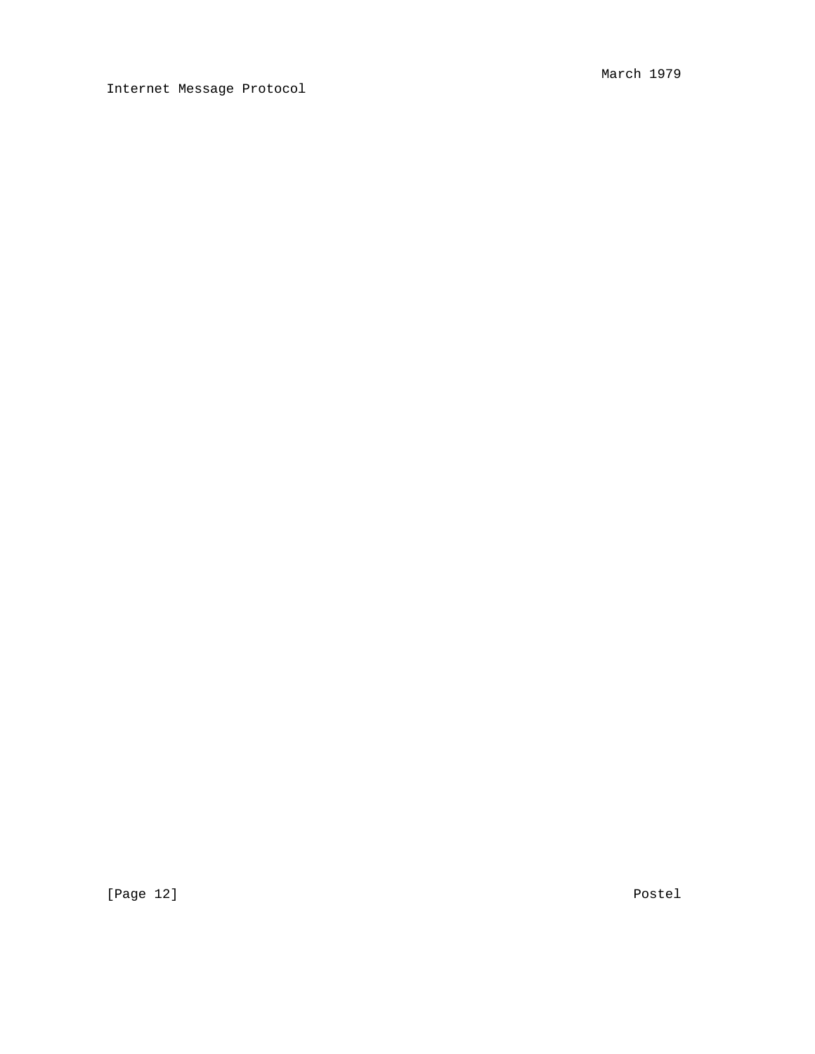March 1979

[Page 12] Postel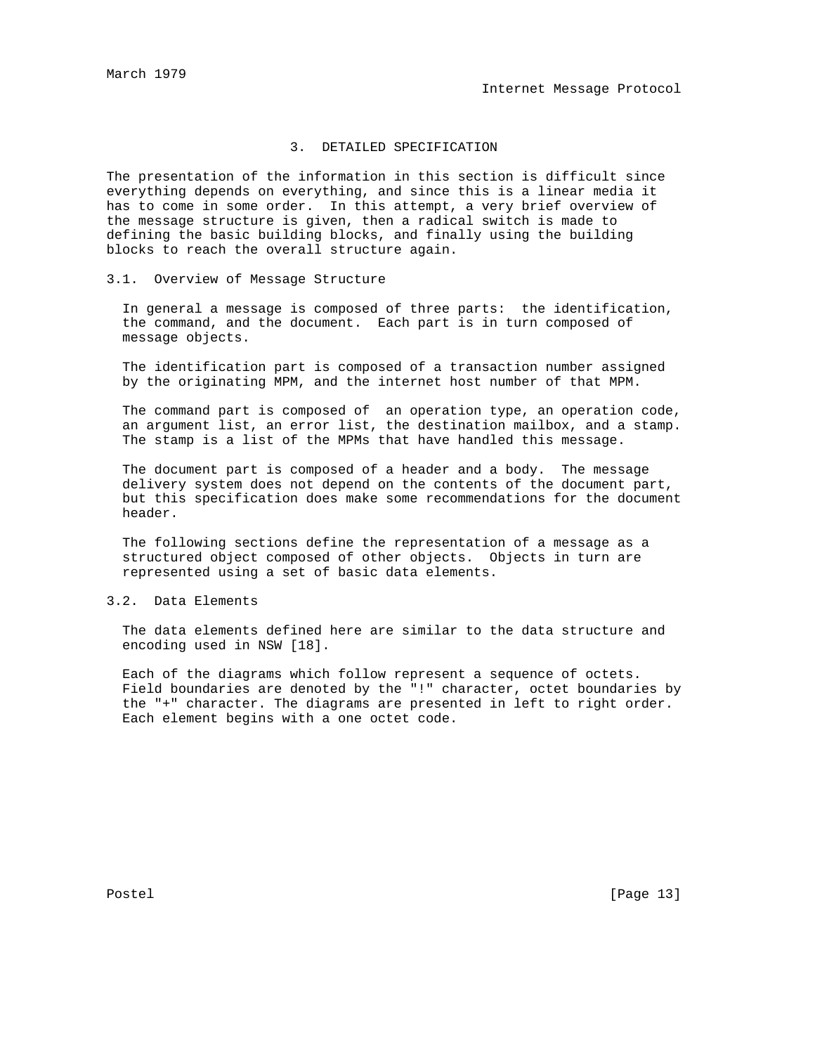## 3. DETAILED SPECIFICATION

The presentation of the information in this section is difficult since everything depends on everything, and since this is a linear media it has to come in some order. In this attempt, a very brief overview of the message structure is given, then a radical switch is made to defining the basic building blocks, and finally using the building blocks to reach the overall structure again.

## 3.1. Overview of Message Structure

 In general a message is composed of three parts: the identification, the command, and the document. Each part is in turn composed of message objects.

 The identification part is composed of a transaction number assigned by the originating MPM, and the internet host number of that MPM.

 The command part is composed of an operation type, an operation code, an argument list, an error list, the destination mailbox, and a stamp. The stamp is a list of the MPMs that have handled this message.

 The document part is composed of a header and a body. The message delivery system does not depend on the contents of the document part, but this specification does make some recommendations for the document header.

 The following sections define the representation of a message as a structured object composed of other objects. Objects in turn are represented using a set of basic data elements.

## 3.2. Data Elements

 The data elements defined here are similar to the data structure and encoding used in NSW [18].

 Each of the diagrams which follow represent a sequence of octets. Field boundaries are denoted by the "!" character, octet boundaries by the "+" character. The diagrams are presented in left to right order. Each element begins with a one octet code.

Postel [Page 13]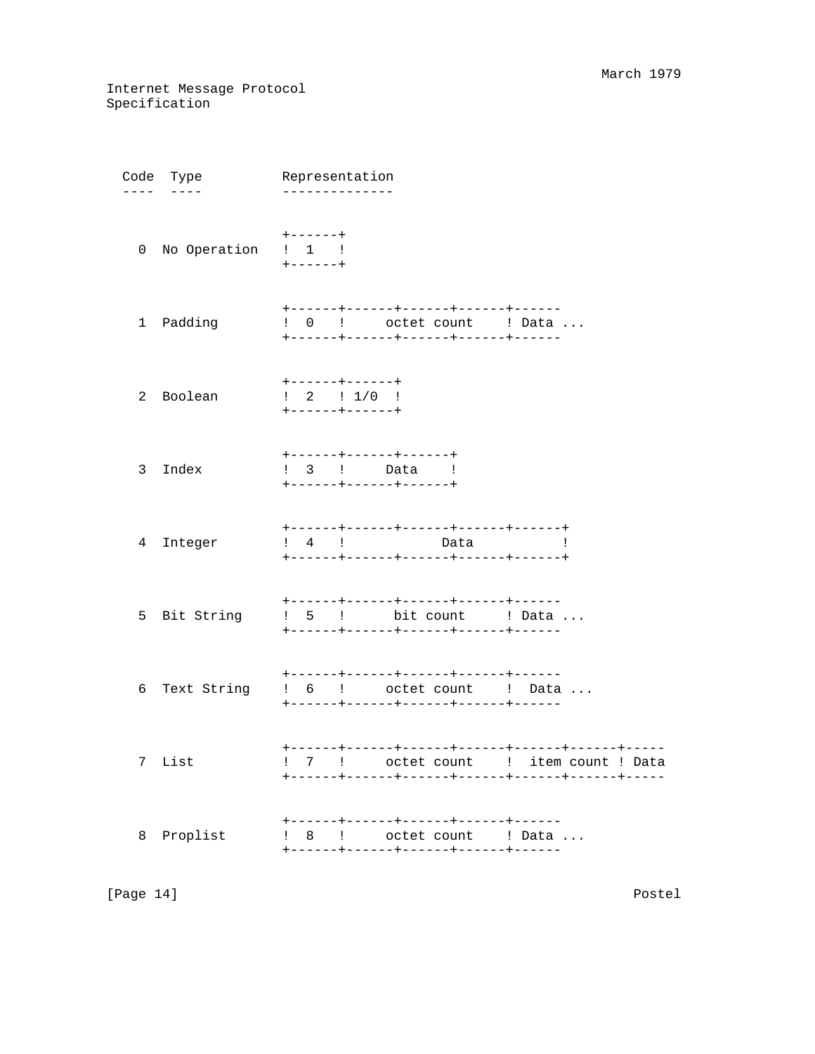# Internet Message Protocol Specification

| Code | Type         | Representation                                                                                                                           |
|------|--------------|------------------------------------------------------------------------------------------------------------------------------------------|
|      | $- - - -$    |                                                                                                                                          |
| 0    | No Operation | $+ - - - - - +$<br>$\begin{array}{ccc} 1 & 1 & 1 \end{array}$<br>$+ - - - - - +$                                                         |
| 1    | Padding      | +------+------+------+------+------<br>! 0 ! octet count ! Data<br>+------+------+------+------+------                                   |
| 2    | Boolean      | +------+------+<br>! 2 !1/0 !<br>+------+------+                                                                                         |
| 3    | Index        | +------+------+------+<br>! 3 ! Data !<br>+------+------+------+                                                                         |
| 4    | Integer      | +------+------+------+------+------+<br>$\frac{1}{4}$<br>Data<br>Ţ<br>+------+------+------+------+------+                               |
| 5    | Bit String   | +------+------+------+-----+------<br>! 5 ! bit count ! Data<br>+------+------+------+------+------                                      |
| 6    | Text String  | +------+------+------+-----+------<br>! 6 ! octet count ! Data<br>+------+------+------+-----+-------                                    |
| 7    | List         | octet count : item count ! Data<br>$\frac{1}{2}$ $\frac{1}{2}$                                                                           |
| 8    | Proplist     | +------+------+------+------+------<br>octet count ! Data<br>$\mathbf{I}$<br>8<br>and the company<br>+------+------+------+-----+------- |

 $[Page 14]$ 

Postel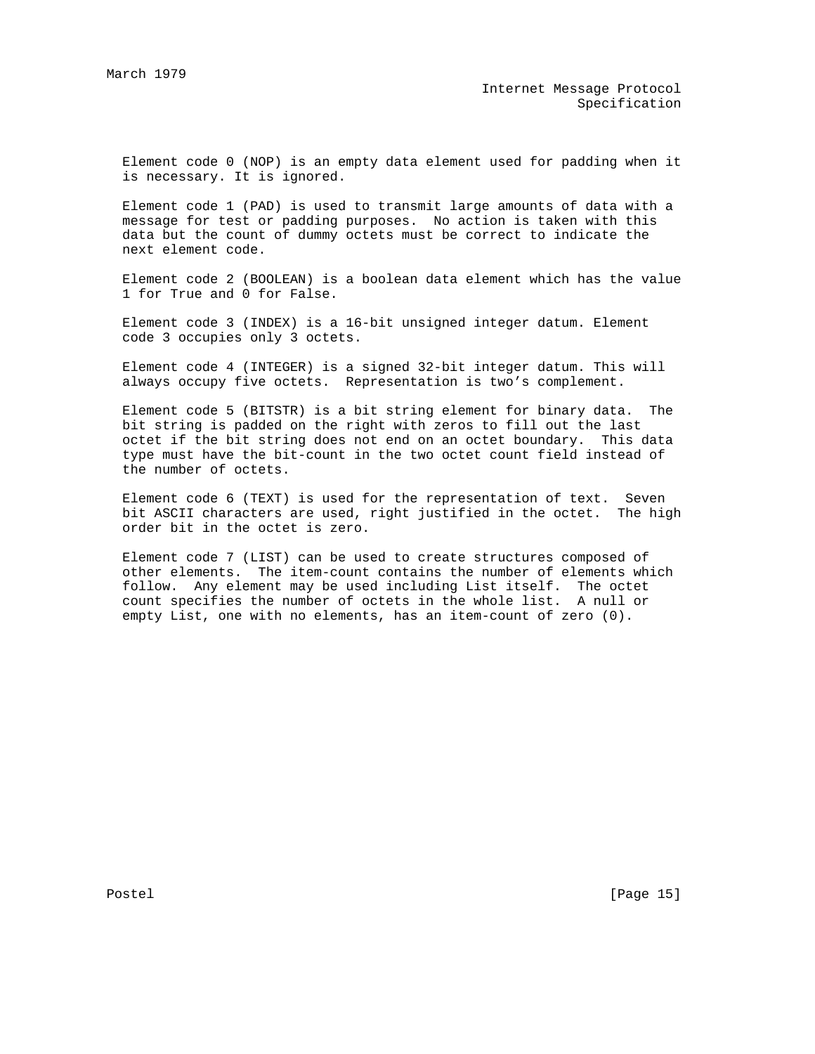Element code 0 (NOP) is an empty data element used for padding when it is necessary. It is ignored.

 Element code 1 (PAD) is used to transmit large amounts of data with a message for test or padding purposes. No action is taken with this data but the count of dummy octets must be correct to indicate the next element code.

 Element code 2 (BOOLEAN) is a boolean data element which has the value 1 for True and 0 for False.

 Element code 3 (INDEX) is a 16-bit unsigned integer datum. Element code 3 occupies only 3 octets.

 Element code 4 (INTEGER) is a signed 32-bit integer datum. This will always occupy five octets. Representation is two's complement.

 Element code 5 (BITSTR) is a bit string element for binary data. The bit string is padded on the right with zeros to fill out the last octet if the bit string does not end on an octet boundary. This data type must have the bit-count in the two octet count field instead of the number of octets.

 Element code 6 (TEXT) is used for the representation of text. Seven bit ASCII characters are used, right justified in the octet. The high order bit in the octet is zero.

 Element code 7 (LIST) can be used to create structures composed of other elements. The item-count contains the number of elements which follow. Any element may be used including List itself. The octet count specifies the number of octets in the whole list. A null or empty List, one with no elements, has an item-count of zero (0).

Postel [Page 15]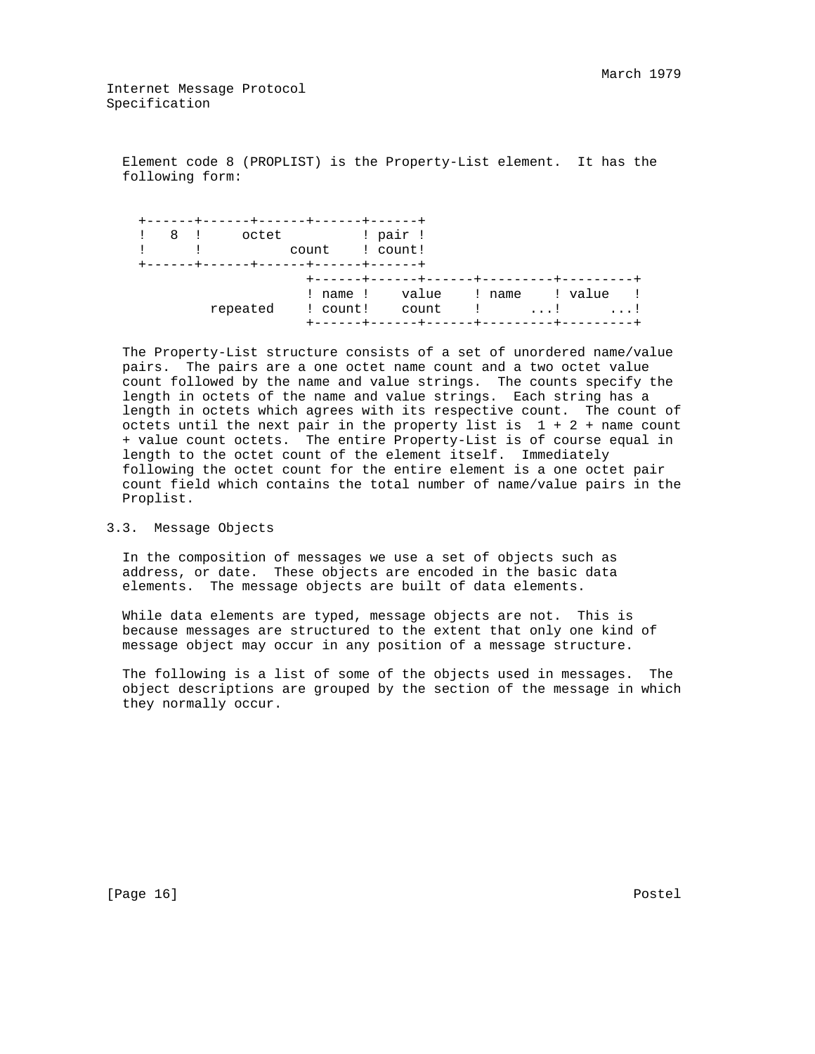Element code 8 (PROPLIST) is the Property-List element. It has the following form:

| 8! | ----+------+------+-----+----+-<br>octet |          |        | ! pair !                        |        |         |  |
|----|------------------------------------------|----------|--------|---------------------------------|--------|---------|--|
|    |                                          | count    |        | ! count!                        |        |         |  |
|    | -----+------+------+------+-------       |          |        |                                 |        |         |  |
|    |                                          |          |        | +------+------+------+--------- |        |         |  |
|    |                                          | <b>I</b> | name ! | value                           | ! name | ! value |  |
|    | repeated                                 | ! count! |        | count                           |        |         |  |
|    |                                          |          |        | -----+------+------+-           |        |         |  |

 The Property-List structure consists of a set of unordered name/value pairs. The pairs are a one octet name count and a two octet value count followed by the name and value strings. The counts specify the length in octets of the name and value strings. Each string has a length in octets which agrees with its respective count. The count of octets until the next pair in the property list is  $1 + 2 +$  name count + value count octets. The entire Property-List is of course equal in length to the octet count of the element itself. Immediately following the octet count for the entire element is a one octet pair count field which contains the total number of name/value pairs in the Proplist.

## 3.3. Message Objects

 In the composition of messages we use a set of objects such as address, or date. These objects are encoded in the basic data elements. The message objects are built of data elements.

 While data elements are typed, message objects are not. This is because messages are structured to the extent that only one kind of message object may occur in any position of a message structure.

 The following is a list of some of the objects used in messages. The object descriptions are grouped by the section of the message in which they normally occur.

[Page 16] Postel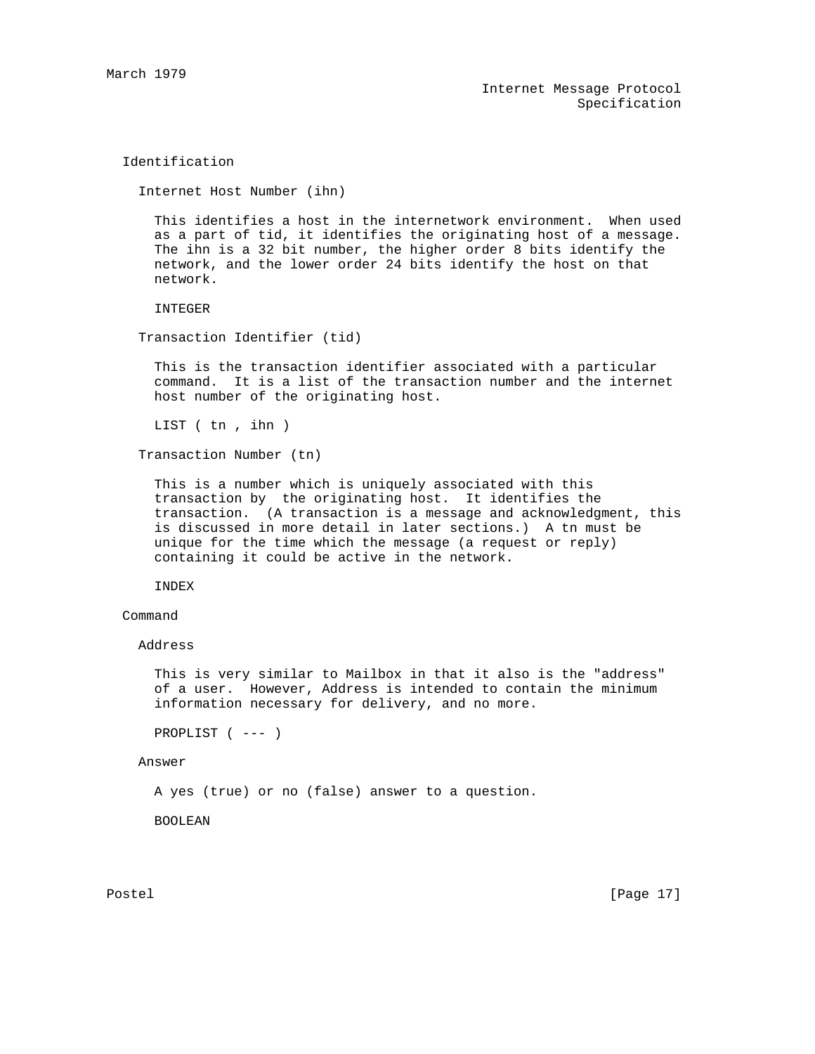Identification

Internet Host Number (ihn)

 This identifies a host in the internetwork environment. When used as a part of tid, it identifies the originating host of a message. The ihn is a 32 bit number, the higher order 8 bits identify the network, and the lower order 24 bits identify the host on that network.

INTEGER

Transaction Identifier (tid)

 This is the transaction identifier associated with a particular command. It is a list of the transaction number and the internet host number of the originating host.

LIST ( tn , ihn )

Transaction Number (tn)

 This is a number which is uniquely associated with this transaction by the originating host. It identifies the transaction. (A transaction is a message and acknowledgment, this is discussed in more detail in later sections.) A tn must be unique for the time which the message (a request or reply) containing it could be active in the network.

INDEX

## Command

#### Address

 This is very similar to Mailbox in that it also is the "address" of a user. However, Address is intended to contain the minimum information necessary for delivery, and no more.

PROPLIST  $(---)$ 

## Answer

A yes (true) or no (false) answer to a question.

BOOLEAN

Postel [Page 17]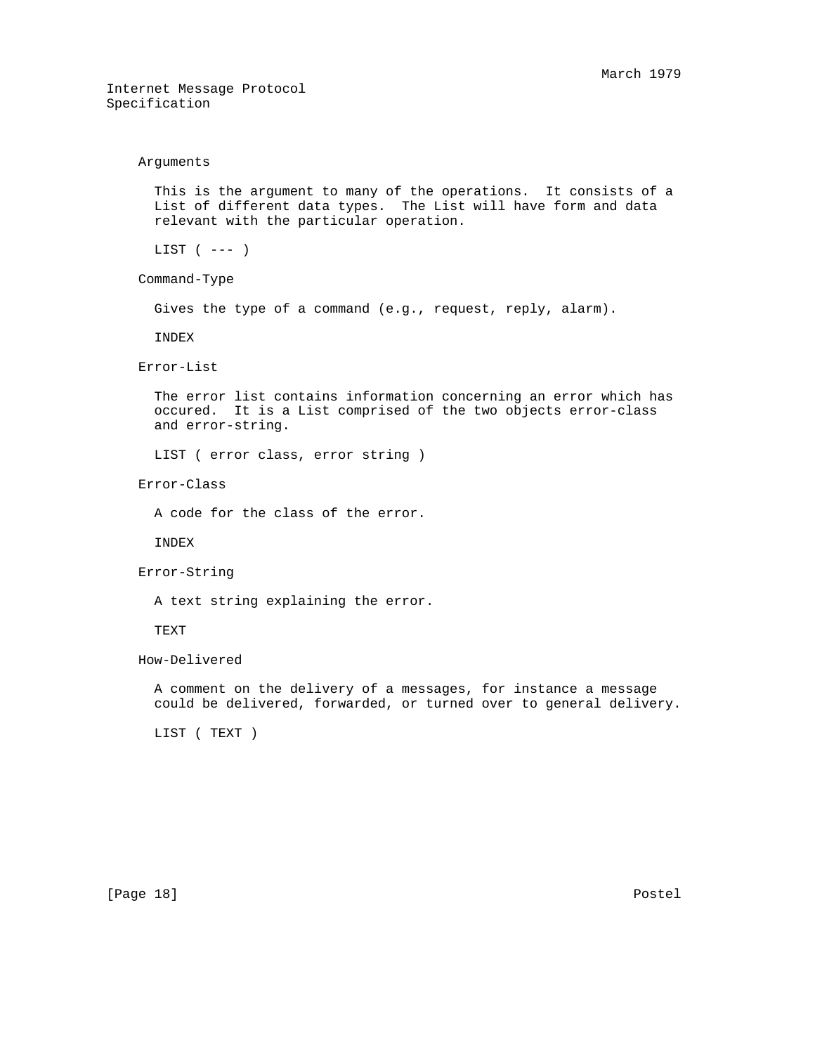```
 Arguments
      This is the argument to many of the operations. It consists of a
      List of different data types. The List will have form and data
      relevant with the particular operation.
     LIST (----) Command-Type
      Gives the type of a command (e.g., request, reply, alarm).
      INDEX
    Error-List
      The error list contains information concerning an error which has
      occured. It is a List comprised of the two objects error-class
      and error-string.
      LIST ( error class, error string )
    Error-Class
      A code for the class of the error.
      INDEX
    Error-String
      A text string explaining the error.
      TEXT
    How-Delivered
      A comment on the delivery of a messages, for instance a message
      could be delivered, forwarded, or turned over to general delivery.
      LIST ( TEXT )
[Page 18] Postel
```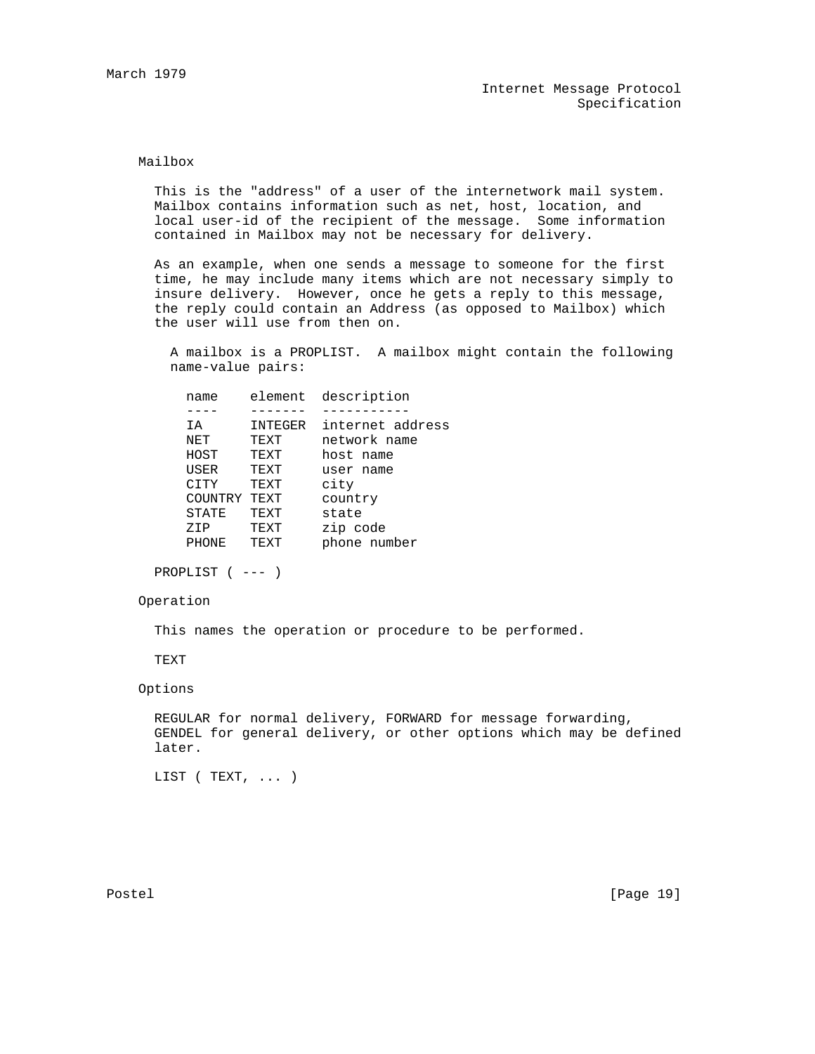## Mailbox

 This is the "address" of a user of the internetwork mail system. Mailbox contains information such as net, host, location, and local user-id of the recipient of the message. Some information contained in Mailbox may not be necessary for delivery.

 As an example, when one sends a message to someone for the first time, he may include many items which are not necessary simply to insure delivery. However, once he gets a reply to this message, the reply could contain an Address (as opposed to Mailbox) which the user will use from then on.

 A mailbox is a PROPLIST. A mailbox might contain the following name-value pairs:

| name         | element | description      |
|--------------|---------|------------------|
|              |         |                  |
| ΙA           | INTEGER | internet address |
| NET          | TEXT    | network name     |
| HOST         | TEXT    | host name        |
| USER         | TEXT    | user name        |
| <b>CITY</b>  | TEXT    | city             |
| COUNTRY TEXT |         | country          |
| STATE        | TEXT    | state            |
| ZIP          | TEXT    | zip code         |
| PHONE        | TEXT    | phone number     |

PROPLIST  $(----)$ 

#### Operation

This names the operation or procedure to be performed.

TEXT

### Options

 REGULAR for normal delivery, FORWARD for message forwarding, GENDEL for general delivery, or other options which may be defined later.

LIST ( TEXT, ... )

Postel [Page 19]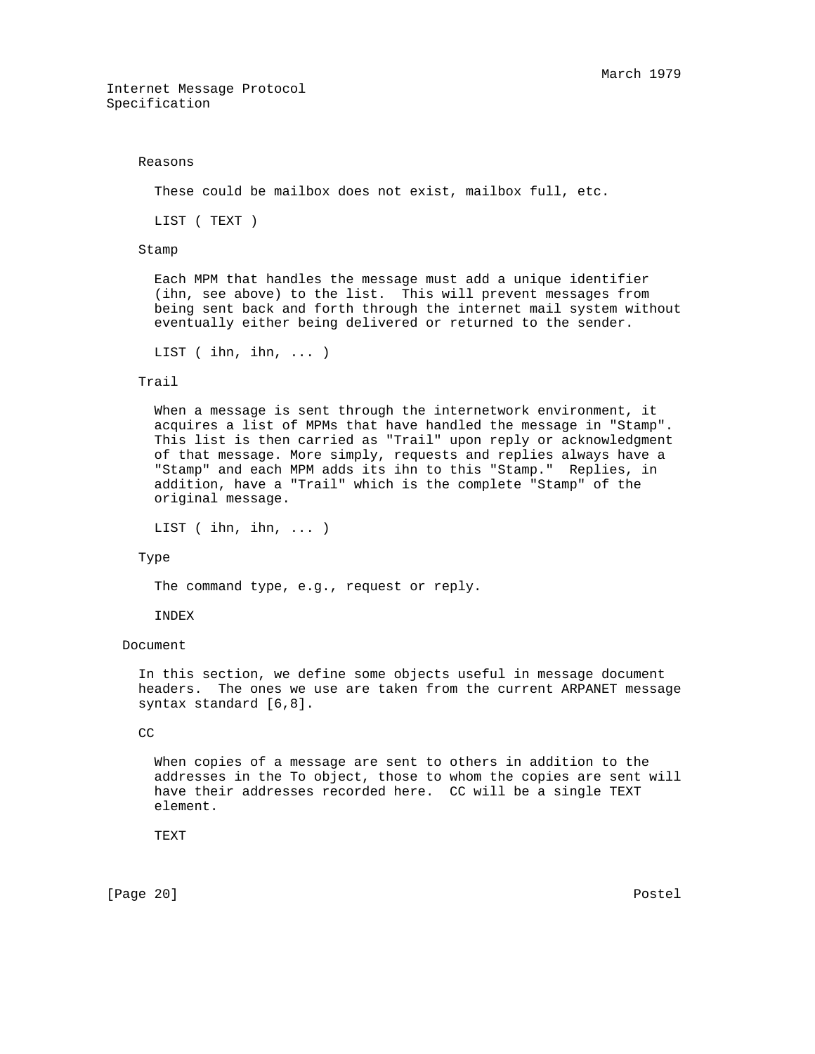## Reasons

These could be mailbox does not exist, mailbox full, etc.

LIST ( TEXT )

#### Stamp

 Each MPM that handles the message must add a unique identifier (ihn, see above) to the list. This will prevent messages from being sent back and forth through the internet mail system without eventually either being delivered or returned to the sender.

LIST ( ihn, ihn, ... )

### Trail

 When a message is sent through the internetwork environment, it acquires a list of MPMs that have handled the message in "Stamp". This list is then carried as "Trail" upon reply or acknowledgment of that message. More simply, requests and replies always have a "Stamp" and each MPM adds its ihn to this "Stamp." Replies, in addition, have a "Trail" which is the complete "Stamp" of the original message.

LIST ( ihn, ihn, ... )

#### Type

The command type, e.g., request or reply.

INDEX

## Document

 In this section, we define some objects useful in message document headers. The ones we use are taken from the current ARPANET message syntax standard [6,8].

#### CC

 When copies of a message are sent to others in addition to the addresses in the To object, those to whom the copies are sent will have their addresses recorded here. CC will be a single TEXT element.

TEXT

[Page 20] Postel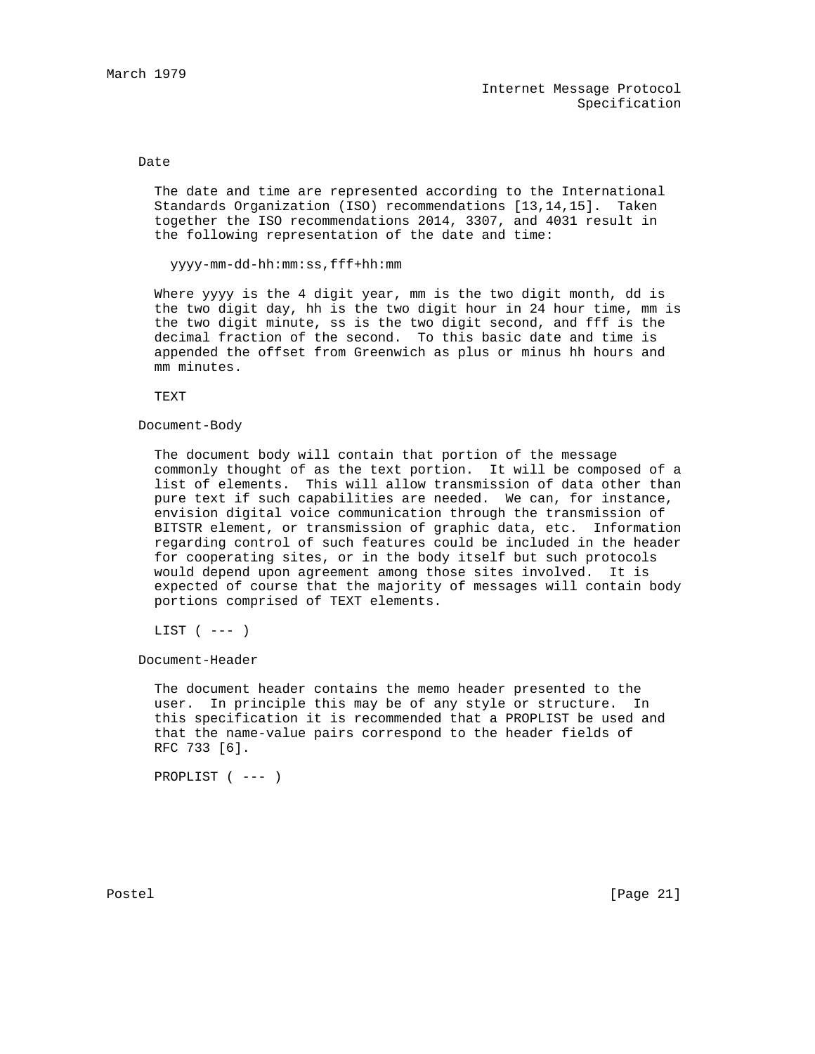#### Date

 The date and time are represented according to the International Standards Organization (ISO) recommendations [13,14,15]. Taken together the ISO recommendations 2014, 3307, and 4031 result in the following representation of the date and time:

yyyy-mm-dd-hh:mm:ss,fff+hh:mm

 Where yyyy is the 4 digit year, mm is the two digit month, dd is the two digit day, hh is the two digit hour in 24 hour time, mm is the two digit minute, ss is the two digit second, and fff is the decimal fraction of the second. To this basic date and time is appended the offset from Greenwich as plus or minus hh hours and mm minutes.

TEXT

### Document-Body

 The document body will contain that portion of the message commonly thought of as the text portion. It will be composed of a list of elements. This will allow transmission of data other than pure text if such capabilities are needed. We can, for instance, envision digital voice communication through the transmission of BITSTR element, or transmission of graphic data, etc. Information regarding control of such features could be included in the header for cooperating sites, or in the body itself but such protocols would depend upon agreement among those sites involved. It is expected of course that the majority of messages will contain body portions comprised of TEXT elements.

LIST  $(----)$ 

#### Document-Header

 The document header contains the memo header presented to the user. In principle this may be of any style or structure. In this specification it is recommended that a PROPLIST be used and that the name-value pairs correspond to the header fields of RFC 733 [6].

```
 PROPLIST ( --- )
```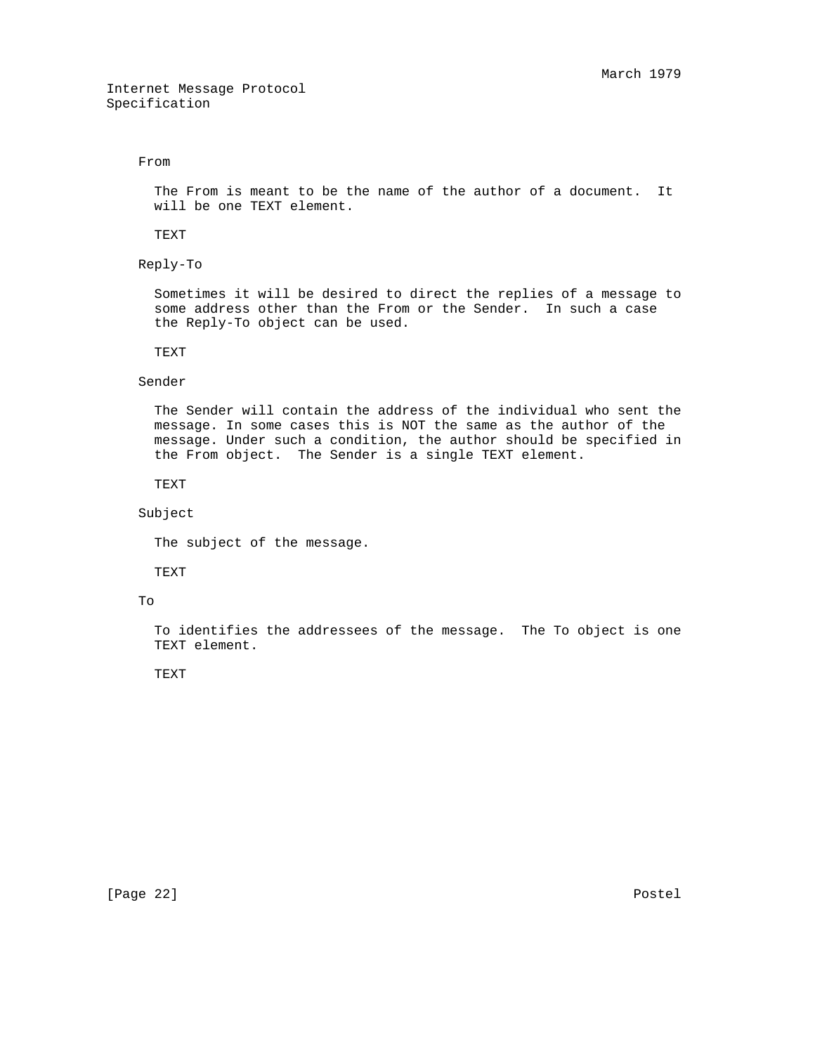## From

 The From is meant to be the name of the author of a document. It will be one TEXT element.

TEXT

Reply-To

 Sometimes it will be desired to direct the replies of a message to some address other than the From or the Sender. In such a case the Reply-To object can be used.

## TEXT

### Sender

 The Sender will contain the address of the individual who sent the message. In some cases this is NOT the same as the author of the message. Under such a condition, the author should be specified in the From object. The Sender is a single TEXT element.

#### TEXT

## Subject

The subject of the message.

TEXT

## To

 To identifies the addressees of the message. The To object is one TEXT element.

#### TEXT

[Page 22] Postel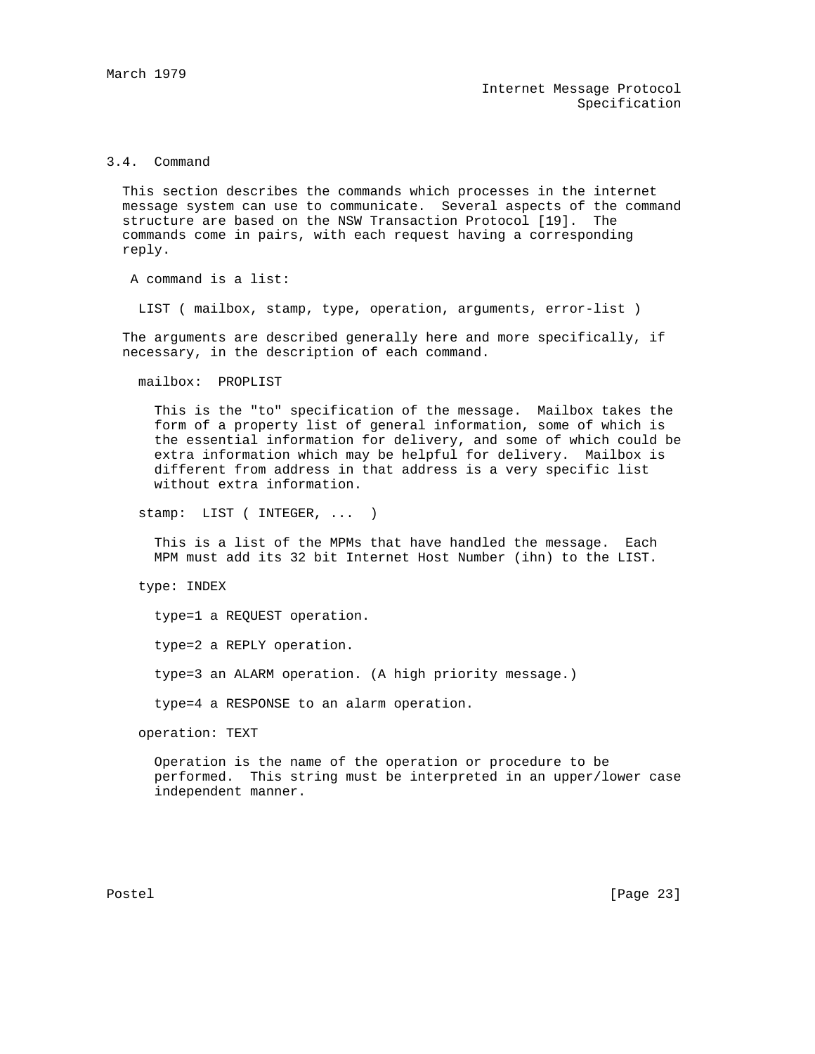#### 3.4. Command

 This section describes the commands which processes in the internet message system can use to communicate. Several aspects of the command structure are based on the NSW Transaction Protocol [19]. The commands come in pairs, with each request having a corresponding reply.

A command is a list:

LIST ( mailbox, stamp, type, operation, arguments, error-list )

 The arguments are described generally here and more specifically, if necessary, in the description of each command.

mailbox: PROPLIST

 This is the "to" specification of the message. Mailbox takes the form of a property list of general information, some of which is the essential information for delivery, and some of which could be extra information which may be helpful for delivery. Mailbox is different from address in that address is a very specific list without extra information.

stamp: LIST ( INTEGER, ... )

 This is a list of the MPMs that have handled the message. Each MPM must add its 32 bit Internet Host Number (ihn) to the LIST.

type: INDEX

type=1 a REQUEST operation.

type=2 a REPLY operation.

type=3 an ALARM operation. (A high priority message.)

type=4 a RESPONSE to an alarm operation.

operation: TEXT

 Operation is the name of the operation or procedure to be performed. This string must be interpreted in an upper/lower case independent manner.

Postel [Page 23]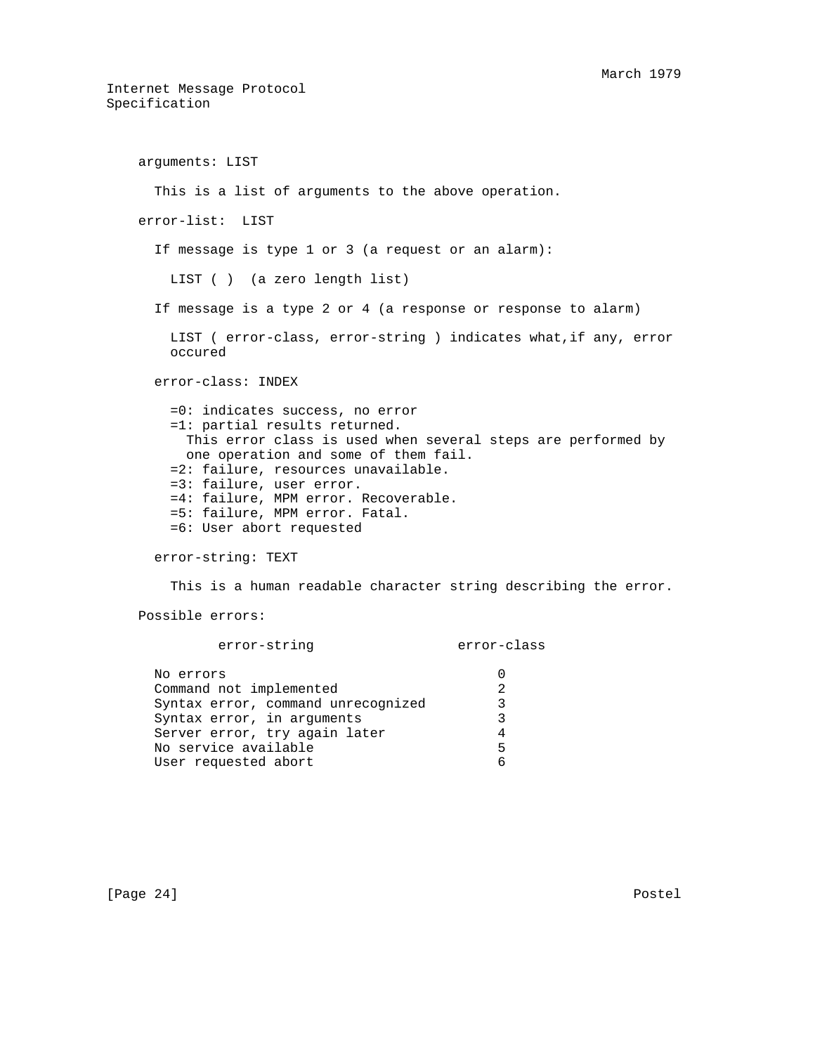## Internet Message Protocol Specification

 arguments: LIST This is a list of arguments to the above operation. error-list: LIST If message is type 1 or 3 (a request or an alarm): LIST ( ) (a zero length list) If message is a type 2 or 4 (a response or response to alarm) LIST ( error-class, error-string ) indicates what,if any, error occured error-class: INDEX =0: indicates success, no error =1: partial results returned. This error class is used when several steps are performed by one operation and some of them fail. =2: failure, resources unavailable. =3: failure, user error. =4: failure, MPM error. Recoverable. =5: failure, MPM error. Fatal. =6: User abort requested error-string: TEXT This is a human readable character string describing the error. Possible errors: error-string error-class

| No errors                          |   |
|------------------------------------|---|
| Command not implemented            |   |
| Syntax error, command unrecognized |   |
| Syntax error, in arguments         | 2 |
| Server error, try again later      |   |
| No service available               | 5 |
| User requested abort               |   |

[Page 24] Postel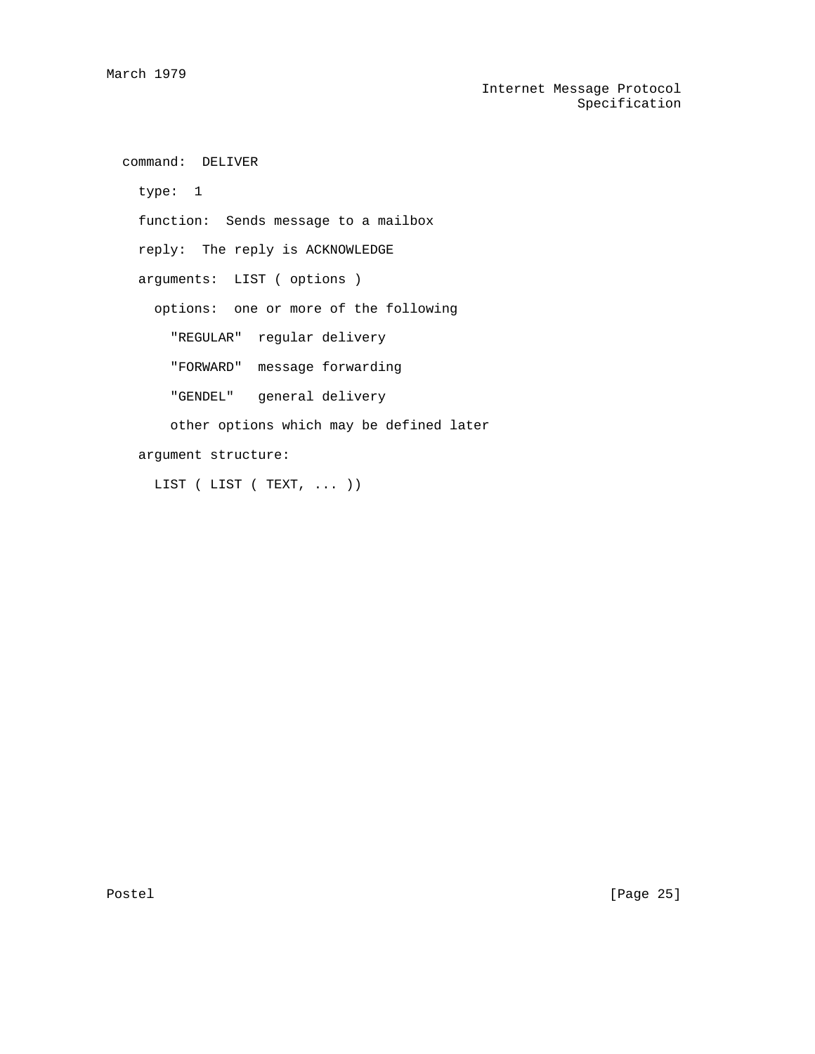command: DELIVER type: 1 function: Sends message to a mailbox reply: The reply is ACKNOWLEDGE arguments: LIST ( options ) options: one or more of the following "REGULAR" regular delivery "FORWARD" message forwarding "GENDEL" general delivery other options which may be defined later argument structure: LIST ( LIST ( TEXT, ... ))

Postel [Page 25]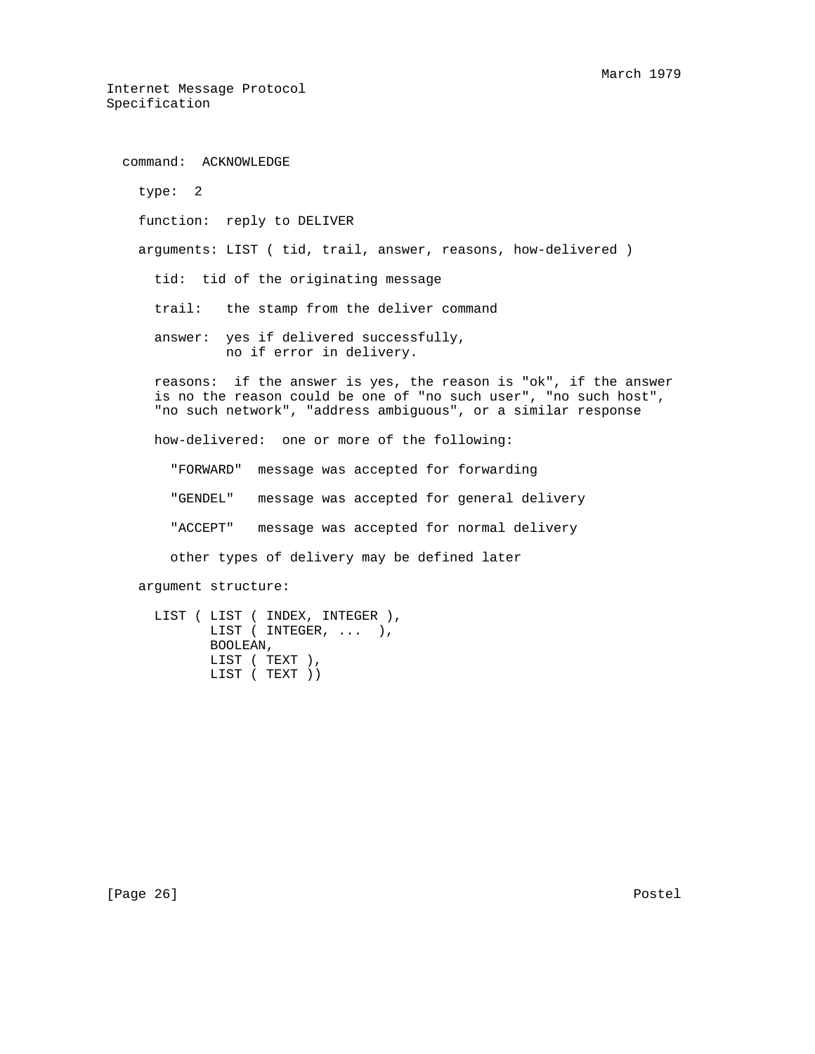Internet Message Protocol Specification

 command: ACKNOWLEDGE type: 2 function: reply to DELIVER arguments: LIST ( tid, trail, answer, reasons, how-delivered ) tid: tid of the originating message trail: the stamp from the deliver command answer: yes if delivered successfully, no if error in delivery. reasons: if the answer is yes, the reason is "ok", if the answer is no the reason could be one of "no such user", "no such host", "no such network", "address ambiguous", or a similar response how-delivered: one or more of the following: "FORWARD" message was accepted for forwarding "GENDEL" message was accepted for general delivery "ACCEPT" message was accepted for normal delivery other types of delivery may be defined later argument structure:

 LIST ( LIST ( INDEX, INTEGER ), LIST ( INTEGER, ... ), BOOLEAN, LIST ( TEXT ), LIST ( TEXT ))

[Page 26] Postel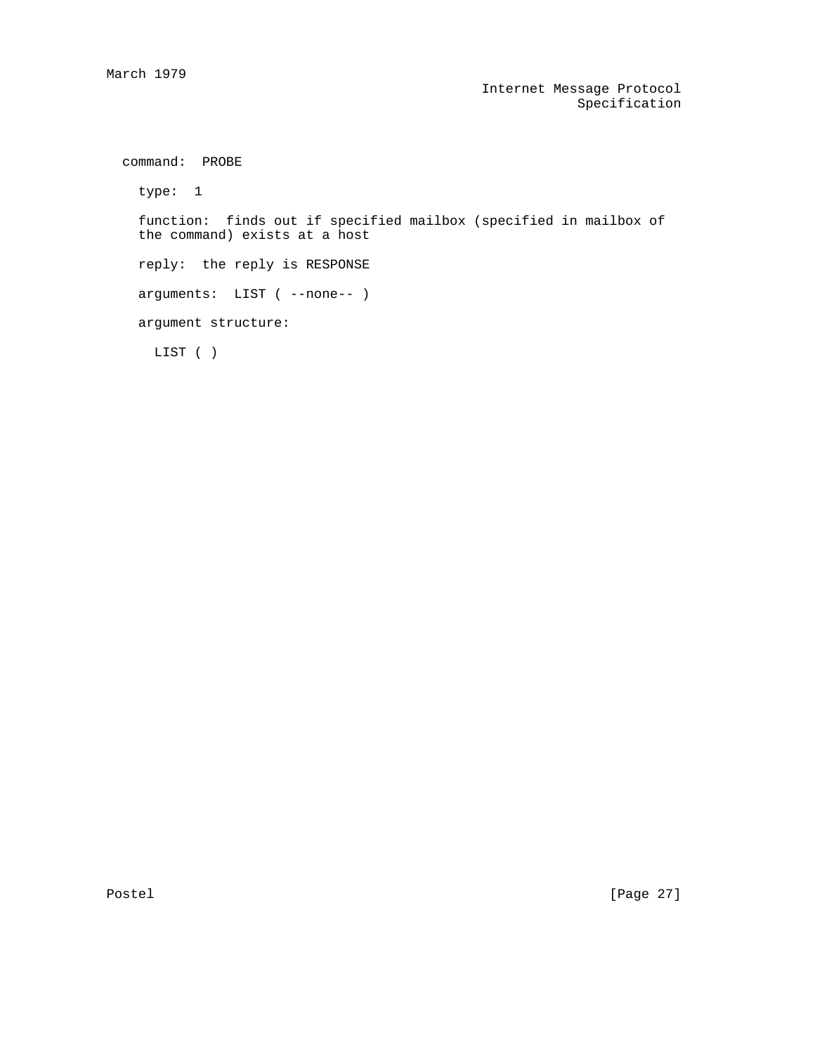command: PROBE type: 1 function: finds out if specified mailbox (specified in mailbox of the command) exists at a host reply: the reply is RESPONSE arguments: LIST ( --none-- ) argument structure: LIST ( )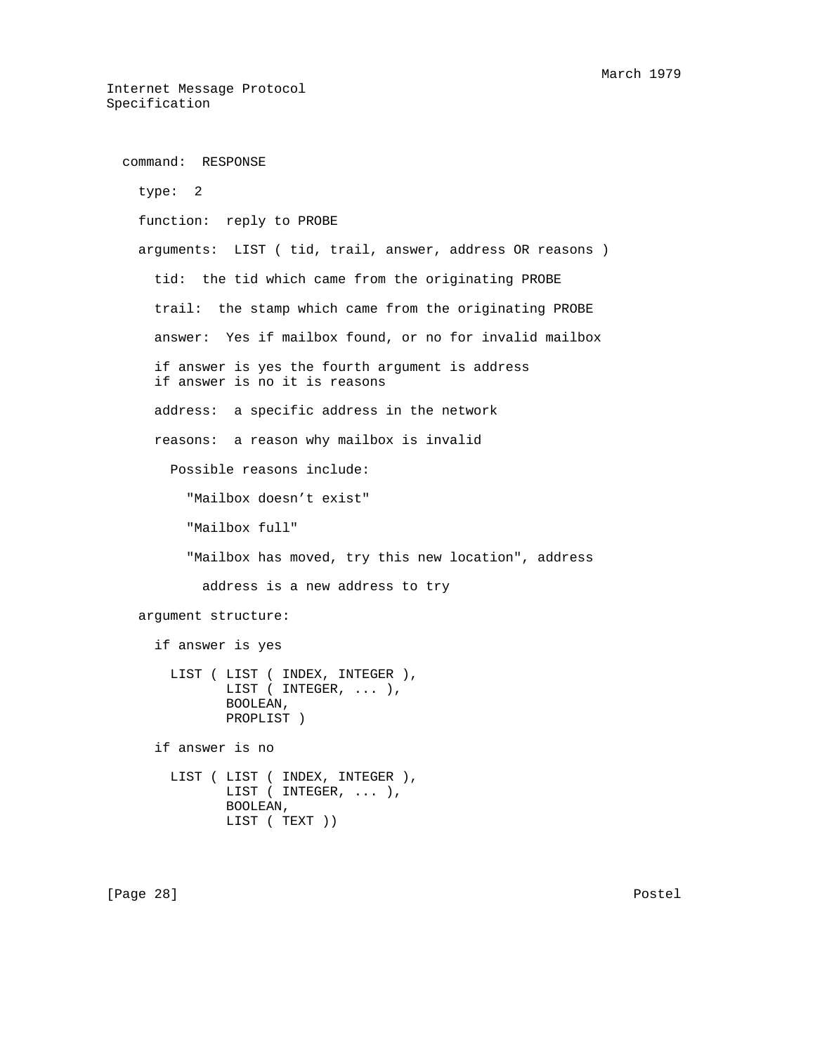## Internet Message Protocol Specification

 command: RESPONSE type: 2 function: reply to PROBE arguments: LIST ( tid, trail, answer, address OR reasons ) tid: the tid which came from the originating PROBE trail: the stamp which came from the originating PROBE answer: Yes if mailbox found, or no for invalid mailbox if answer is yes the fourth argument is address if answer is no it is reasons address: a specific address in the network reasons: a reason why mailbox is invalid Possible reasons include: "Mailbox doesn't exist" "Mailbox full" "Mailbox has moved, try this new location", address address is a new address to try argument structure: if answer is yes LIST ( LIST ( INDEX, INTEGER ), LIST ( INTEGER, ... ), BOOLEAN, PROPLIST ) if answer is no LIST ( LIST ( INDEX, INTEGER ), LIST ( INTEGER, ... ), BOOLEAN, LIST ( TEXT ))

[Page 28] Postel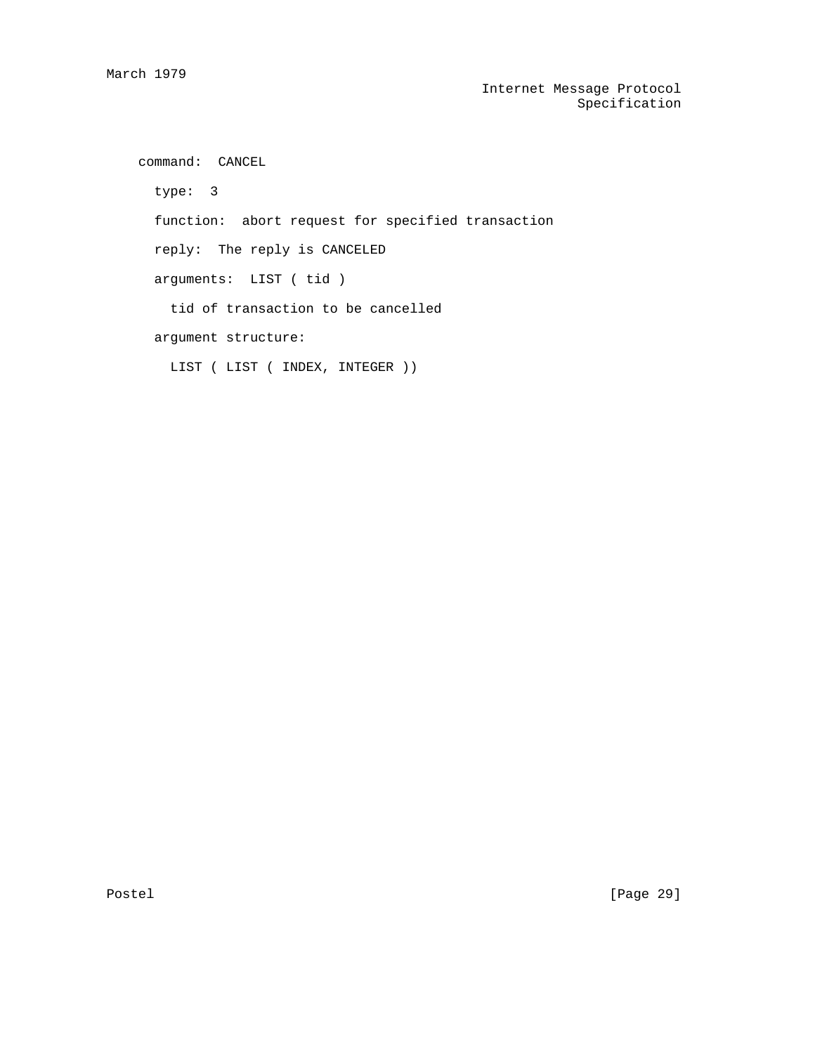```
 command: CANCEL
   type: 3
   function: abort request for specified transaction
  reply: The reply is CANCELED
  arguments: LIST ( tid )
    tid of transaction to be cancelled
   argument structure:
     LIST ( LIST ( INDEX, INTEGER ))
```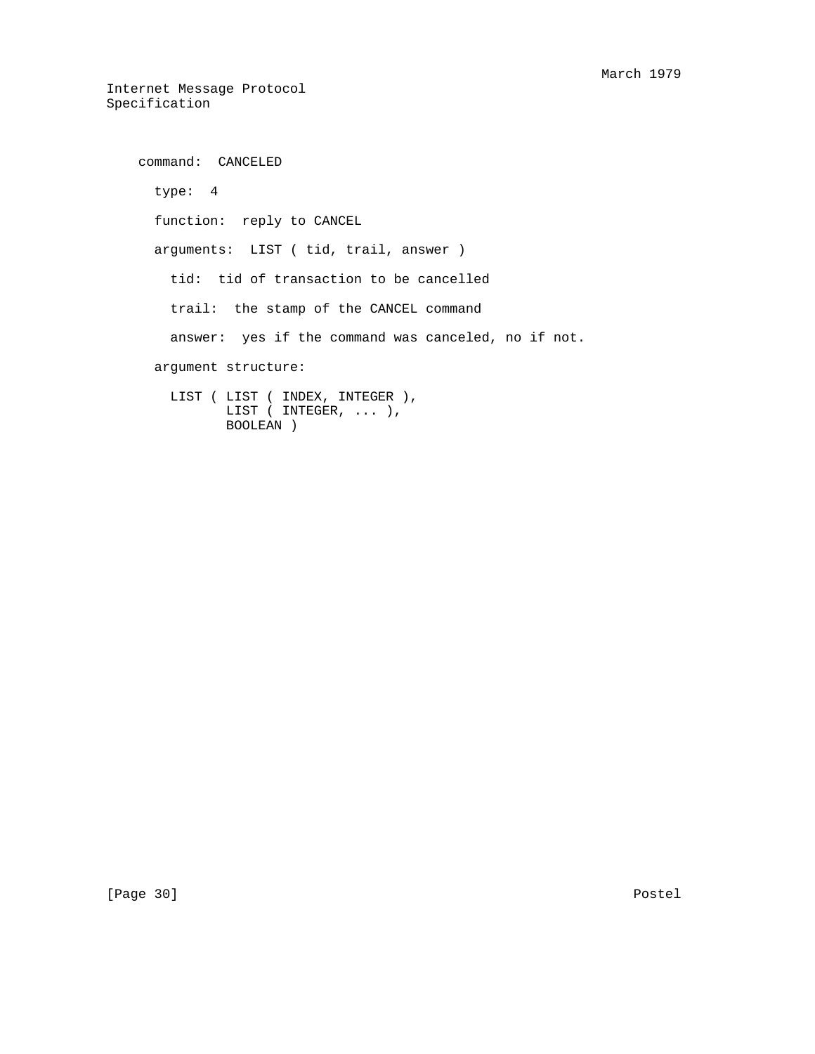# Internet Message Protocol Specification

 command: CANCELED type: 4 function: reply to CANCEL arguments: LIST ( tid, trail, answer ) tid: tid of transaction to be cancelled trail: the stamp of the CANCEL command answer: yes if the command was canceled, no if not. argument structure: LIST ( LIST ( INDEX, INTEGER ), LIST ( INTEGER, ... ), BOOLEAN )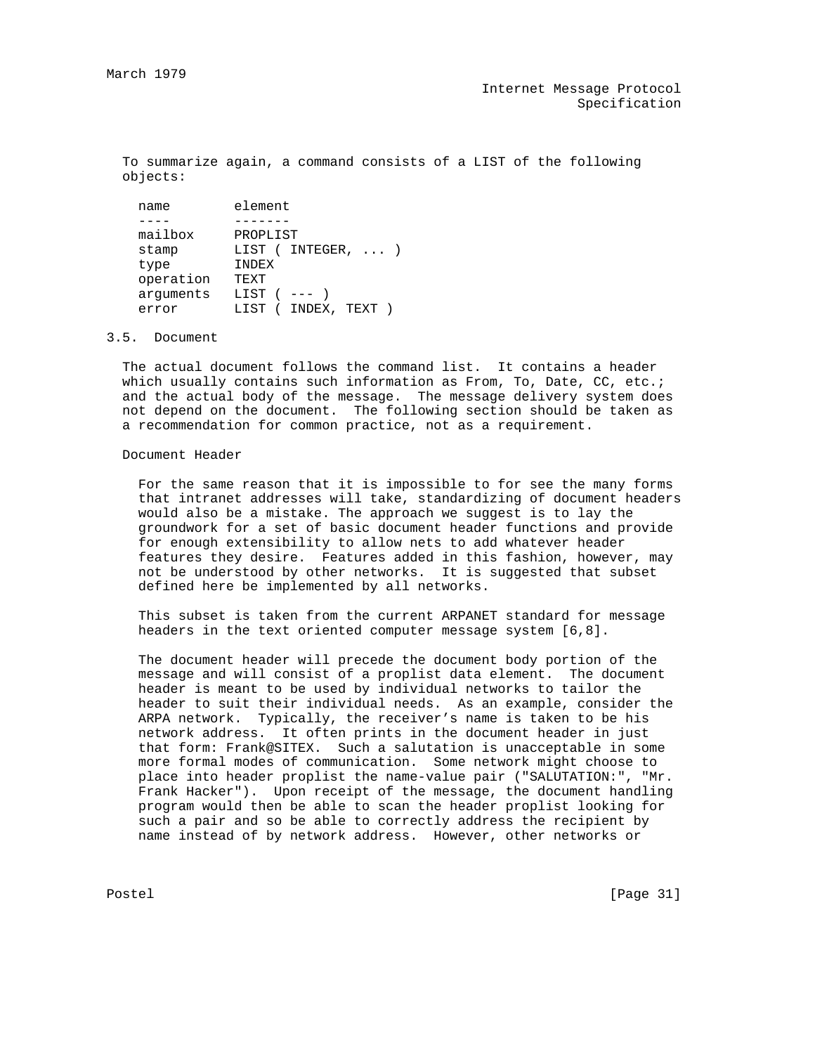March 1979

 To summarize again, a command consists of a LIST of the following objects:

 name element ---- ------ mailbox PROPLIST stamp LIST ( INTEGER, ... ) type INDEX operation TEXT arguments LIST ( --- ) error LIST ( INDEX, TEXT )

### 3.5. Document

 The actual document follows the command list. It contains a header which usually contains such information as From, To, Date, CC, etc.; and the actual body of the message. The message delivery system does not depend on the document. The following section should be taken as a recommendation for common practice, not as a requirement.

### Document Header

 For the same reason that it is impossible to for see the many forms that intranet addresses will take, standardizing of document headers would also be a mistake. The approach we suggest is to lay the groundwork for a set of basic document header functions and provide for enough extensibility to allow nets to add whatever header features they desire. Features added in this fashion, however, may not be understood by other networks. It is suggested that subset defined here be implemented by all networks.

 This subset is taken from the current ARPANET standard for message headers in the text oriented computer message system [6,8].

 The document header will precede the document body portion of the message and will consist of a proplist data element. The document header is meant to be used by individual networks to tailor the header to suit their individual needs. As an example, consider the ARPA network. Typically, the receiver's name is taken to be his network address. It often prints in the document header in just that form: Frank@SITEX. Such a salutation is unacceptable in some more formal modes of communication. Some network might choose to place into header proplist the name-value pair ("SALUTATION:", "Mr. Frank Hacker"). Upon receipt of the message, the document handling program would then be able to scan the header proplist looking for such a pair and so be able to correctly address the recipient by name instead of by network address. However, other networks or

Postel [Page 31]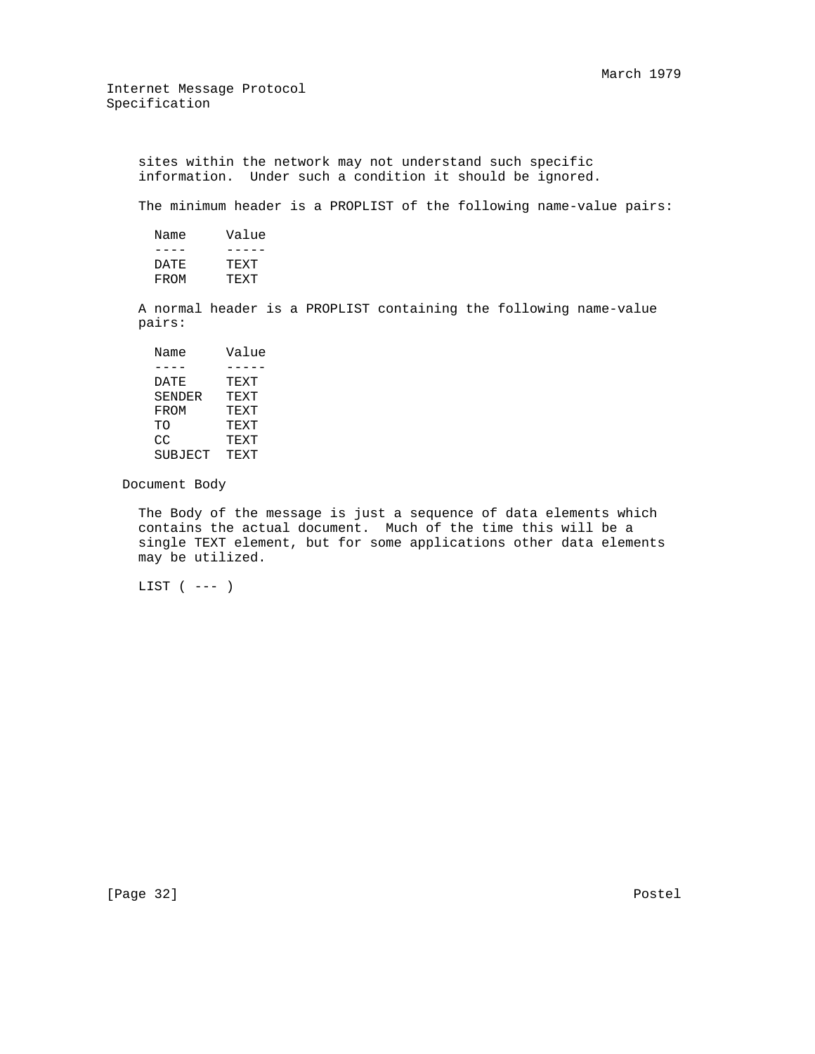Internet Message Protocol Specification

> sites within the network may not understand such specific information. Under such a condition it should be ignored.

The minimum header is a PROPLIST of the following name-value pairs:

| Name  | Value |
|-------|-------|
|       |       |
| DATE. | TEXT  |
| FROM  | TEXT  |

 A normal header is a PROPLIST containing the following name-value pairs:

| Name    | Value |
|---------|-------|
|         |       |
| DATE    | TEXT  |
| SENDER  | TEXT  |
| FROM    | TEXT  |
| TΟ      | TEXT  |
| CC      | TEXT  |
| SUBJECT | TFXT  |

Document Body

 The Body of the message is just a sequence of data elements which contains the actual document. Much of the time this will be a single TEXT element, but for some applications other data elements may be utilized.

LIST  $(----)$ 

[Page 32] Postel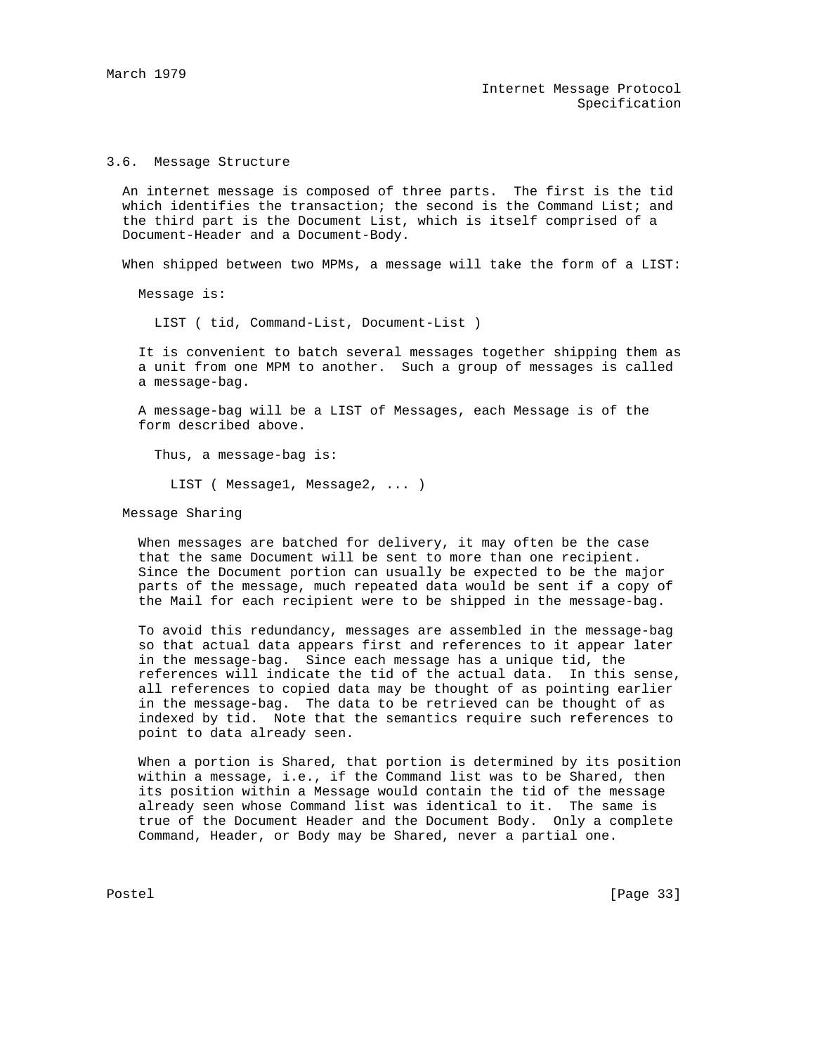#### 3.6. Message Structure

 An internet message is composed of three parts. The first is the tid which identifies the transaction; the second is the Command List; and the third part is the Document List, which is itself comprised of a Document-Header and a Document-Body.

When shipped between two MPMs, a message will take the form of a LIST:

Message is:

LIST ( tid, Command-List, Document-List )

 It is convenient to batch several messages together shipping them as a unit from one MPM to another. Such a group of messages is called a message-bag.

 A message-bag will be a LIST of Messages, each Message is of the form described above.

Thus, a message-bag is:

LIST ( Message1, Message2, ... )

Message Sharing

 When messages are batched for delivery, it may often be the case that the same Document will be sent to more than one recipient. Since the Document portion can usually be expected to be the major parts of the message, much repeated data would be sent if a copy of the Mail for each recipient were to be shipped in the message-bag.

 To avoid this redundancy, messages are assembled in the message-bag so that actual data appears first and references to it appear later in the message-bag. Since each message has a unique tid, the references will indicate the tid of the actual data. In this sense, all references to copied data may be thought of as pointing earlier in the message-bag. The data to be retrieved can be thought of as indexed by tid. Note that the semantics require such references to point to data already seen.

 When a portion is Shared, that portion is determined by its position within a message, i.e., if the Command list was to be Shared, then its position within a Message would contain the tid of the message already seen whose Command list was identical to it. The same is true of the Document Header and the Document Body. Only a complete Command, Header, or Body may be Shared, never a partial one.

Postel [Page 33]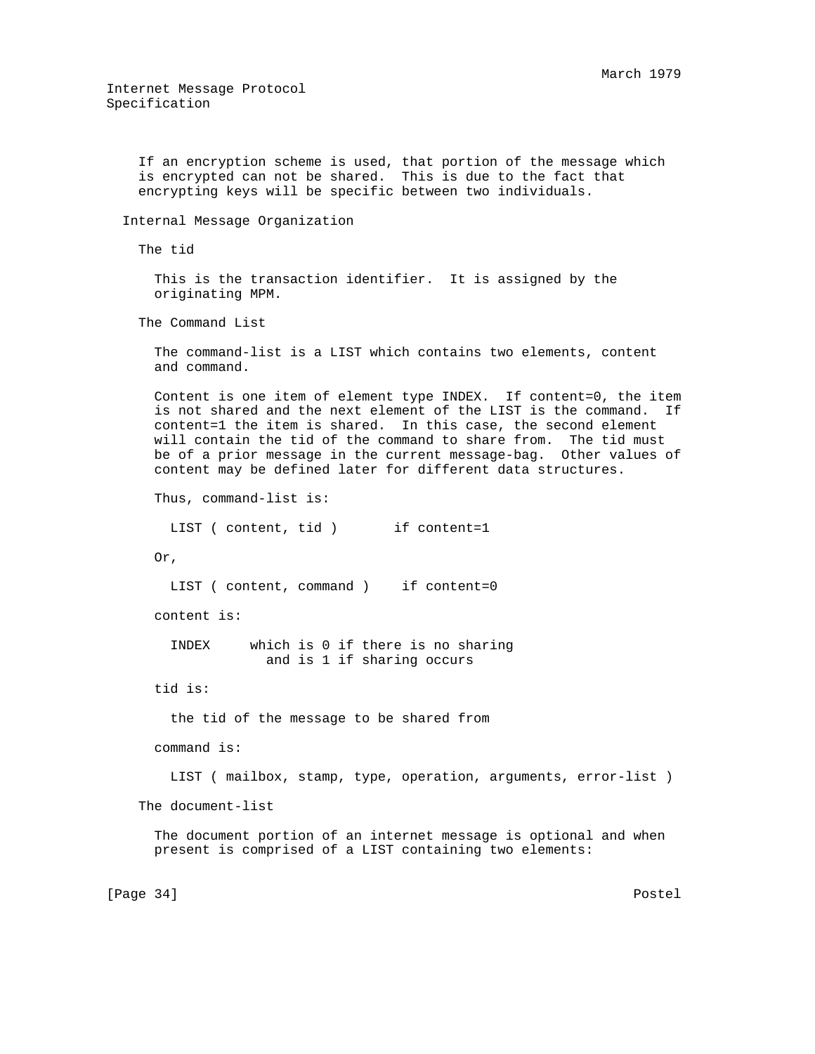Internet Message Protocol Specification

> If an encryption scheme is used, that portion of the message which is encrypted can not be shared. This is due to the fact that encrypting keys will be specific between two individuals.

Internal Message Organization

The tid

 This is the transaction identifier. It is assigned by the originating MPM.

The Command List

 The command-list is a LIST which contains two elements, content and command.

 Content is one item of element type INDEX. If content=0, the item is not shared and the next element of the LIST is the command. If content=1 the item is shared. In this case, the second element will contain the tid of the command to share from. The tid must be of a prior message in the current message-bag. Other values of content may be defined later for different data structures.

Thus, command-list is:

LIST ( content, tid ) if content=1

Or,

LIST ( content, command ) if content=0

content is:

 INDEX which is 0 if there is no sharing and is 1 if sharing occurs

tid is:

the tid of the message to be shared from

command is:

LIST ( mailbox, stamp, type, operation, arguments, error-list )

The document-list

 The document portion of an internet message is optional and when present is comprised of a LIST containing two elements:

[Page 34] Postel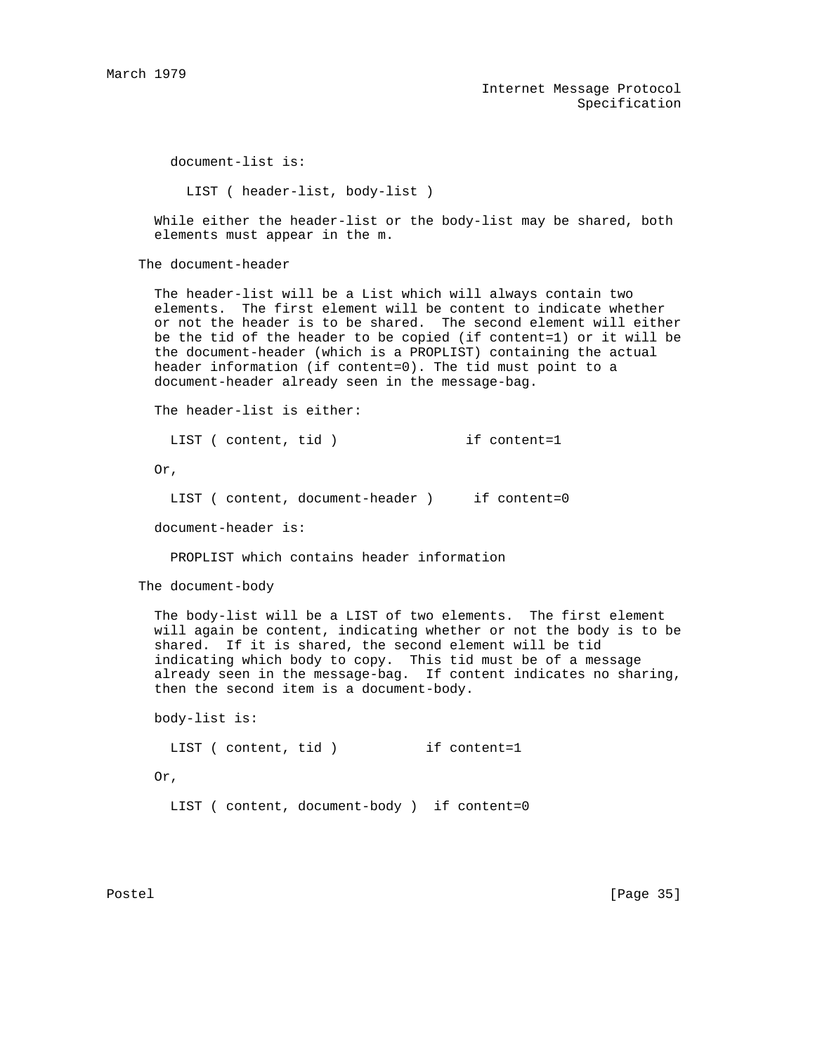document-list is:

LIST ( header-list, body-list )

 While either the header-list or the body-list may be shared, both elements must appear in the m.

The document-header

 The header-list will be a List which will always contain two elements. The first element will be content to indicate whether or not the header is to be shared. The second element will either be the tid of the header to be copied (if content=1) or it will be the document-header (which is a PROPLIST) containing the actual header information (if content=0). The tid must point to a document-header already seen in the message-bag.

The header-list is either:

LIST ( content, tid ) if content=1

Or,

LIST ( content, document-header ) if content=0

document-header is:

PROPLIST which contains header information

The document-body

 The body-list will be a LIST of two elements. The first element will again be content, indicating whether or not the body is to be shared. If it is shared, the second element will be tid indicating which body to copy. This tid must be of a message already seen in the message-bag. If content indicates no sharing, then the second item is a document-body.

```
 body-list is:
```
LIST ( content, tid ) if content=1

Or,

LIST ( content, document-body ) if content=0

Postel [Page 35]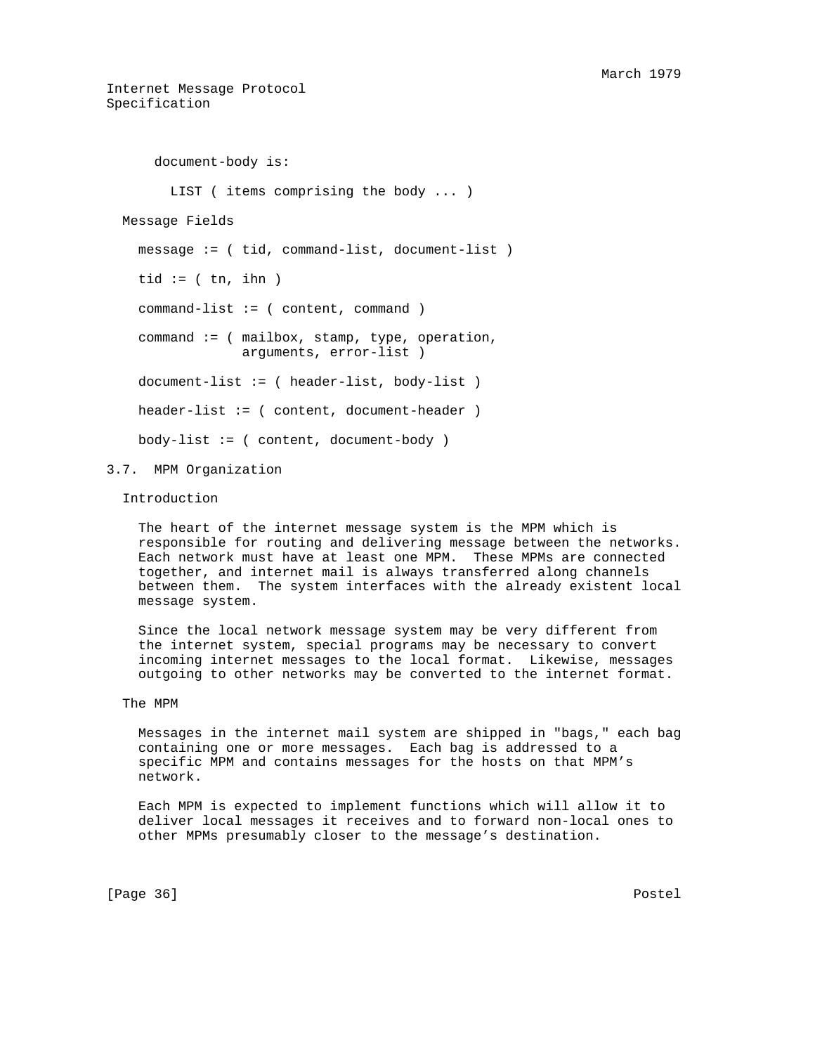```
 document-body is:
       LIST ( items comprising the body ... )
 Message Fields
  message := ( tid, command-list, document-list )
  tid := (tn, ihn)command-list := (content, command) command := ( mailbox, stamp, type, operation,
                arguments, error-list )
   document-list := ( header-list, body-list )
  header-list := ( content, document-header )
  body-list := ( content, document-body )
```
3.7. MPM Organization

Introduction

 The heart of the internet message system is the MPM which is responsible for routing and delivering message between the networks. Each network must have at least one MPM. These MPMs are connected together, and internet mail is always transferred along channels between them. The system interfaces with the already existent local message system.

 Since the local network message system may be very different from the internet system, special programs may be necessary to convert incoming internet messages to the local format. Likewise, messages outgoing to other networks may be converted to the internet format.

#### The MPM

 Messages in the internet mail system are shipped in "bags," each bag containing one or more messages. Each bag is addressed to a specific MPM and contains messages for the hosts on that MPM's network.

 Each MPM is expected to implement functions which will allow it to deliver local messages it receives and to forward non-local ones to other MPMs presumably closer to the message's destination.

[Page 36] Postel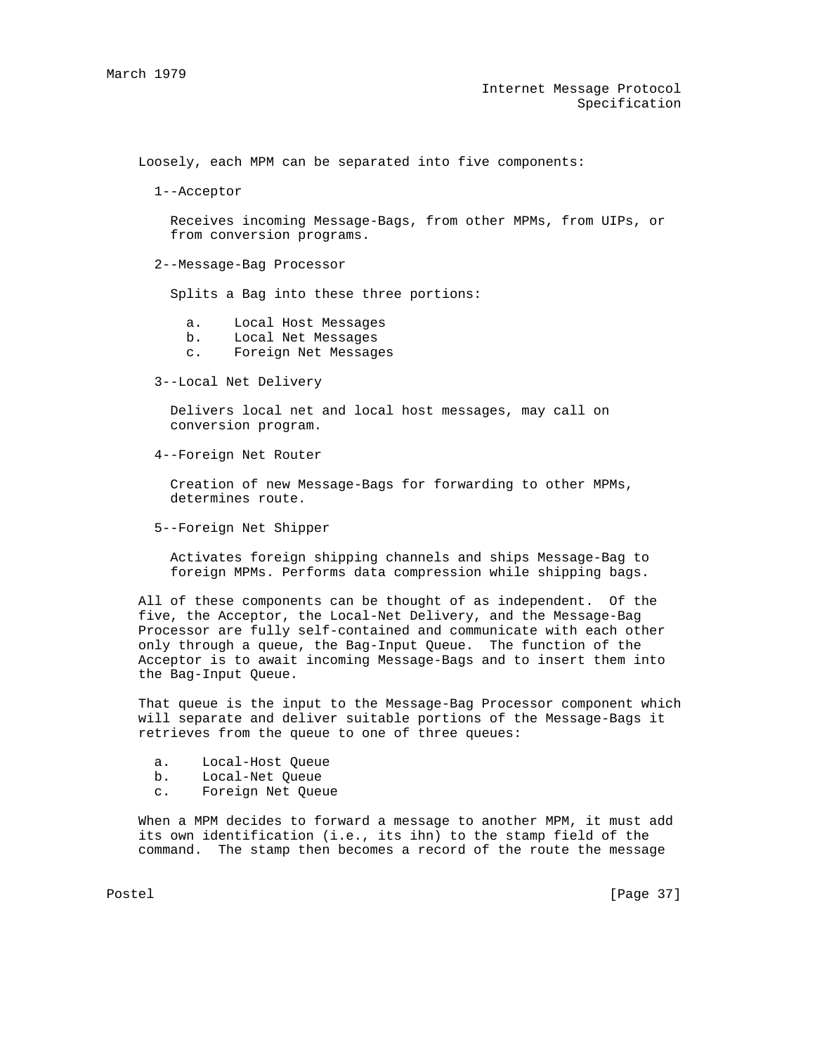Loosely, each MPM can be separated into five components:

1--Acceptor

 Receives incoming Message-Bags, from other MPMs, from UIPs, or from conversion programs.

2--Message-Bag Processor

Splits a Bag into these three portions:

- a. Local Host Messages
- b. Local Net Messages
- c. Foreign Net Messages

3--Local Net Delivery

 Delivers local net and local host messages, may call on conversion program.

4--Foreign Net Router

 Creation of new Message-Bags for forwarding to other MPMs, determines route.

5--Foreign Net Shipper

 Activates foreign shipping channels and ships Message-Bag to foreign MPMs. Performs data compression while shipping bags.

 All of these components can be thought of as independent. Of the five, the Acceptor, the Local-Net Delivery, and the Message-Bag Processor are fully self-contained and communicate with each other only through a queue, the Bag-Input Queue. The function of the Acceptor is to await incoming Message-Bags and to insert them into the Bag-Input Queue.

 That queue is the input to the Message-Bag Processor component which will separate and deliver suitable portions of the Message-Bags it retrieves from the queue to one of three queues:

- a. Local-Host Queue
- b. Local-Net Queue
- c. Foreign Net Queue

 When a MPM decides to forward a message to another MPM, it must add its own identification (i.e., its ihn) to the stamp field of the command. The stamp then becomes a record of the route the message

Postel [Page 37]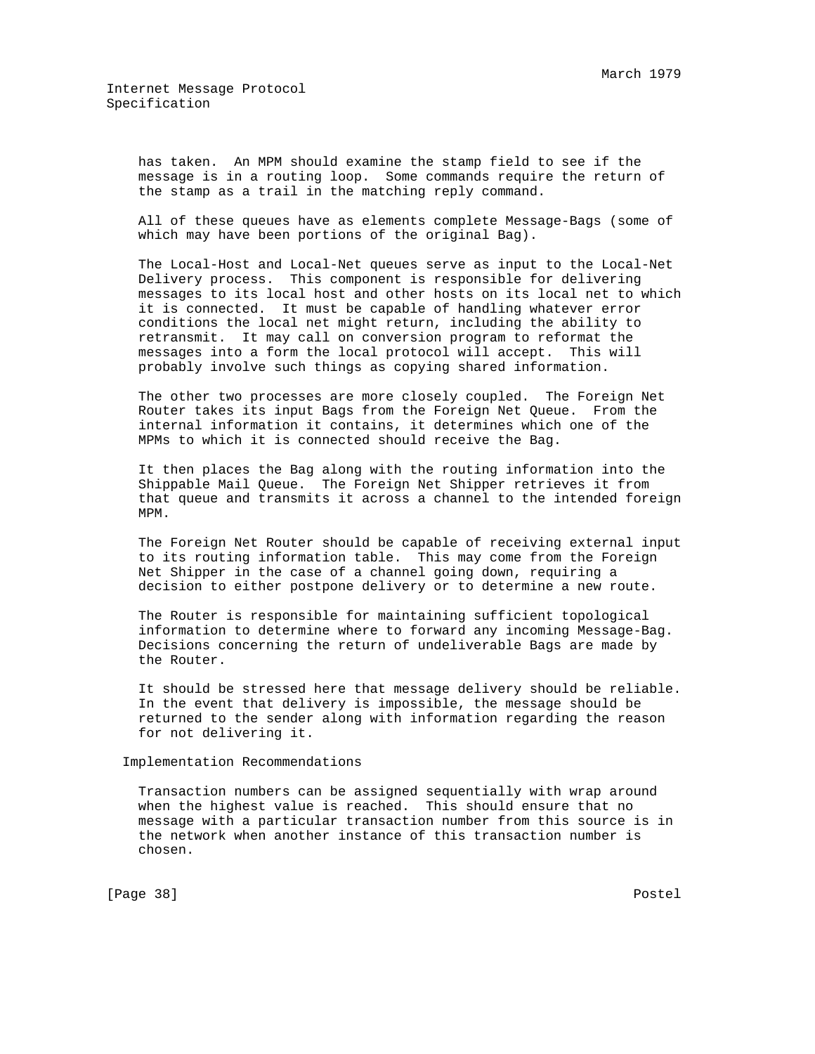has taken. An MPM should examine the stamp field to see if the message is in a routing loop. Some commands require the return of the stamp as a trail in the matching reply command.

 All of these queues have as elements complete Message-Bags (some of which may have been portions of the original Bag).

 The Local-Host and Local-Net queues serve as input to the Local-Net Delivery process. This component is responsible for delivering messages to its local host and other hosts on its local net to which it is connected. It must be capable of handling whatever error conditions the local net might return, including the ability to retransmit. It may call on conversion program to reformat the messages into a form the local protocol will accept. This will probably involve such things as copying shared information.

 The other two processes are more closely coupled. The Foreign Net Router takes its input Bags from the Foreign Net Queue. From the internal information it contains, it determines which one of the MPMs to which it is connected should receive the Bag.

 It then places the Bag along with the routing information into the Shippable Mail Queue. The Foreign Net Shipper retrieves it from that queue and transmits it across a channel to the intended foreign MPM.

 The Foreign Net Router should be capable of receiving external input to its routing information table. This may come from the Foreign Net Shipper in the case of a channel going down, requiring a decision to either postpone delivery or to determine a new route.

 The Router is responsible for maintaining sufficient topological information to determine where to forward any incoming Message-Bag. Decisions concerning the return of undeliverable Bags are made by the Router.

 It should be stressed here that message delivery should be reliable. In the event that delivery is impossible, the message should be returned to the sender along with information regarding the reason for not delivering it.

Implementation Recommendations

 Transaction numbers can be assigned sequentially with wrap around when the highest value is reached. This should ensure that no message with a particular transaction number from this source is in the network when another instance of this transaction number is chosen.

[Page 38] Postel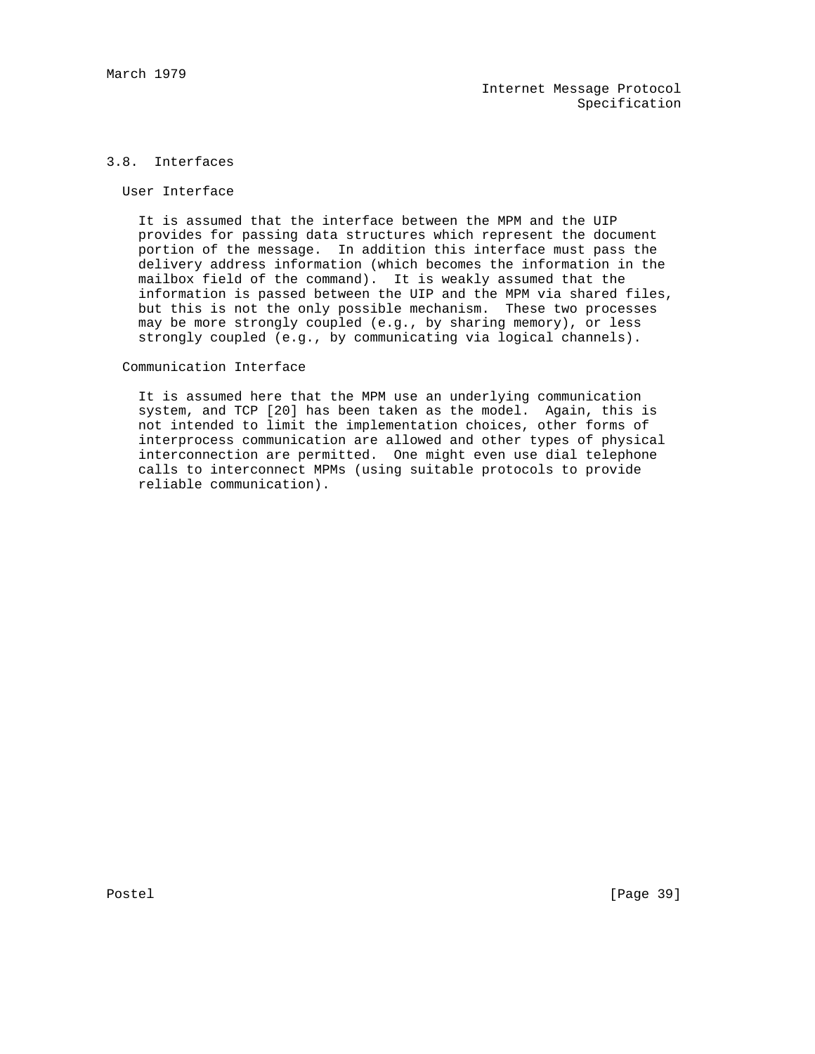## 3.8. Interfaces

#### User Interface

 It is assumed that the interface between the MPM and the UIP provides for passing data structures which represent the document portion of the message. In addition this interface must pass the delivery address information (which becomes the information in the mailbox field of the command). It is weakly assumed that the information is passed between the UIP and the MPM via shared files, but this is not the only possible mechanism. These two processes may be more strongly coupled (e.g., by sharing memory), or less strongly coupled (e.g., by communicating via logical channels).

#### Communication Interface

 It is assumed here that the MPM use an underlying communication system, and TCP [20] has been taken as the model. Again, this is not intended to limit the implementation choices, other forms of interprocess communication are allowed and other types of physical interconnection are permitted. One might even use dial telephone calls to interconnect MPMs (using suitable protocols to provide reliable communication).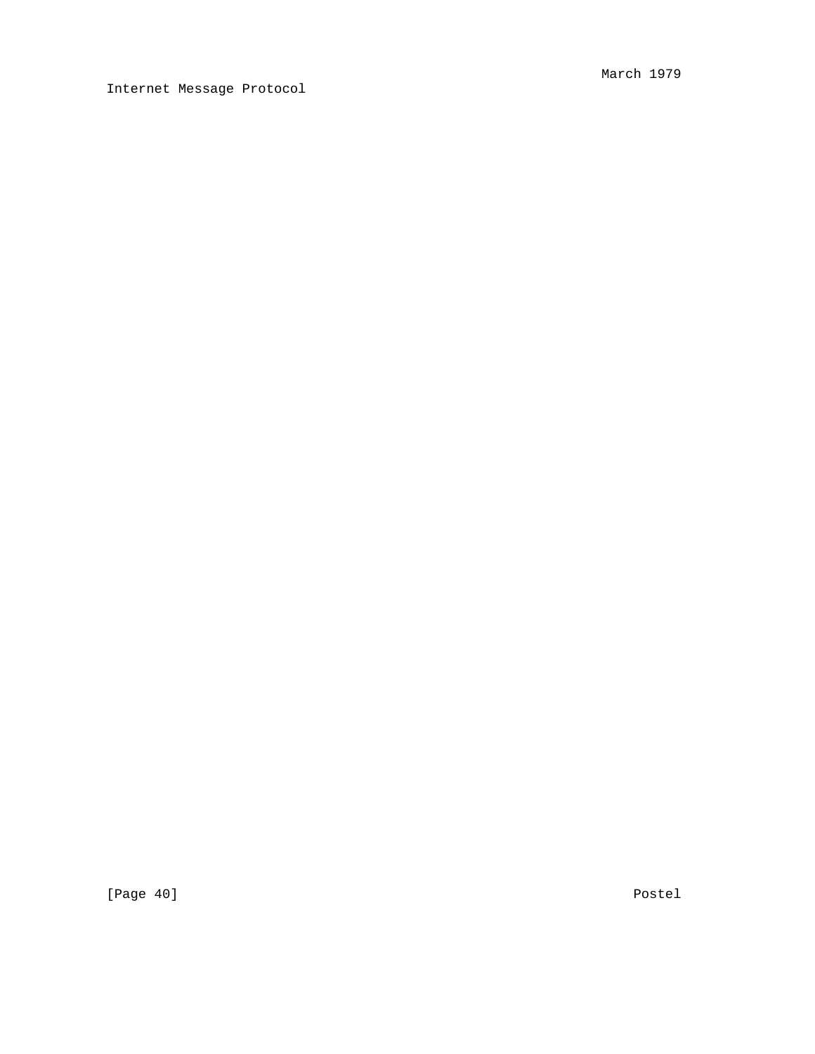March 1979

[Page 40] Postel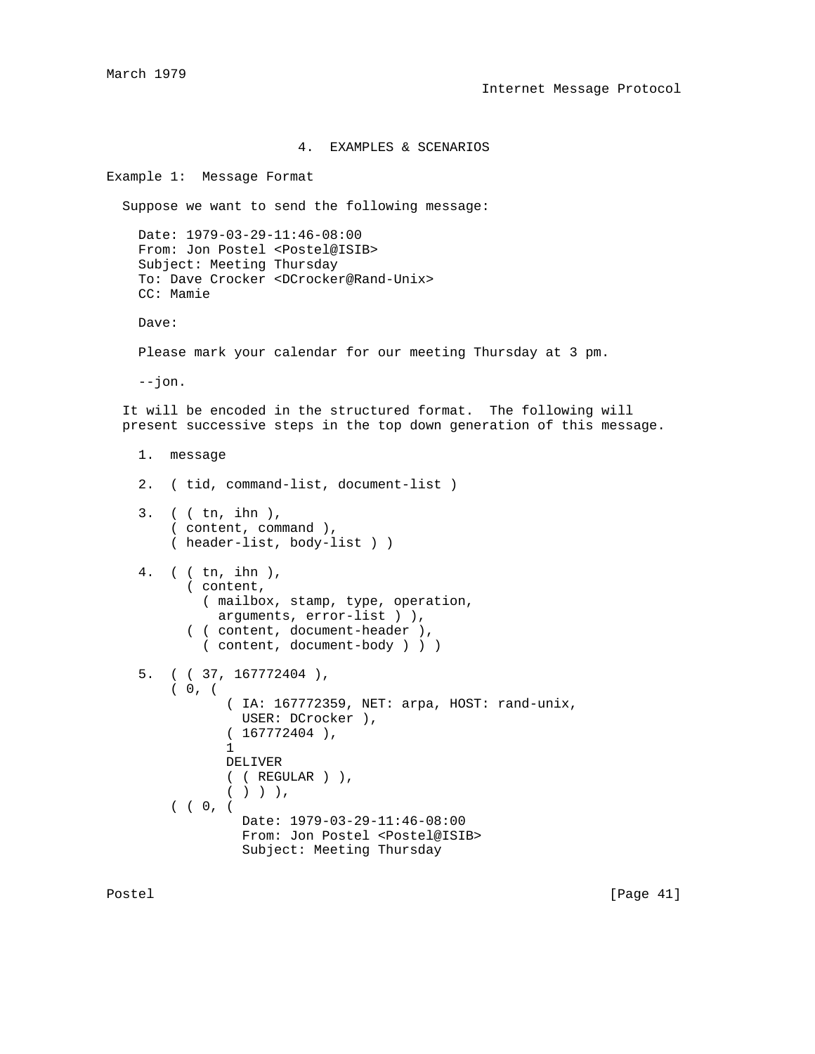March 1979

Internet Message Protocol

 4. EXAMPLES & SCENARIOS Example 1: Message Format Suppose we want to send the following message: Date: 1979-03-29-11:46-08:00 From: Jon Postel <Postel@ISIB> Subject: Meeting Thursday To: Dave Crocker <DCrocker@Rand-Unix> CC: Mamie Dave: Please mark your calendar for our meeting Thursday at 3 pm.  $--$ jon. It will be encoded in the structured format. The following will present successive steps in the top down generation of this message. 1. message 2. ( tid, command-list, document-list ) 3. ( ( tn, ihn ), ( content, command ), ( header-list, body-list ) ) 4. ( ( tn, ihn ), ( content, ( mailbox, stamp, type, operation, arguments, error-list ) ), ( ( content, document-header ), ( content, document-body ) ) ) 5. ( ( 37, 167772404 ), ( 0, ( ( IA: 167772359, NET: arpa, HOST: rand-unix, USER: DCrocker ), ( 167772404 ), 1 DELIVER ( ( REGULAR ) ),  $( ) )$  ) ), ( ( 0, ( Date: 1979-03-29-11:46-08:00 From: Jon Postel <Postel@ISIB> Subject: Meeting Thursday

Postel [Page 41]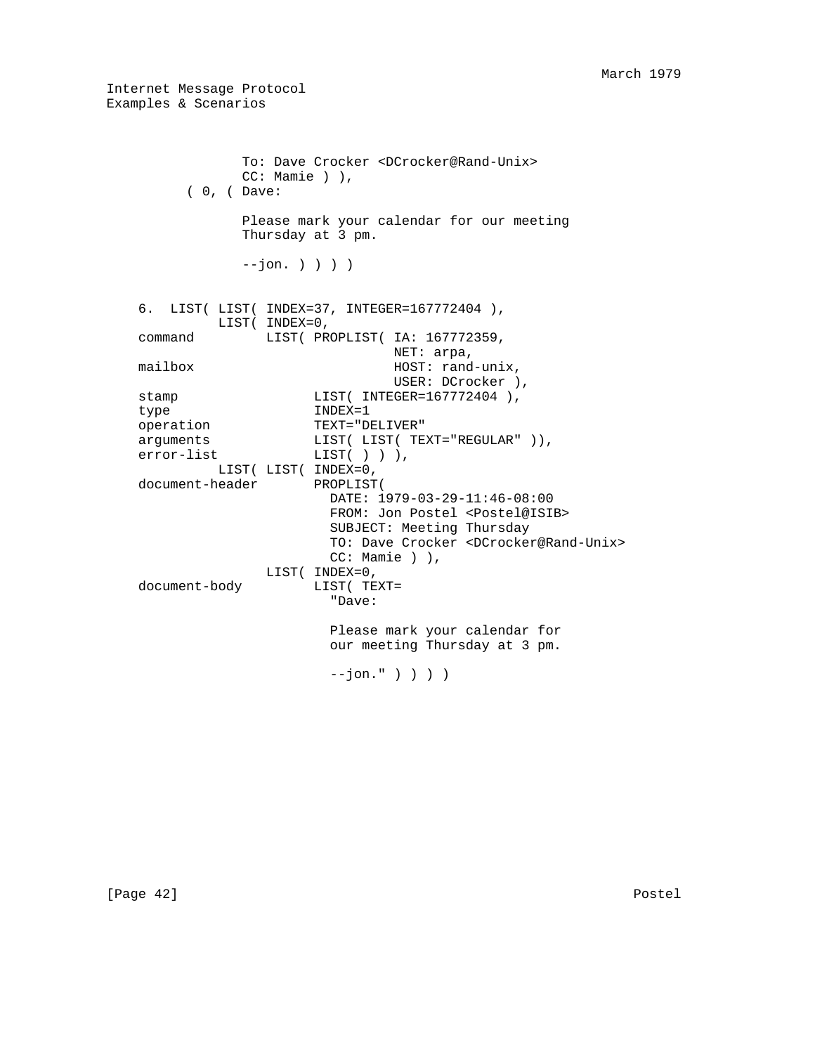```
Internet Message Protocol
Examples & Scenarios
                To: Dave Crocker <DCrocker@Rand-Unix>
                CC: Mamie ) ),
          ( 0, ( Dave:
                Please mark your calendar for our meeting
                Thursday at 3 pm.
               --jon. ) ) )
    6. LIST( LIST( INDEX=37, INTEGER=167772404 ),
             LIST( INDEX=0,
    command LIST( PROPLIST( IA: 167772359,
                                 NET: arpa,
   mailbox <br>
HOST: rand-unix,
                                 USER: DCrocker ),
   stamp LIST( INTEGER=167772404 ),
    type INDEX=1
    operation TEXT="DELIVER"
   arguments LIST( LIST( TEXT="REGULAR" )),
   error-list LIST( ) ) ),
             LIST( LIST( INDEX=0,
    document-header PROPLIST(
                          DATE: 1979-03-29-11:46-08:00
                          FROM: Jon Postel <Postel@ISIB>
                          SUBJECT: Meeting Thursday
                          TO: Dave Crocker <DCrocker@Rand-Unix>
                          CC: Mamie ) ),
                   LIST( INDEX=0,
    document-body LIST( TEXT=
                          "Dave:
                          Please mark your calendar for
                          our meeting Thursday at 3 pm.
                         --jon." ) ) ) )
```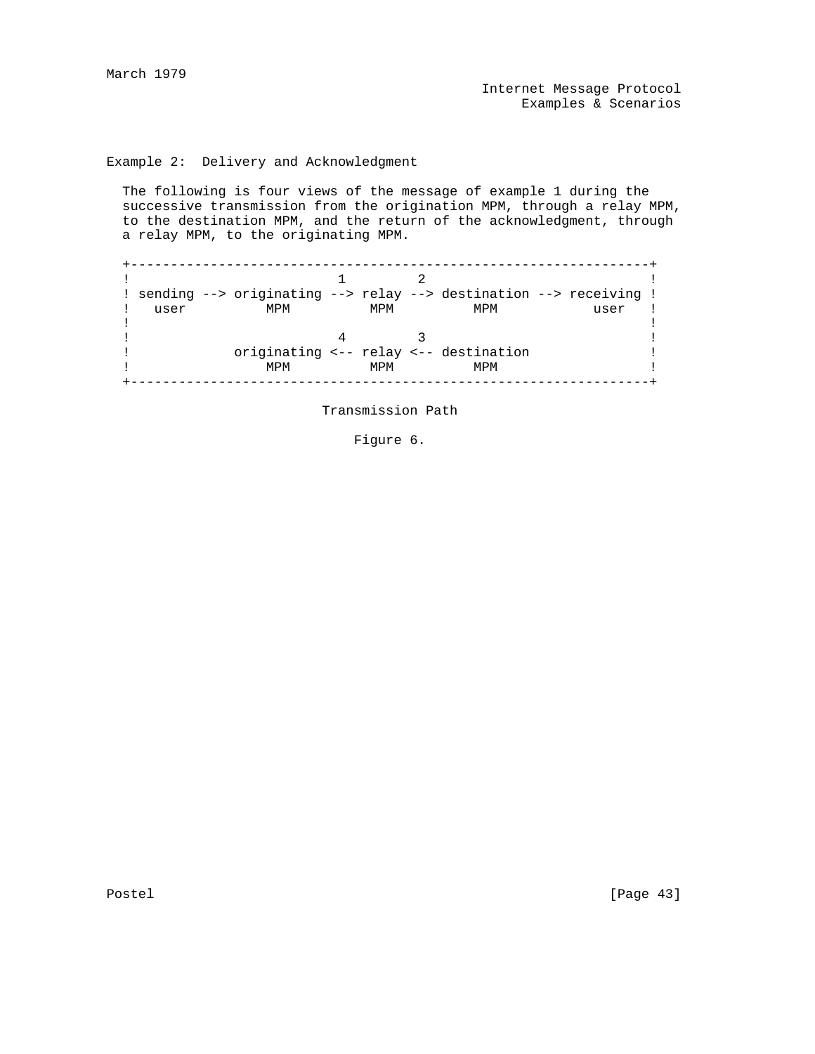Example 2: Delivery and Acknowledgment

 The following is four views of the message of example 1 during the successive transmission from the origination MPM, through a relay MPM, to the destination MPM, and the return of the acknowledgment, through a relay MPM, to the originating MPM.

|      | sending $--$ originating $--$ relay $--$ destination $--$ receiving ! |     |                                       |      |  |
|------|-----------------------------------------------------------------------|-----|---------------------------------------|------|--|
| user | <b>MPM</b>                                                            | MPM | MPM                                   | user |  |
|      |                                                                       |     |                                       |      |  |
|      |                                                                       |     |                                       |      |  |
|      |                                                                       |     | originating <-- relay <-- destination |      |  |
|      | <b>MPM</b>                                                            | MPM | MPM                                   |      |  |
|      |                                                                       |     |                                       |      |  |

Transmission Path

Figure 6.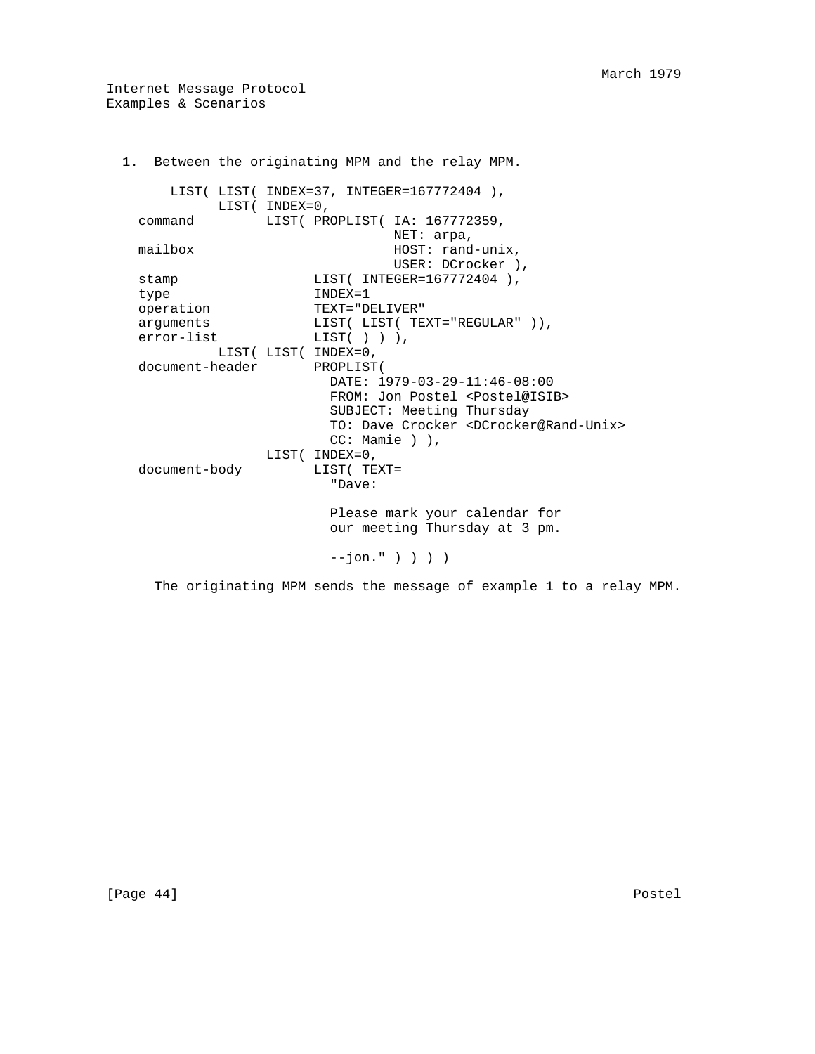Internet Message Protocol Examples & Scenarios

1. Between the originating MPM and the relay MPM.

LIST( LIST( INDEX=37, INTEGER=167772404 ), LIST( INDEX=0, command LIST( PROPLIST( IA: 167772359, NET: arpa, mailbox <br>
HOST: rand-unix, USER: DCrocker ), stamp LIST( INTEGER=167772404 ), type INDEX=1 operation TEXT="DELIVER" arguments LIST( LIST( TEXT="REGULAR" )), error-list LIST( ) ) ), LIST( LIST( INDEX=0, document-header PROPLIST( DATE: 1979-03-29-11:46-08:00 FROM: Jon Postel <Postel@ISIB> SUBJECT: Meeting Thursday TO: Dave Crocker <DCrocker@Rand-Unix> CC: Mamie ) ), LIST( INDEX=0,<br>LIST( TEXT= document-body "Dave: Please mark your calendar for our meeting Thursday at 3 pm.  $--jon.$ " ) ) ) )

The originating MPM sends the message of example 1 to a relay MPM.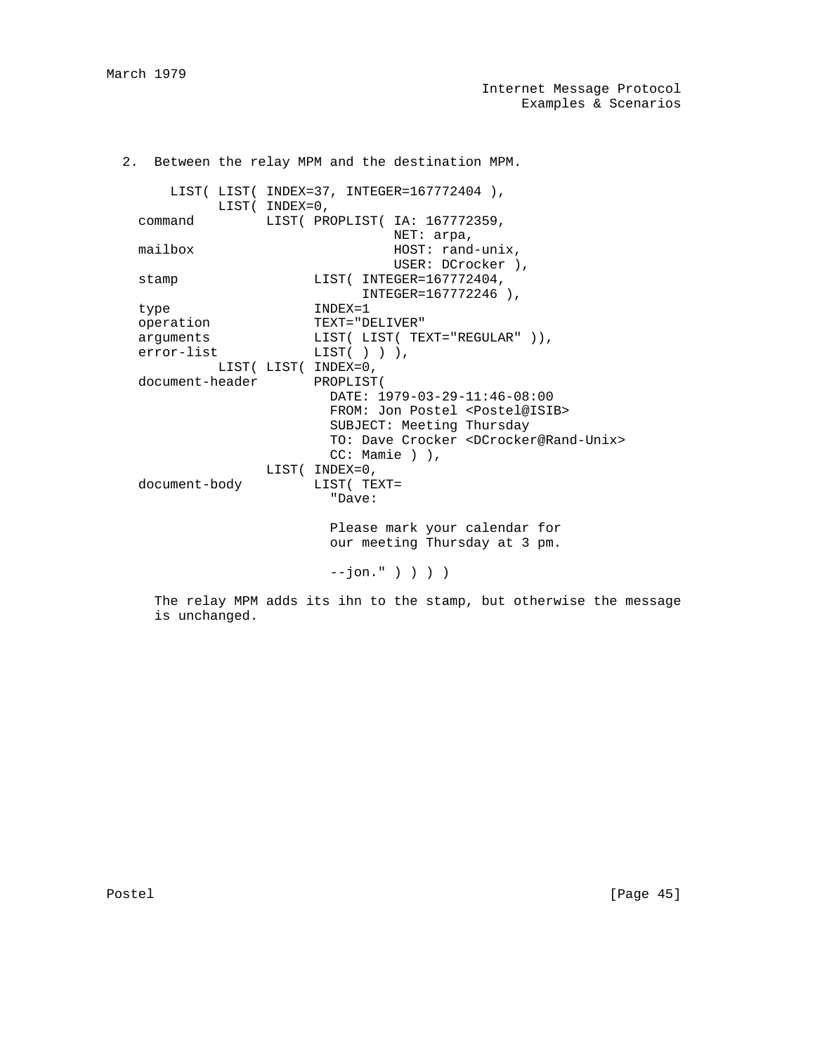2. Between the relay MPM and the destination MPM.

 LIST( LIST( INDEX=37, INTEGER=167772404 ), LIST( INDEX=0, command LIST( PROPLIST( IA: 167772359, NET: arpa, mailbox <br> HOST: rand-unix, USER: DCrocker ), stamp LIST( INTEGER=167772404, INTEGER=167772246 ), type INDEX=1 operation TEXT="DELIVER" arguments LIST( LIST( TEXT="REGULAR" )), error-list LIST( ) ) ), LIST( LIST( INDEX=0, document-header PROPLIST( DATE: 1979-03-29-11:46-08:00 FROM: Jon Postel <Postel@ISIB> SUBJECT: Meeting Thursday TO: Dave Crocker <DCrocker@Rand-Unix> CC: Mamie ) ), LIST( INDEX=0,<br>LIST( TEXT= document-body "Dave: Please mark your calendar for our meeting Thursday at 3 pm.  $--jon."$  ) ) )

 The relay MPM adds its ihn to the stamp, but otherwise the message is unchanged.

Postel [Page 45]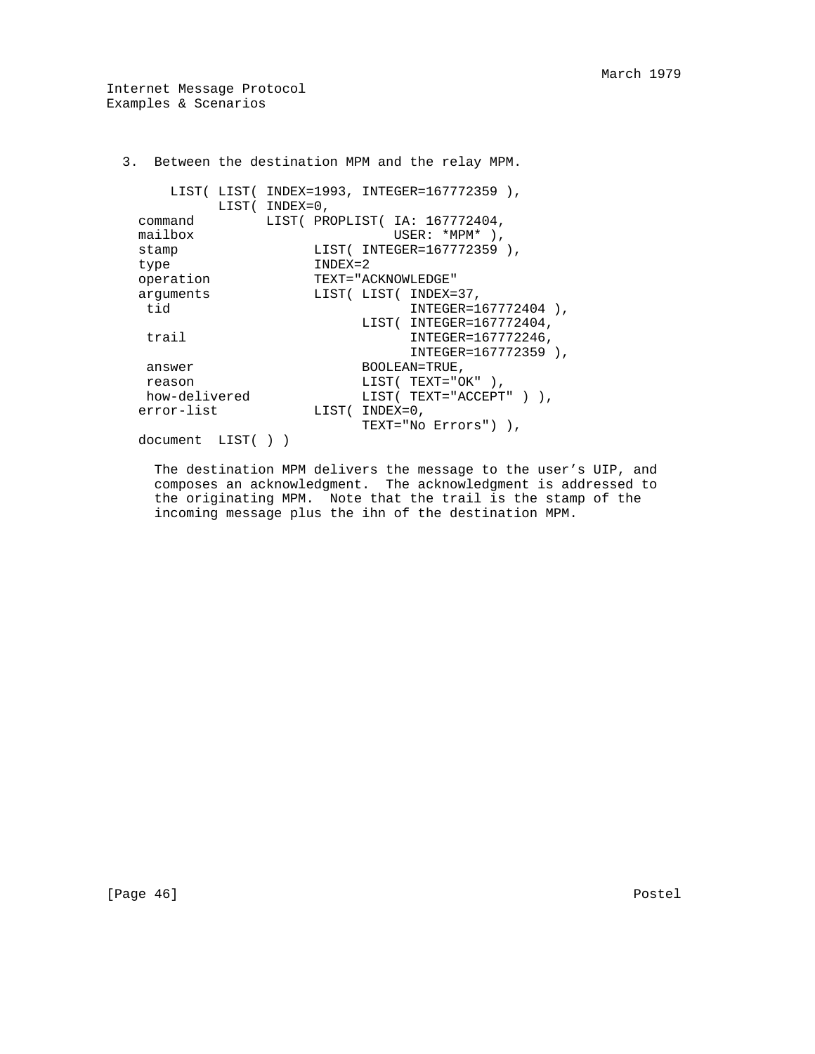Internet Message Protocol Examples & Scenarios

3. Between the destination MPM and the relay MPM.

|                 |                 |             |                | LIST( LIST( INDEX=1993, INTEGER=167772359 ), |
|-----------------|-----------------|-------------|----------------|----------------------------------------------|
|                 | $LIST(INDEX=0.$ |             |                |                                              |
| command         |                 |             |                | LIST( PROPLIST( IA: 167772404,               |
| mailbox         |                 |             |                | USER: $*MPM*$ ),                             |
| stamp           |                 |             |                | LIST( INTEGER=167772359 ),                   |
| type            |                 | $INDEX = 2$ |                |                                              |
| operation       |                 |             |                | TEXT="ACKNOWLEDGE"                           |
| arguments       |                 |             |                | LIST( LIST( INDEX=37,                        |
| tid             |                 |             |                | $INTEGER = 167772404$ ),                     |
|                 |                 |             |                | LIST( INTEGER=167772404,                     |
| trail           |                 |             |                | INTEGER=167772246,                           |
|                 |                 |             |                | INTEGER=167772359 ),                         |
| answer          |                 |             |                | BOOLEAN=TRUE,                                |
| reason          |                 |             |                | LIST( $TEXT = "OK" )$ ,                      |
| how-delivered   |                 |             |                | LIST( $TEXT = "ACCEPT" )$ ),                 |
| error-list      |                 |             | LIST( INDEX=0, |                                              |
|                 |                 |             |                | $TEXT = "No Errors")$ ),                     |
| document LIST() |                 |             |                |                                              |

 The destination MPM delivers the message to the user's UIP, and composes an acknowledgment. The acknowledgment is addressed to the originating MPM. Note that the trail is the stamp of the incoming message plus the ihn of the destination MPM.

[Page 46] Postel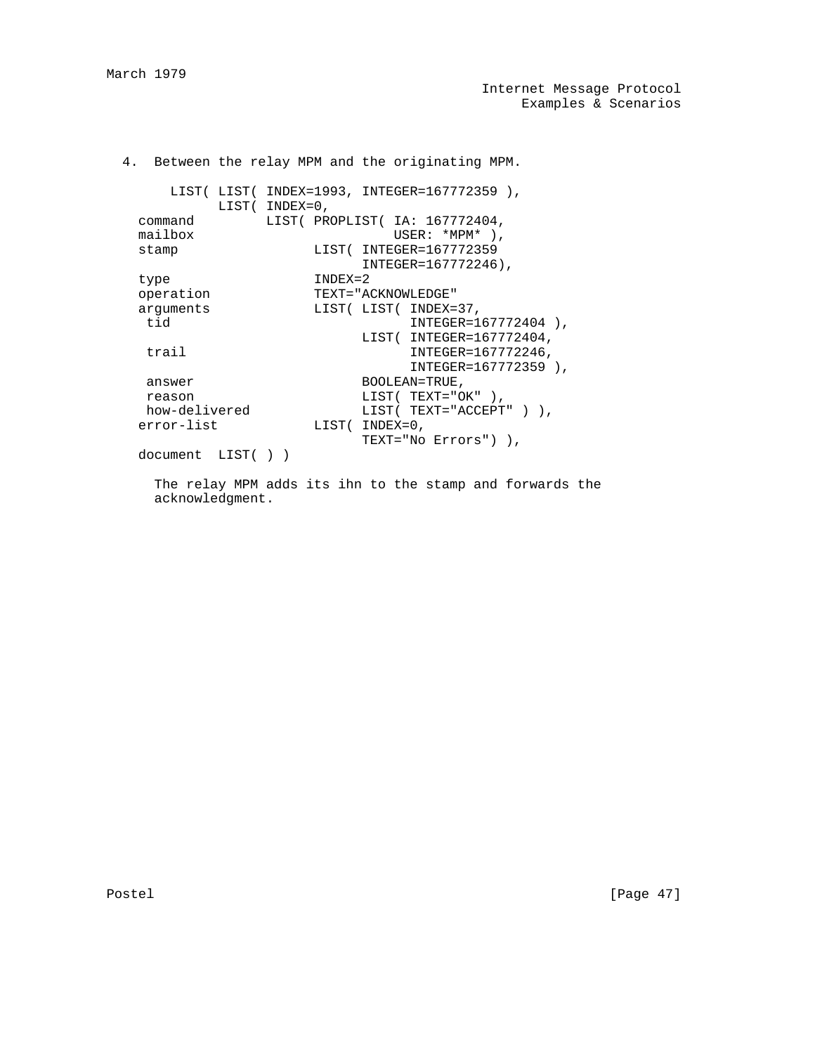4. Between the relay MPM and the originating MPM.

|                |               |                | LIST( LIST( INDEX=1993, INTEGER=167772359 ), |
|----------------|---------------|----------------|----------------------------------------------|
|                | LIST(INDEX=0, |                |                                              |
| command        |               |                | LIST( PROPLIST( IA: 167772404,               |
| mailbox        |               |                | USER: $*MPM*$ ),                             |
| stamp          |               |                | LIST( INTEGER=167772359                      |
|                |               |                | INTEGER=167772246),                          |
| type           |               | $INDEX = 2$    |                                              |
| operation      |               |                | TEXT="ACKNOWLEDGE"                           |
| arguments      |               |                | LIST( LIST( INDEX=37,                        |
| tid            |               |                | INTEGER=167772404 ),                         |
|                |               |                | LIST( INTEGER=167772404,                     |
| trail          |               |                | INTEGER=167772246,                           |
|                |               |                | INTEGER=167772359 ),                         |
| answer         |               |                | BOOLEAN=TRUE,                                |
| reason         |               |                | LIST( $TEXT = "OK" )$ ,                      |
| how-delivered  |               |                | LIST( $TEXT = "ACCEPT" )$ ),                 |
| error-list     |               | LIST( INDEX=0, |                                              |
|                |               |                | $TEXT = "No Errors")$ ),                     |
| document LIST( |               |                |                                              |

 The relay MPM adds its ihn to the stamp and forwards the acknowledgment.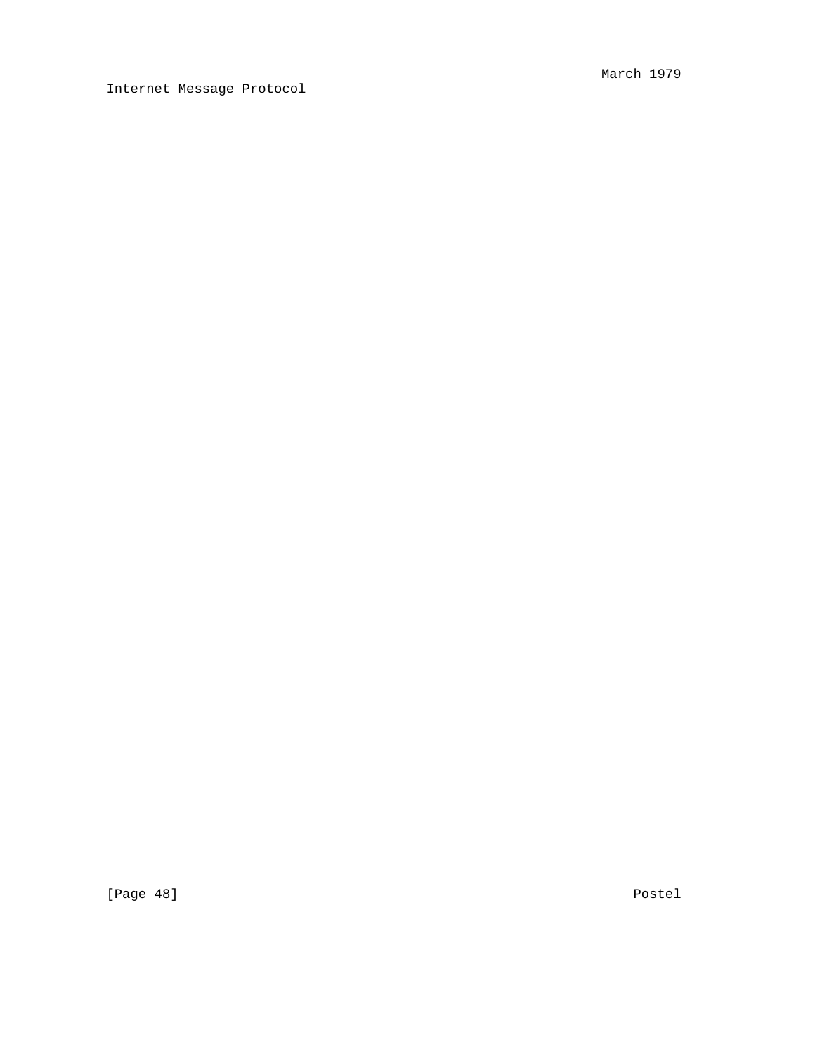[Page 48] Postel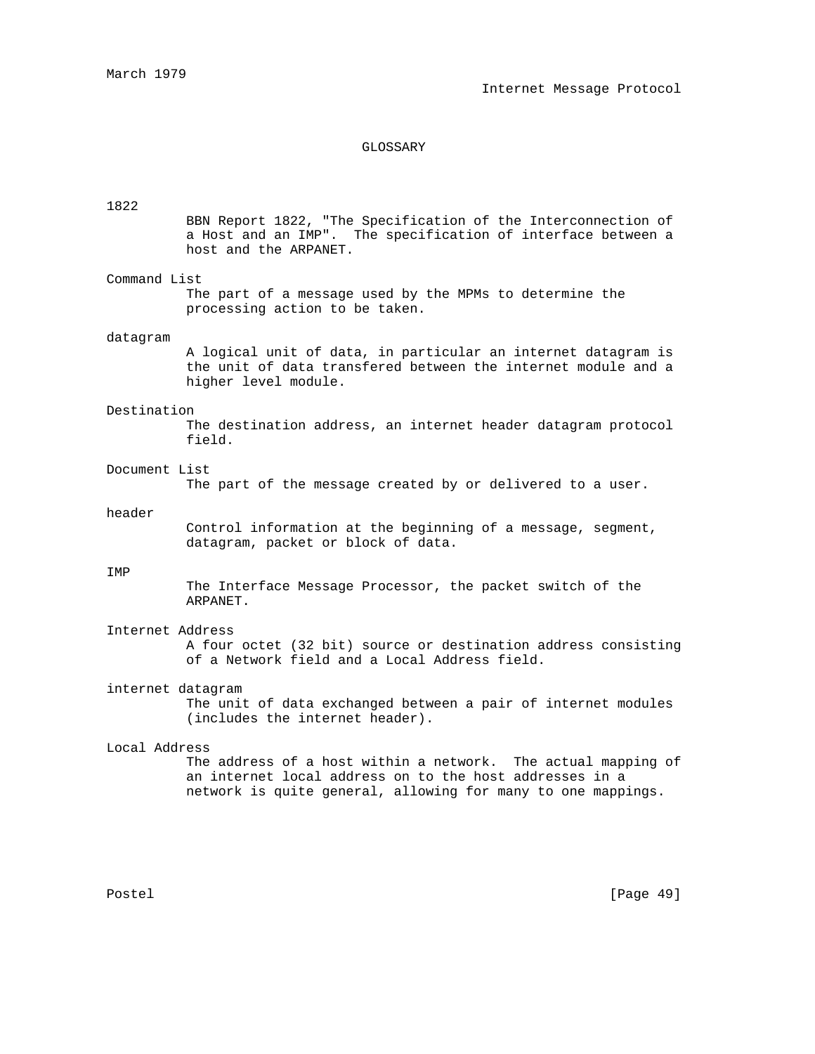#### GLOSSARY

#### 1822

 BBN Report 1822, "The Specification of the Interconnection of a Host and an IMP". The specification of interface between a host and the ARPANET.

## Command List

 The part of a message used by the MPMs to determine the processing action to be taken.

#### datagram

 A logical unit of data, in particular an internet datagram is the unit of data transfered between the internet module and a higher level module.

#### Destination

 The destination address, an internet header datagram protocol field.

## Document List

The part of the message created by or delivered to a user.

## header

 Control information at the beginning of a message, segment, datagram, packet or block of data.

#### IMP

 The Interface Message Processor, the packet switch of the ARPANET.

## Internet Address

 A four octet (32 bit) source or destination address consisting of a Network field and a Local Address field.

### internet datagram

 The unit of data exchanged between a pair of internet modules (includes the internet header).

#### Local Address

 The address of a host within a network. The actual mapping of an internet local address on to the host addresses in a network is quite general, allowing for many to one mappings.

Postel [Page 49]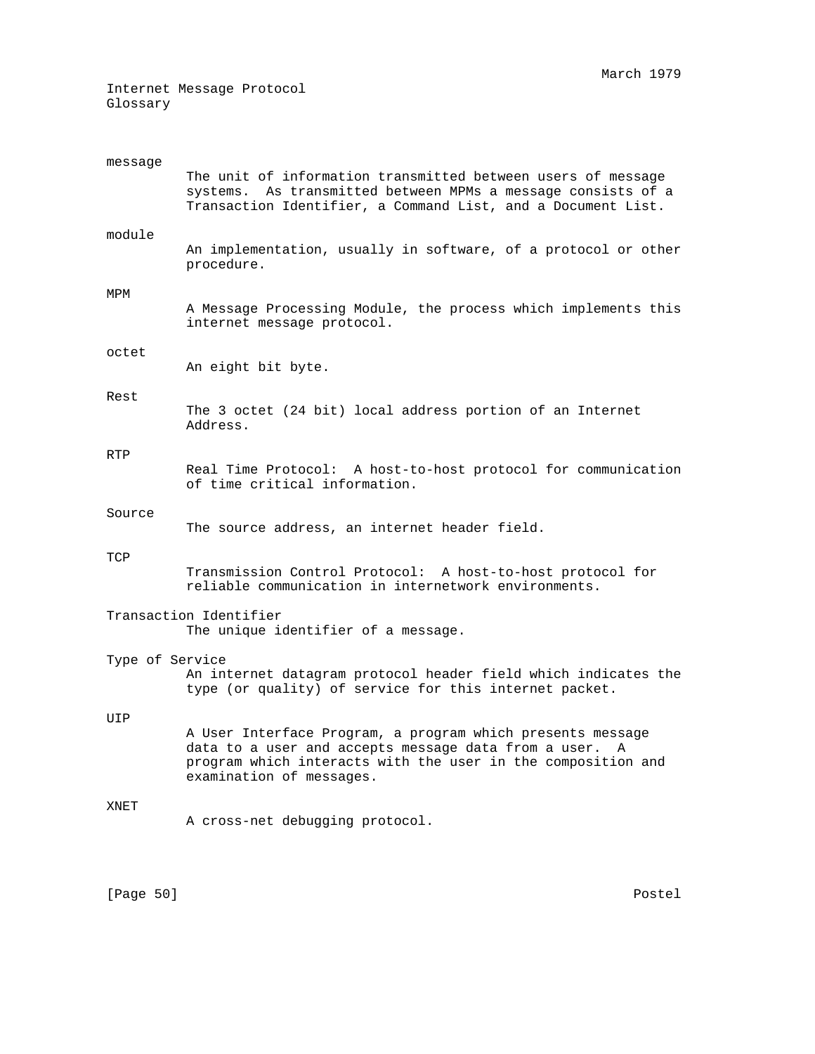Internet Message Protocol Glossary

| message         |                                                                                                                                                                                                 |
|-----------------|-------------------------------------------------------------------------------------------------------------------------------------------------------------------------------------------------|
|                 | The unit of information transmitted between users of message<br>As transmitted between MPMs a message consists of a<br>systems.<br>Transaction Identifier, a Command List, and a Document List. |
| module          |                                                                                                                                                                                                 |
|                 | An implementation, usually in software, of a protocol or other<br>procedure.                                                                                                                    |
| MPM             |                                                                                                                                                                                                 |
|                 | A Message Processing Module, the process which implements this<br>internet message protocol.                                                                                                    |
| octet           |                                                                                                                                                                                                 |
|                 | An eight bit byte.                                                                                                                                                                              |
| Rest            |                                                                                                                                                                                                 |
|                 | The 3 octet (24 bit) local address portion of an Internet<br>Address.                                                                                                                           |
| RTP             |                                                                                                                                                                                                 |
|                 | Real Time Protocol: A host-to-host protocol for communication<br>of time critical information.                                                                                                  |
| Source          |                                                                                                                                                                                                 |
|                 | The source address, an internet header field.                                                                                                                                                   |
| TCP             |                                                                                                                                                                                                 |
|                 | Transmission Control Protocol: A host-to-host protocol for<br>reliable communication in internetwork environments.                                                                              |
|                 | Transaction Identifier                                                                                                                                                                          |
|                 | The unique identifier of a message.                                                                                                                                                             |
| Type of Service |                                                                                                                                                                                                 |
|                 | An internet datagram protocol header field which indicates the<br>type (or quality) of service for this internet packet.                                                                        |
| UIP             |                                                                                                                                                                                                 |
|                 | A User Interface Program, a program which presents message                                                                                                                                      |
|                 | data to a user and accepts message data from a user.<br>Α<br>program which interacts with the user in the composition and                                                                       |
|                 | examination of messages.                                                                                                                                                                        |
| XNET            |                                                                                                                                                                                                 |
|                 | A cross-net debugging protocol.                                                                                                                                                                 |
|                 |                                                                                                                                                                                                 |

[Page 50] Postel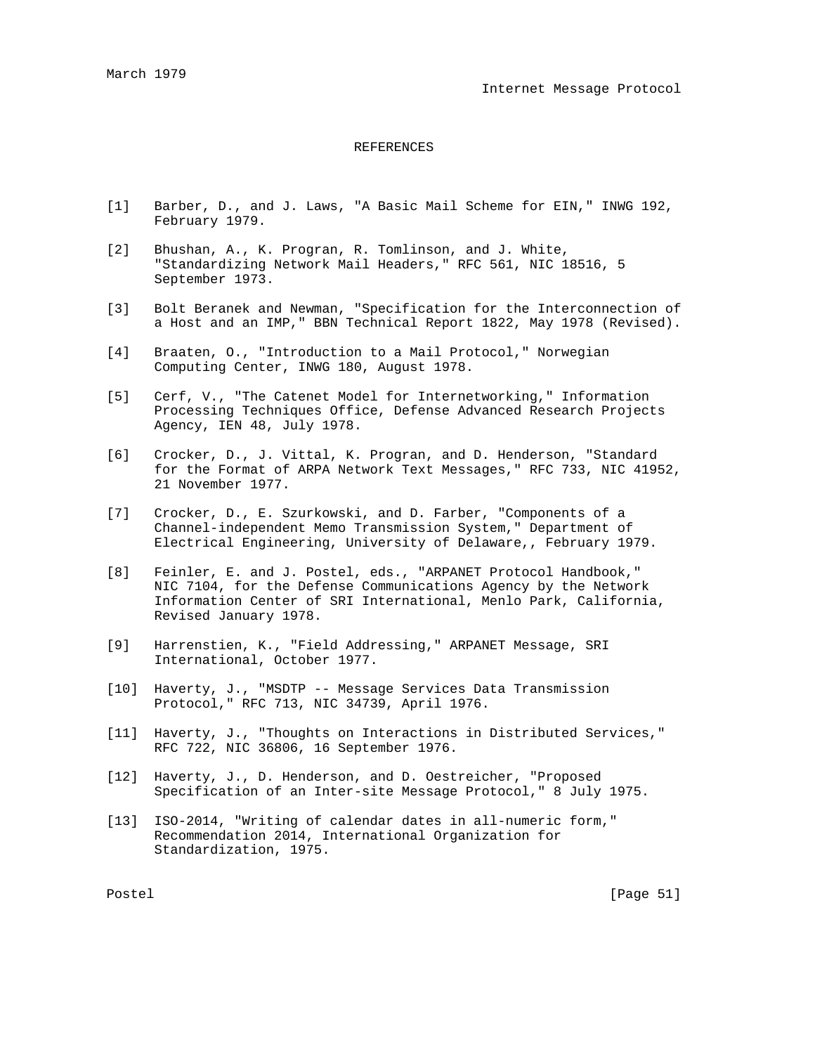#### REFERENCES

- [1] Barber, D., and J. Laws, "A Basic Mail Scheme for EIN," INWG 192, February 1979.
- [2] Bhushan, A., K. Progran, R. Tomlinson, and J. White, "Standardizing Network Mail Headers," RFC 561, NIC 18516, 5 September 1973.
- [3] Bolt Beranek and Newman, "Specification for the Interconnection of a Host and an IMP," BBN Technical Report 1822, May 1978 (Revised).
- [4] Braaten, O., "Introduction to a Mail Protocol," Norwegian Computing Center, INWG 180, August 1978.
- [5] Cerf, V., "The Catenet Model for Internetworking," Information Processing Techniques Office, Defense Advanced Research Projects Agency, IEN 48, July 1978.
- [6] Crocker, D., J. Vittal, K. Progran, and D. Henderson, "Standard for the Format of ARPA Network Text Messages," RFC 733, NIC 41952, 21 November 1977.
- [7] Crocker, D., E. Szurkowski, and D. Farber, "Components of a Channel-independent Memo Transmission System," Department of Electrical Engineering, University of Delaware,, February 1979.
- [8] Feinler, E. and J. Postel, eds., "ARPANET Protocol Handbook," NIC 7104, for the Defense Communications Agency by the Network Information Center of SRI International, Menlo Park, California, Revised January 1978.
- [9] Harrenstien, K., "Field Addressing," ARPANET Message, SRI International, October 1977.
- [10] Haverty, J., "MSDTP -- Message Services Data Transmission Protocol," RFC 713, NIC 34739, April 1976.
- [11] Haverty, J., "Thoughts on Interactions in Distributed Services," RFC 722, NIC 36806, 16 September 1976.
- [12] Haverty, J., D. Henderson, and D. Oestreicher, "Proposed Specification of an Inter-site Message Protocol," 8 July 1975.
- [13] ISO-2014, "Writing of calendar dates in all-numeric form," Recommendation 2014, International Organization for Standardization, 1975.

Postel [Page 51]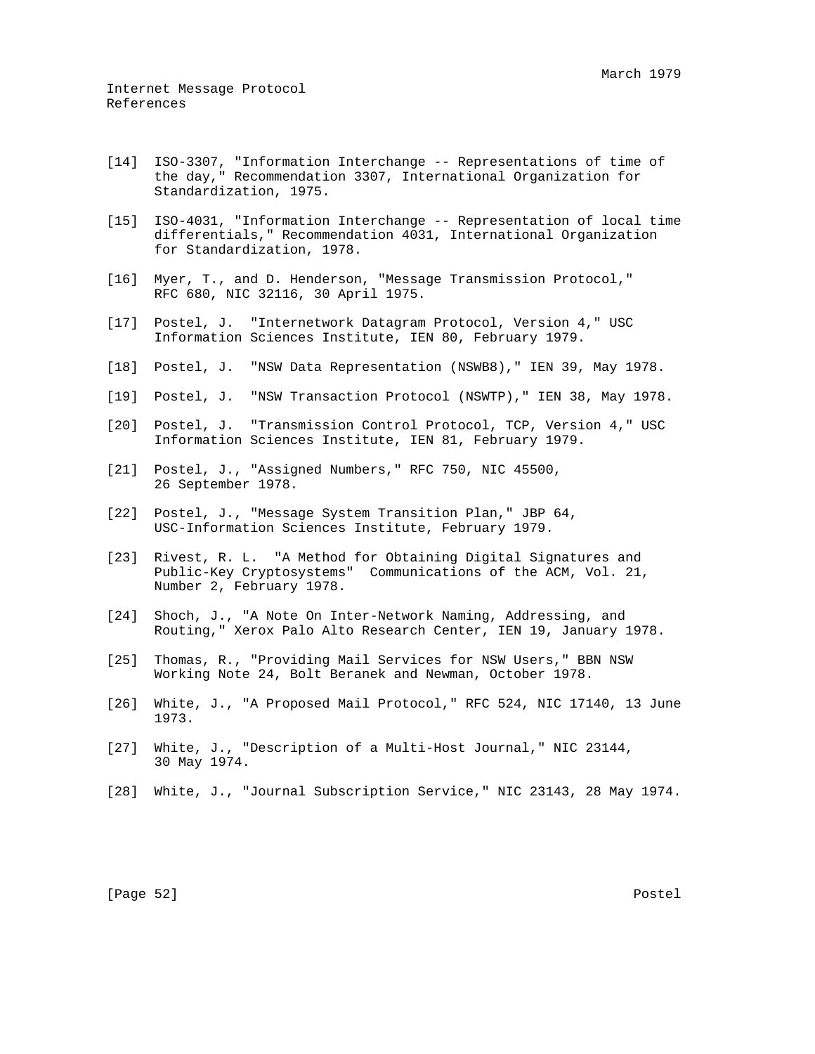- [14] ISO-3307, "Information Interchange -- Representations of time of the day," Recommendation 3307, International Organization for Standardization, 1975.
- [15] ISO-4031, "Information Interchange -- Representation of local time differentials," Recommendation 4031, International Organization for Standardization, 1978.
- [16] Myer, T., and D. Henderson, "Message Transmission Protocol," RFC 680, NIC 32116, 30 April 1975.
- [17] Postel, J. "Internetwork Datagram Protocol, Version 4," USC Information Sciences Institute, IEN 80, February 1979.
- [18] Postel, J. "NSW Data Representation (NSWB8)," IEN 39, May 1978.
- [19] Postel, J. "NSW Transaction Protocol (NSWTP)," IEN 38, May 1978.
- [20] Postel, J. "Transmission Control Protocol, TCP, Version 4," USC Information Sciences Institute, IEN 81, February 1979.
- [21] Postel, J., "Assigned Numbers," RFC 750, NIC 45500, 26 September 1978.
- [22] Postel, J., "Message System Transition Plan," JBP 64, USC-Information Sciences Institute, February 1979.
- [23] Rivest, R. L. "A Method for Obtaining Digital Signatures and Public-Key Cryptosystems" Communications of the ACM, Vol. 21, Number 2, February 1978.
- [24] Shoch, J., "A Note On Inter-Network Naming, Addressing, and Routing," Xerox Palo Alto Research Center, IEN 19, January 1978.
- [25] Thomas, R., "Providing Mail Services for NSW Users," BBN NSW Working Note 24, Bolt Beranek and Newman, October 1978.
- [26] White, J., "A Proposed Mail Protocol," RFC 524, NIC 17140, 13 June 1973.
- [27] White, J., "Description of a Multi-Host Journal," NIC 23144, 30 May 1974.
- [28] White, J., "Journal Subscription Service," NIC 23143, 28 May 1974.

[Page 52] Postel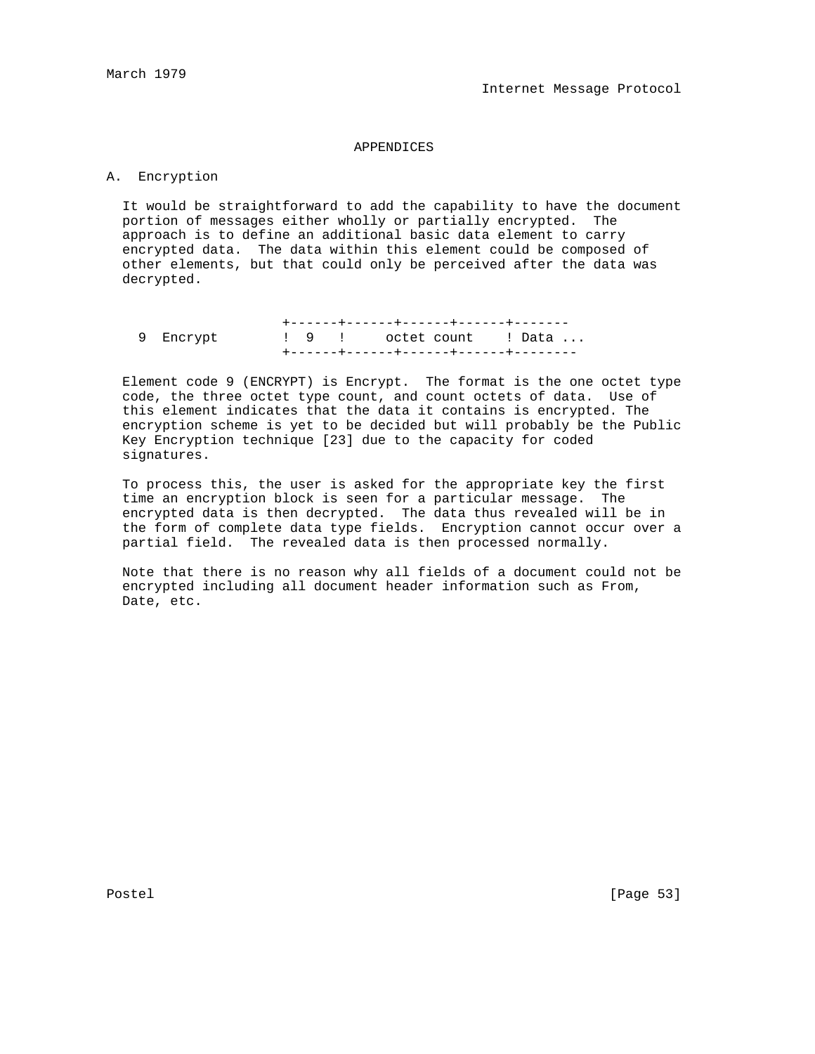#### APPENDICES

#### A. Encryption

 It would be straightforward to add the capability to have the document portion of messages either wholly or partially encrypted. The approach is to define an additional basic data element to carry encrypted data. The data within this element could be composed of other elements, but that could only be perceived after the data was decrypted.

| 9 Encrypt 1 9 ! octet count ! Data |  |  |  |  |
|------------------------------------|--|--|--|--|
|                                    |  |  |  |  |

 Element code 9 (ENCRYPT) is Encrypt. The format is the one octet type code, the three octet type count, and count octets of data. Use of this element indicates that the data it contains is encrypted. The encryption scheme is yet to be decided but will probably be the Public Key Encryption technique [23] due to the capacity for coded signatures.

 To process this, the user is asked for the appropriate key the first time an encryption block is seen for a particular message. The encrypted data is then decrypted. The data thus revealed will be in the form of complete data type fields. Encryption cannot occur over a partial field. The revealed data is then processed normally.

 Note that there is no reason why all fields of a document could not be encrypted including all document header information such as From, Date, etc.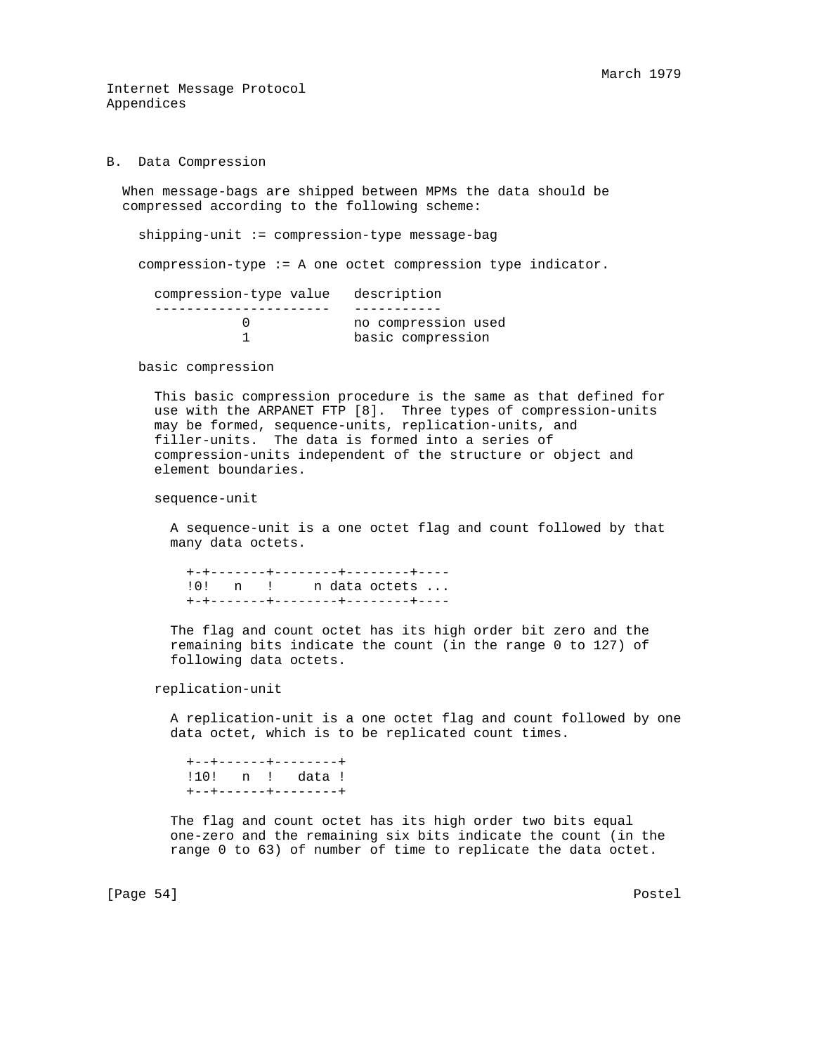Internet Message Protocol Appendices

B. Data Compression

 When message-bags are shipped between MPMs the data should be compressed according to the following scheme:

shipping-unit := compression-type message-bag

compression-type := A one octet compression type indicator.

| compression-type value description |                     |
|------------------------------------|---------------------|
|                                    |                     |
|                                    | no compression used |
|                                    | basic compression   |

basic compression

 This basic compression procedure is the same as that defined for use with the ARPANET FTP [8]. Three types of compression-units may be formed, sequence-units, replication-units, and filler-units. The data is formed into a series of compression-units independent of the structure or object and element boundaries.

sequence-unit

 A sequence-unit is a one octet flag and count followed by that many data octets.

 +-+-------+--------+--------+---- !0! n ! n data octets ... +-+-------+--------+--------+----

 The flag and count octet has its high order bit zero and the remaining bits indicate the count (in the range 0 to 127) of following data octets.

replication-unit

 A replication-unit is a one octet flag and count followed by one data octet, which is to be replicated count times.

 +--+------+--------+ !10! n ! data ! +--+------+--------+

 The flag and count octet has its high order two bits equal one-zero and the remaining six bits indicate the count (in the range 0 to 63) of number of time to replicate the data octet.

[Page 54] Postel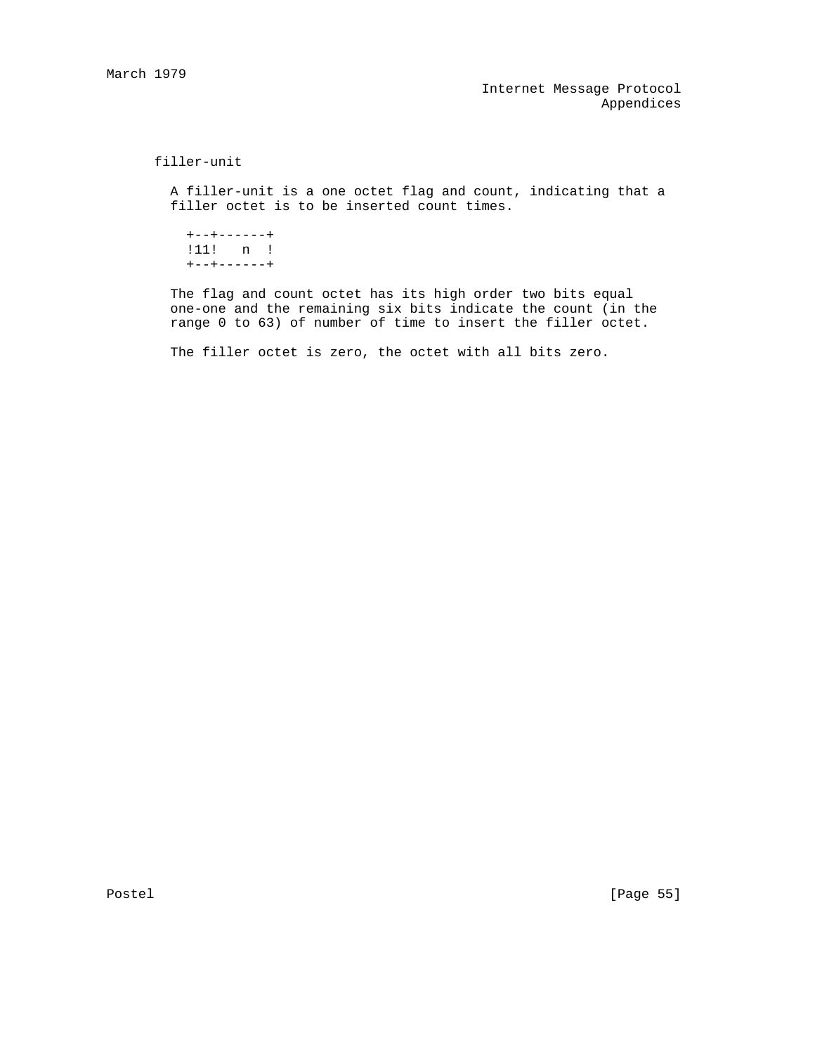filler-unit

 A filler-unit is a one octet flag and count, indicating that a filler octet is to be inserted count times.

 +--+------+ !11! n ! +--+------+

 The flag and count octet has its high order two bits equal one-one and the remaining six bits indicate the count (in the range 0 to 63) of number of time to insert the filler octet.

The filler octet is zero, the octet with all bits zero.